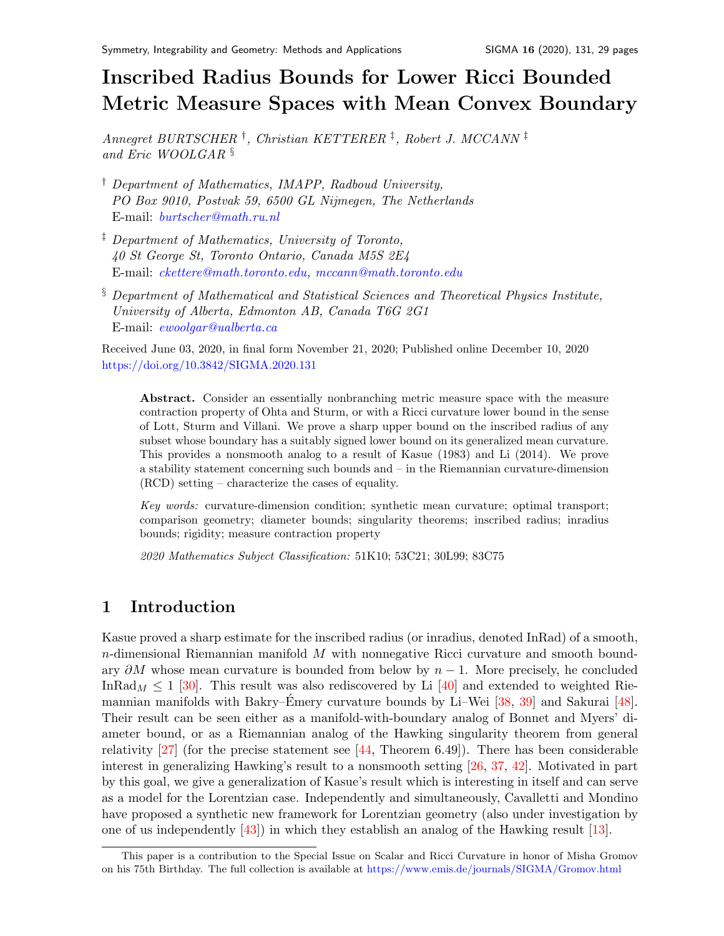# Inscribed Radius Bounds for Lower Ricci Bounded Metric Measure Spaces with Mean Convex Boundar[y](#page-0-0)

Annegret BURTSCHER † , Christian KETTERER ‡ , Robert J. MCCANN ‡ and Eric WOOLGAR §

- † Department of Mathematics, IMAPP, Radboud University, PO Box 9010, Postvak 59, 6500 GL Nijmegen, The Netherlands E-mail: [burtscher@math.ru.nl](mailto:burtscher@math.ru.nl)
- ‡ Department of Mathematics, University of Toronto, 40 St George St, Toronto Ontario, Canada M5S 2E4 E-mail: [ckettere@math.toronto.edu,](mailto:ckettere@math.toronot.edu) [mccann@math.toronto.edu](mailto:mccann@math.toronto.edu)
- § Department of Mathematical and Statistical Sciences and Theoretical Physics Institute, University of Alberta, Edmonton AB, Canada T6G 2G1 E-mail: [ewoolgar@ualberta.ca](mailto:ewoolgar@ualberta.ca)

Received June 03, 2020, in final form November 21, 2020; Published online December 10, 2020 <https://doi.org/10.3842/SIGMA.2020.131>

Abstract. Consider an essentially nonbranching metric measure space with the measure contraction property of Ohta and Sturm, or with a Ricci curvature lower bound in the sense of Lott, Sturm and Villani. We prove a sharp upper bound on the inscribed radius of any subset whose boundary has a suitably signed lower bound on its generalized mean curvature. This provides a nonsmooth analog to a result of Kasue (1983) and Li (2014). We prove a stability statement concerning such bounds and – in the Riemannian curvature-dimension (RCD) setting – characterize the cases of equality.

Key words: curvature-dimension condition; synthetic mean curvature; optimal transport; comparison geometry; diameter bounds; singularity theorems; inscribed radius; inradius bounds; rigidity; measure contraction property

2020 Mathematics Subject Classification: 51K10; 53C21; 30L99; 83C75

# 1 Introduction

Kasue proved a sharp estimate for the inscribed radius (or inradius, denoted InRad) of a smooth,  $n$ -dimensional Riemannian manifold M with nonnegative Ricci curvature and smooth boundary  $\partial M$  whose mean curvature is bounded from below by  $n-1$ . More precisely, he concluded In Rad<sub>M</sub>  $\leq$  1 [\[30\]](#page-27-0). This result was also rediscovered by Li [\[40\]](#page-27-1) and extended to weighted Rie-mannian manifolds with Bakry–Émery curvature bounds by Li–Wei [[38,](#page-27-2) [39\]](#page-27-3) and Sakurai [\[48\]](#page-28-0). Their result can be seen either as a manifold-with-boundary analog of Bonnet and Myers' diameter bound, or as a Riemannian analog of the Hawking singularity theorem from general relativity  $[27]$  (for the precise statement see  $[44,$  Theorem 6.49)). There has been considerable interest in generalizing Hawking's result to a nonsmooth setting [\[26,](#page-27-6) [37,](#page-27-7) [42\]](#page-27-8). Motivated in part by this goal, we give a generalization of Kasue's result which is interesting in itself and can serve as a model for the Lorentzian case. Independently and simultaneously, Cavalletti and Mondino have proposed a synthetic new framework for Lorentzian geometry (also under investigation by one of us independently [\[43\]](#page-27-9)) in which they establish an analog of the Hawking result [\[13\]](#page-26-0).

<span id="page-0-0"></span>This paper is a contribution to the Special Issue on Scalar and Ricci Curvature in honor of Misha Gromov on his 75th Birthday. The full collection is available at <https://www.emis.de/journals/SIGMA/Gromov.html>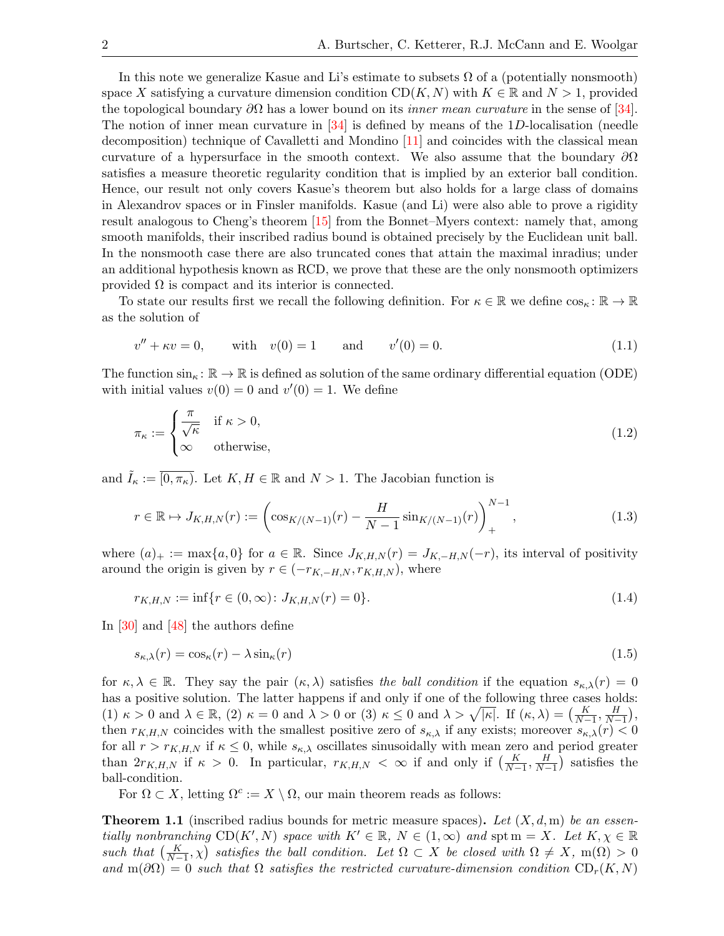In this note we generalize Kasue and Li's estimate to subsets  $\Omega$  of a (potentially nonsmooth) space X satisfying a curvature dimension condition  $CD(K, N)$  with  $K \in \mathbb{R}$  and  $N > 1$ , provided the topological boundary  $\partial\Omega$  has a lower bound on its *inner mean curvature* in the sense of [\[34\]](#page-27-10). The notion of inner mean curvature in  $[34]$  is defined by means of the 1D-localisation (needle decomposition) technique of Cavalletti and Mondino [\[11\]](#page-26-1) and coincides with the classical mean curvature of a hypersurface in the smooth context. We also assume that the boundary  $\partial\Omega$ satisfies a measure theoretic regularity condition that is implied by an exterior ball condition. Hence, our result not only covers Kasue's theorem but also holds for a large class of domains in Alexandrov spaces or in Finsler manifolds. Kasue (and Li) were also able to prove a rigidity result analogous to Cheng's theorem [\[15\]](#page-26-2) from the Bonnet–Myers context: namely that, among smooth manifolds, their inscribed radius bound is obtained precisely by the Euclidean unit ball. In the nonsmooth case there are also truncated cones that attain the maximal inradius; under an additional hypothesis known as RCD, we prove that these are the only nonsmooth optimizers provided  $\Omega$  is compact and its interior is connected.

To state our results first we recall the following definition. For  $\kappa \in \mathbb{R}$  we define  $\cos_{\kappa} : \mathbb{R} \to \mathbb{R}$ as the solution of

<span id="page-1-1"></span>
$$
v'' + \kappa v = 0, \quad \text{with} \quad v(0) = 1 \quad \text{and} \quad v'(0) = 0. \tag{1.1}
$$

The function  $\sin_k : \mathbb{R} \to \mathbb{R}$  is defined as solution of the same ordinary differential equation (ODE) with initial values  $v(0) = 0$  and  $v'(0) = 1$ . We define

<span id="page-1-4"></span>
$$
\pi_{\kappa} := \begin{cases} \frac{\pi}{\sqrt{\kappa}} & \text{if } \kappa > 0, \\ \infty & \text{otherwise,} \end{cases}
$$
\n(1.2)

and  $\tilde{I}_{\kappa} := \overline{[0, \pi_{\kappa})}$ . Let  $K, H \in \mathbb{R}$  and  $N > 1$ . The Jacobian function is

$$
r \in \mathbb{R} \mapsto J_{K,H,N}(r) := \left(\cos_{K/(N-1)}(r) - \frac{H}{N-1}\sin_{K/(N-1)}(r)\right)_+^{N-1},\tag{1.3}
$$

where  $(a)_+ := \max\{a, 0\}$  for  $a \in \mathbb{R}$ . Since  $J_{K,H,N}(r) = J_{K,-H,N}(-r)$ , its interval of positivity around the origin is given by  $r \in (-r_{K,-H,N}, r_{K,H,N})$ , where

<span id="page-1-2"></span>
$$
r_{K,H,N} := \inf \{ r \in (0,\infty) : J_{K,H,N}(r) = 0 \}.
$$
\n(1.4)

In [\[30\]](#page-27-0) and [\[48\]](#page-28-0) the authors define

<span id="page-1-3"></span>
$$
s_{\kappa,\lambda}(r) = \cos_{\kappa}(r) - \lambda \sin_{\kappa}(r) \tag{1.5}
$$

for  $\kappa, \lambda \in \mathbb{R}$ . They say the pair  $(\kappa, \lambda)$  satisfies the ball condition if the equation  $s_{\kappa,\lambda}(r) = 0$ has a positive solution. The latter happens if and only if one of the following three cases holds: (1)  $\kappa > 0$  and  $\lambda \in \mathbb{R}$ , (2)  $\kappa = 0$  and  $\lambda > 0$  or (3)  $\kappa \leq 0$  and  $\lambda > \sqrt{|\kappa|}$ . If  $(\kappa, \lambda) = \left(\frac{K}{N-1}, \frac{H}{N-1}\right)$ , then  $r_{K,H,N}$  coincides with the smallest positive zero of  $s_{\kappa,\lambda}$  if any exists; moreover  $s_{\kappa,\lambda}(r) < 0$ for all  $r > r_{K,H,N}$  if  $\kappa \leq 0$ , while  $s_{\kappa,\lambda}$  oscillates sinusoidally with mean zero and period greater than  $2r_{K,H,N}$  if  $\kappa > 0$ . In particular,  $r_{K,H,N} < \infty$  if and only if  $\left(\frac{K}{N-1}, \frac{H}{N-1}\right)$  satisfies the ball-condition.

For  $\Omega \subset X$ , letting  $\Omega^c := X \setminus \Omega$ , our main theorem reads as follows:

<span id="page-1-0"></span>**Theorem 1.1** (inscribed radius bounds for metric measure spaces). Let  $(X, d, m)$  be an essentially nonbranching  $CD(K', N)$  space with  $K' \in \mathbb{R}$ ,  $N \in (1, \infty)$  and spt  $m = X$ . Let  $K, \chi \in \mathbb{R}$ such that  $\left(\frac{K}{N-1}, \chi\right)$  satisfies the ball condition. Let  $\Omega \subset X$  be closed with  $\Omega \neq X$ , m( $\Omega$ ) > 0 and  $m(\partial\Omega) = 0$  such that  $\Omega$  satisfies the restricted curvature-dimension condition  $CD_r(K, N)$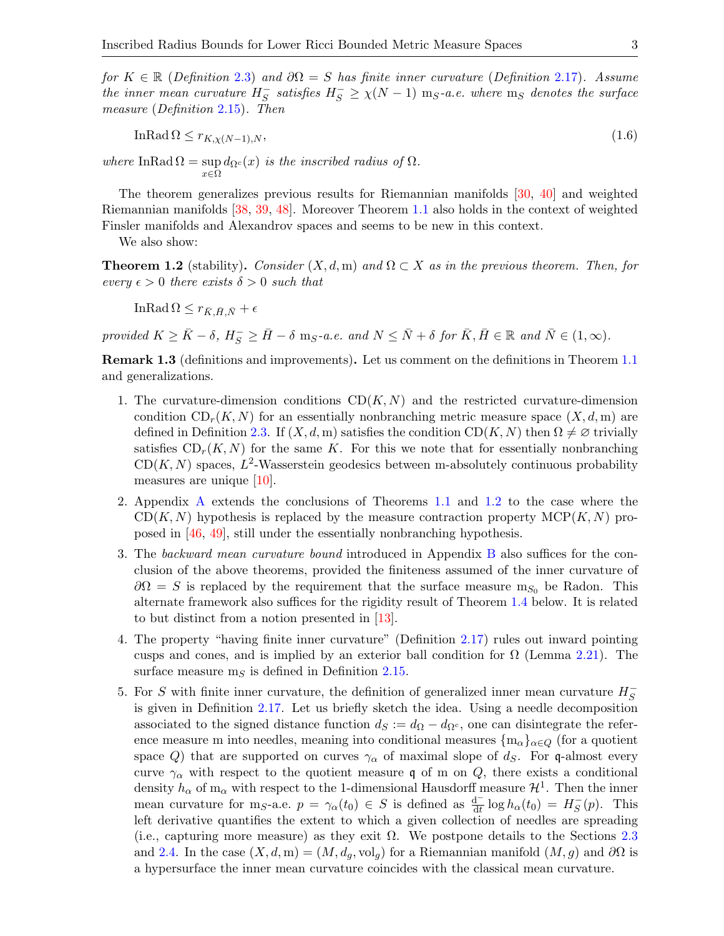for  $K \in \mathbb{R}$  (Definition [2.3\)](#page-5-0) and  $\partial\Omega = S$  has finite inner curvature (Definition [2.17\)](#page-10-0). Assume the inner mean curvature  $H_S^ \overline{S}$  satisfies  $H_S^- \ge \chi(N-1)$  m<sub>S</sub>-a.e. where m<sub>S</sub> denotes the surface measure (Definition [2.15\)](#page-10-1). Then

<span id="page-2-1"></span>
$$
\text{InRad}\,\Omega \le r_{K,\chi(N-1),N},\tag{1.6}
$$

where InRad  $\Omega = \sup d_{\Omega} c(x)$  is the inscribed radius of  $\Omega$ . x∈Ω

The theorem generalizes previous results for Riemannian manifolds [\[30,](#page-27-0) [40\]](#page-27-1) and weighted Riemannian manifolds [\[38,](#page-27-2) [39,](#page-27-3) [48\]](#page-28-0). Moreover Theorem [1.1](#page-1-0) also holds in the context of weighted Finsler manifolds and Alexandrov spaces and seems to be new in this context.

We also show:

<span id="page-2-0"></span>**Theorem 1.2** (stability). Consider  $(X, d, m)$  and  $\Omega \subset X$  as in the previous theorem. Then, for every  $\epsilon > 0$  there exists  $\delta > 0$  such that

InRad  $\Omega \leq r_{\bar{K},\bar{H},\bar{N}} + \epsilon$ 

provided  $K \ge \bar{K} - \delta$ ,  $H_S^- \ge \bar{H} - \delta$  m<sub>S</sub>-a.e. and  $N \le \bar{N} + \delta$  for  $\bar{K}, \bar{H} \in \mathbb{R}$  and  $\bar{N} \in (1, \infty)$ .

Remark 1.3 (definitions and improvements). Let us comment on the definitions in Theorem [1.1](#page-1-0) and generalizations.

- 1. The curvature-dimension conditions  $CD(K, N)$  and the restricted curvature-dimension condition  $CD_r(K, N)$  for an essentially nonbranching metric measure space  $(X, d, m)$  are defined in Definition [2.3.](#page-5-0) If  $(X, d, m)$  satisfies the condition CD(K, N) then  $\Omega \neq \emptyset$  trivially satisfies  $CD_r(K, N)$  for the same K. For this we note that for essentially nonbranching  $CD(K, N)$  spaces,  $L^2$ -Wasserstein geodesics between m-absolutely continuous probability measures are unique [\[10\]](#page-26-3).
- 2. Appendix [A](#page-20-0) extends the conclusions of Theorems [1.1](#page-1-0) and [1.2](#page-2-0) to the case where the  $CD(K, N)$  hypothesis is replaced by the measure contraction property  $MCP(K, N)$  proposed in [\[46,](#page-27-11) [49\]](#page-28-1), still under the essentially nonbranching hypothesis.
- 3. The backward mean curvature bound introduced in Appendix [B](#page-22-0) also suffices for the conclusion of the above theorems, provided the finiteness assumed of the inner curvature of  $\partial\Omega = S$  is replaced by the requirement that the surface measure m<sub>S0</sub> be Radon. This alternate framework also suffices for the rigidity result of Theorem [1.4](#page-4-0) below. It is related to but distinct from a notion presented in [\[13\]](#page-26-0).
- 4. The property "having finite inner curvature" (Definition [2.17\)](#page-10-0) rules out inward pointing cusps and cones, and is implied by an exterior ball condition for  $\Omega$  (Lemma [2.21\)](#page-11-0). The surface measure  $m<sub>S</sub>$  is defined in Definition [2.15.](#page-10-1)
- 5. For S with finite inner curvature, the definition of generalized inner mean curvature  $H_S^-$ S is given in Definition [2.17.](#page-10-0) Let us briefly sketch the idea. Using a needle decomposition associated to the signed distance function  $d_S := d_{\Omega} - d_{\Omega}c$ , one can disintegrate the reference measure m into needles, meaning into conditional measures  $\{m_{\alpha}\}_{{\alpha}\in Q}$  (for a quotient space Q) that are supported on curves  $\gamma_{\alpha}$  of maximal slope of d<sub>S</sub>. For q-almost every curve  $\gamma_{\alpha}$  with respect to the quotient measure q of m on Q, there exists a conditional density  $h_{\alpha}$  of  $m_{\alpha}$  with respect to the 1-dimensional Hausdorff measure  $\mathcal{H}^1$ . Then the inner mean curvature for m<sub>S</sub>-a.e.  $p = \gamma_\alpha(t_0) \in S$  is defined as  $\frac{d^-}{dt} \log h_\alpha(t_0) = H_S^ S<sub>S</sub>(p)$ . This left derivative quantifies the extent to which a given collection of needles are spreading (i.e., capturing more measure) as they exit  $\Omega$ . We postpone details to the Sections [2.3](#page-6-0) and [2.4.](#page-9-0) In the case  $(X, d, m) = (M, d_q, vol_q)$  for a Riemannian manifold  $(M, g)$  and  $\partial\Omega$  is a hypersurface the inner mean curvature coincides with the classical mean curvature.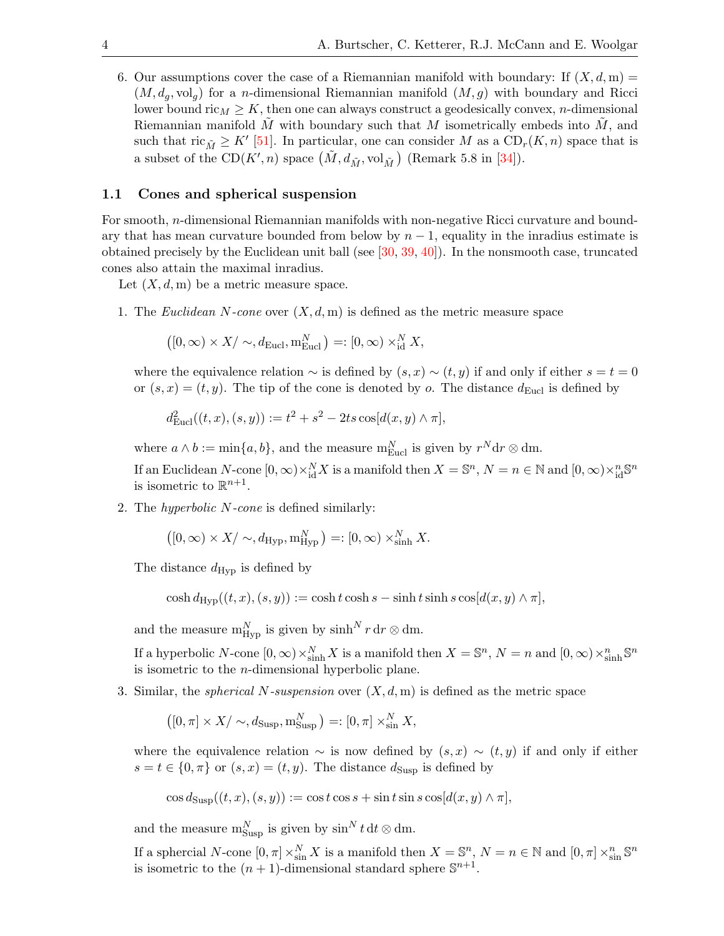6. Our assumptions cover the case of a Riemannian manifold with boundary: If  $(X, d, m)$  $(M, d_q, \text{vol}_q)$  for a *n*-dimensional Riemannian manifold  $(M, g)$  with boundary and Ricci lower bound ric<sub>M</sub>  $\geq K$ , then one can always construct a geodesically convex, *n*-dimensional Riemannian manifold  $M$  with boundary such that  $M$  isometrically embeds into  $M$ , and such that  $\text{ric}_{\tilde{M}} \geq K'$  [\[51\]](#page-28-2). In particular, one can consider M as a  $CD_r(K, n)$  space that is a subset of the CD(K', n) space  $(\tilde{M}, d_{\tilde{M}}, \text{vol}_{\tilde{M}})$  (Remark 5.8 in [\[34\]](#page-27-10)).

## 1.1 Cones and spherical suspension

For smooth, n-dimensional Riemannian manifolds with non-negative Ricci curvature and boundary that has mean curvature bounded from below by  $n-1$ , equality in the inradius estimate is obtained precisely by the Euclidean unit ball (see  $[30, 39, 40]$  $[30, 39, 40]$  $[30, 39, 40]$  $[30, 39, 40]$ ). In the nonsmooth case, truncated cones also attain the maximal inradius.

Let  $(X, d, m)$  be a metric measure space.

1. The Euclidean N-cone over  $(X, d, m)$  is defined as the metric measure space

$$
([0,\infty) \times X / \sim, d_{\text{Eucl}}, \mathbf{m}_{\text{Eucl}}^N) =: [0,\infty) \times_{\text{id}}^N X,
$$

where the equivalence relation  $\sim$  is defined by  $(s, x) \sim (t, y)$  if and only if either  $s = t = 0$ or  $(s, x) = (t, y)$ . The tip of the cone is denoted by o. The distance  $d_{\text{Eucl}}$  is defined by

$$
d_{\text{Eucl}}^2((t, x), (s, y)) := t^2 + s^2 - 2ts \cos[d(x, y) \wedge \pi],
$$

where  $a \wedge b := \min\{a, b\}$ , and the measure  $m_{\text{Eucl}}^N$  is given by  $r^N dr \otimes dm$ .

If an Euclidean N-cone  $[0, \infty) \times_{\text{id}}^N X$  is a manifold then  $X = \mathbb{S}^n$ ,  $N = n \in \mathbb{N}$  and  $[0, \infty) \times_{\text{id}}^n \mathbb{S}^n$ is isometric to  $\mathbb{R}^{n+1}$ .

2. The hyperbolic N-cone is defined similarly:

$$
([0,\infty) \times X / \sim, d_{\text{Hyp}}, \mathbf{m}_{\text{Hyp}}^N) =: [0,\infty) \times_{\text{sinh}}^N X.
$$

The distance  $d_{\text{Hyp}}$  is defined by

$$
\cosh d_{\text{Hyp}}((t, x), (s, y)) := \cosh t \cosh s - \sinh t \sinh s \cos[d(x, y) \wedge \pi],
$$

and the measure  $m_{\rm Hyp}^N$  is given by  $\sinh^N r dr \otimes dm$ .

If a hyperbolic N-cone  $[0, \infty) \times_{\sinh}^N X$  is a manifold then  $X = \mathbb{S}^n$ ,  $N = n$  and  $[0, \infty) \times_{\sinh}^n \mathbb{S}^n$ is isometric to the n-dimensional hyperbolic plane.

3. Similar, the *spherical N-suspension* over  $(X, d, m)$  is defined as the metric space

$$
([0,\pi] \times X/\sim, d_{\text{Susp}}, \mathbf{m}_{\text{Susp}}^N) =: [0,\pi] \times_{\sin}^N X,
$$

where the equivalence relation  $\sim$  is now defined by  $(s, x) \sim (t, y)$  if and only if either  $s = t \in \{0, \pi\}$  or  $(s, x) = (t, y)$ . The distance  $d_{\text{Susp}}$  is defined by

$$
\cos d_{\text{Susp}}((t, x), (s, y)) := \cos t \cos s + \sin t \sin s \cos[d(x, y) \wedge \pi],
$$

and the measure  $m_{\text{Supp}}^N$  is given by  $\sin^N t \, dt \otimes dm$ .

If a sphercial N-cone  $[0, \pi] \times_{\text{sin}}^N X$  is a manifold then  $X = \mathbb{S}^n$ ,  $N = n \in \mathbb{N}$  and  $[0, \pi] \times_{\text{sin}}^n \mathbb{S}^n$ is isometric to the  $(n + 1)$ -dimensional standard sphere  $\mathbb{S}^{n+1}$ .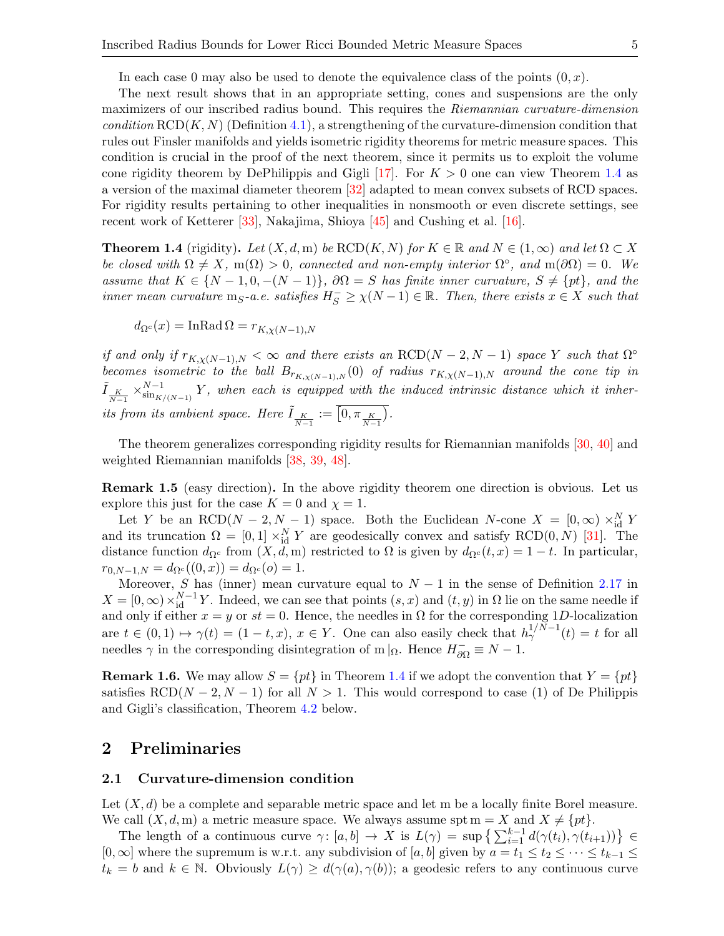In each case 0 may also be used to denote the equivalence class of the points  $(0, x)$ .

The next result shows that in an appropriate setting, cones and suspensions are the only maximizers of our inscribed radius bound. This requires the Riemannian curvature-dimension condition  $RCD(K, N)$  (Definition [4.1\)](#page-14-0), a strengthening of the curvature-dimension condition that rules out Finsler manifolds and yields isometric rigidity theorems for metric measure spaces. This condition is crucial in the proof of the next theorem, since it permits us to exploit the volume cone rigidity theorem by DePhilippis and Gigli [\[17\]](#page-26-4). For  $K > 0$  one can view Theorem [1.4](#page-4-0) as a version of the maximal diameter theorem [\[32\]](#page-27-12) adapted to mean convex subsets of RCD spaces. For rigidity results pertaining to other inequalities in nonsmooth or even discrete settings, see recent work of Ketterer [\[33\]](#page-27-13), Nakajima, Shioya [\[45\]](#page-27-14) and Cushing et al. [\[16\]](#page-26-5).

<span id="page-4-0"></span>**Theorem 1.4** (rigidity). Let  $(X, d, m)$  be  $RCD(K, N)$  for  $K \in \mathbb{R}$  and  $N \in (1, \infty)$  and let  $\Omega \subset X$ be closed with  $\Omega \neq X$ , m( $\Omega$ ) > 0, connected and non-empty interior  $\Omega^{\circ}$ , and m( $\partial \Omega$ ) = 0. We assume that  $K \in \{N-1, 0, -(N-1)\}\$ ,  $\partial\Omega = S$  has finite inner curvature,  $S \neq \{pt\}$ , and the inner mean curvature  $m_S$ -a.e. satisfies  $H_S^- \geq \chi(N-1) \in \mathbb{R}$ . Then, there exists  $x \in X$  such that

$$
d_{\Omega^c}(x) = \text{InRad}\,\Omega = r_{K,\chi(N-1),N}
$$

if and only if  $r_{K,\chi(N-1),N} < \infty$  and there exists an RCD(N – 2, N – 1) space Y such that  $\Omega^{\circ}$ becomes isometric to the ball  $B_{r_{K,x(N-1),N}}(0)$  of radius  $r_{K,x(N-1),N}$  around the cone tip in  $\tilde{I}_{\frac{K}{N-1}} \times_{\sin_{K}}^{N-1}$  $\sum_{\sin K/(N-1)}^{N-1} Y$ , when each is equipped with the induced intrinsic distance which it inherits from its ambient space. Here  $\tilde{I}_{\frac{K}{N-1}} := \overline{\left[0, \pi_{\frac{K}{N-1}}\right)}$ .

The theorem generalizes corresponding rigidity results for Riemannian manifolds [\[30,](#page-27-0) [40\]](#page-27-1) and weighted Riemannian manifolds [\[38,](#page-27-2) [39,](#page-27-3) [48\]](#page-28-0).

Remark 1.5 (easy direction). In the above rigidity theorem one direction is obvious. Let us explore this just for the case  $K = 0$  and  $\chi = 1$ .

Let Y be an RCD( $N-2, N-1$ ) space. Both the Euclidean N-cone  $X = [0, \infty) \times_{\text{id}}^N Y$ and its truncation  $\Omega = [0,1] \times_{\text{id}}^N Y$  are geodesically convex and satisfy RCD $(0, N)$  [\[31\]](#page-27-15). The distance function  $d_{\Omega^c}$  from  $(X, d, m)$  restricted to  $\Omega$  is given by  $d_{\Omega^c}(t, x) = 1 - t$ . In particular,  $r_{0,N-1,N} = d_{\Omega^c}((0,x)) = d_{\Omega^c}(0) = 1.$ 

Moreover, S has (inner) mean curvature equal to  $N-1$  in the sense of Definition [2.17](#page-10-0) in  $X = [0, \infty) \times_{\text{id}}^{N-1} Y$ . Indeed, we can see that points  $(s, x)$  and  $(t, y)$  in  $\Omega$  lie on the same needle if and only if either  $x = y$  or  $st = 0$ . Hence, the needles in  $\Omega$  for the corresponding 1D-localization are  $t \in (0,1) \mapsto \gamma(t) = (1-t,x), x \in Y$ . One can also easily check that  $h_{\gamma}^{1/N-1}(t) = t$  for all needles  $\gamma$  in the corresponding disintegration of m | $\Omega$ . Hence  $H_{\partial\Omega}^- \equiv N - 1$ .

**Remark 1.6.** We may allow  $S = \{pt\}$  in Theorem [1.4](#page-4-0) if we adopt the convention that  $Y = \{pt\}$ satisfies  $RCD(N-2, N-1)$  for all  $N > 1$ . This would correspond to case (1) of De Philippis and Gigli's classification, Theorem [4.2](#page-14-1) below.

# 2 Preliminaries

## 2.1 Curvature-dimension condition

Let  $(X, d)$  be a complete and separable metric space and let m be a locally finite Borel measure. We call  $(X, d, m)$  a metric measure space. We always assume spt  $m = X$  and  $X \neq \{pt\}.$ 

The length of a continuous curve  $\gamma: [a, b] \to X$  is  $L(\gamma) = \sup \left\{ \sum_{i=1}^{k-1} d(\gamma(t_i), \gamma(t_{i+1})) \right\} \in$  $[0,\infty]$  where the supremum is w.r.t. any subdivision of  $[a,b]$  given by  $a = t_1 \le t_2 \le \cdots \le t_{k-1} \le$  $t_k = b$  and  $k \in \mathbb{N}$ . Obviously  $L(\gamma) \geq d(\gamma(a), \gamma(b))$ ; a geodesic refers to any continuous curve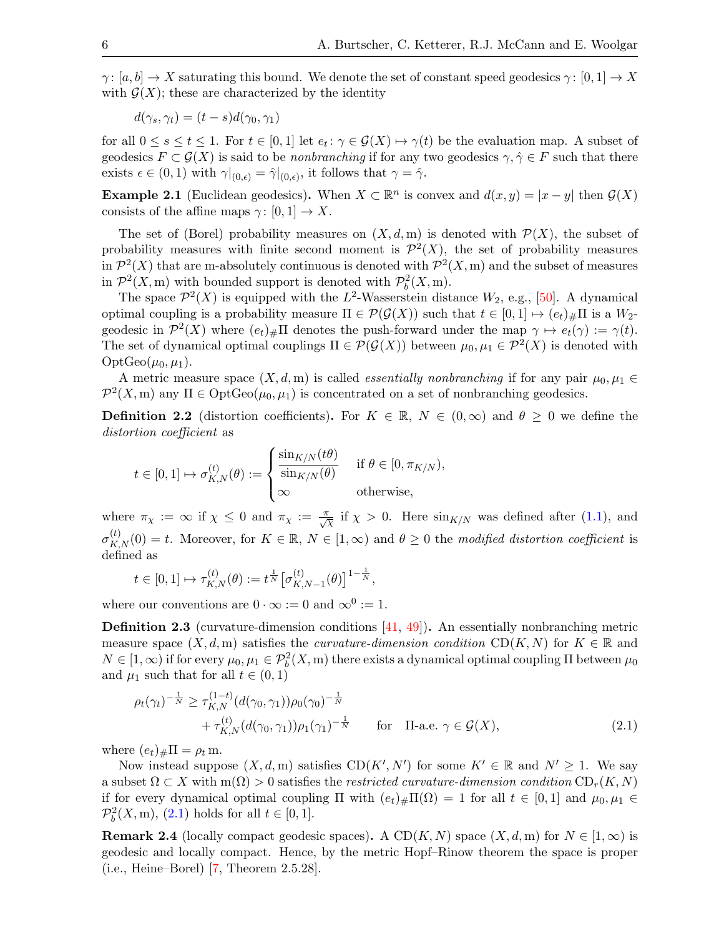$\gamma: [a, b] \to X$  saturating this bound. We denote the set of constant speed geodesics  $\gamma: [0, 1] \to X$ with  $\mathcal{G}(X)$ ; these are characterized by the identity

$$
d(\gamma_s, \gamma_t) = (t - s)d(\gamma_0, \gamma_1)
$$

for all  $0 \le s \le t \le 1$ . For  $t \in [0,1]$  let  $e_t: \gamma \in \mathcal{G}(X) \mapsto \gamma(t)$  be the evaluation map. A subset of geodesics  $F \subset \mathcal{G}(X)$  is said to be *nonbranching* if for any two geodesics  $\gamma, \gamma \in F$  such that there exists  $\epsilon \in (0,1)$  with  $\gamma|_{(0,\epsilon)} = \hat{\gamma}|_{(0,\epsilon)}$ , it follows that  $\gamma = \hat{\gamma}$ .

**Example 2.1** (Euclidean geodesics). When  $X \subset \mathbb{R}^n$  is convex and  $d(x, y) = |x - y|$  then  $\mathcal{G}(X)$ consists of the affine maps  $\gamma: [0,1] \to X$ .

The set of (Borel) probability measures on  $(X, d, m)$  is denoted with  $\mathcal{P}(X)$ , the subset of probability measures with finite second moment is  $\mathcal{P}^2(X)$ , the set of probability measures in  $\mathcal{P}^2(X)$  that are m-absolutely continuous is denoted with  $\mathcal{P}^2(X,\mathrm{m})$  and the subset of measures in  $\mathcal{P}^2(X,\mathrm{m})$  with bounded support is denoted with  $\mathcal{P}_b^2(X,\mathrm{m})$ .

The space  $\mathcal{P}^2(X)$  is equipped with the L<sup>2</sup>-Wasserstein distance  $W_2$ , e.g., [\[50\]](#page-28-3). A dynamical optimal coupling is a probability measure  $\Pi \in \mathcal{P}(\mathcal{G}(X))$  such that  $t \in [0,1] \mapsto (e_t)_\# \Pi$  is a  $W_2$ geodesic in  $\mathcal{P}^2(X)$  where  $(e_t)_\# \Pi$  denotes the push-forward under the map  $\gamma \mapsto e_t(\gamma) := \gamma(t)$ . The set of dynamical optimal couplings  $\Pi \in \mathcal{P}(\mathcal{G}(X))$  between  $\mu_0, \mu_1 \in \mathcal{P}^2(X)$  is denoted with  $OptGeo(\mu_0, \mu_1).$ 

A metric measure space  $(X, d, m)$  is called *essentially nonbranching* if for any pair  $\mu_0, \mu_1 \in$  $\mathcal{P}^2(X,\mathrm{m})$  any  $\Pi \in \mathrm{OptGeo}(\mu_0,\mu_1)$  is concentrated on a set of nonbranching geodesics.

**Definition 2.2** (distortion coefficients). For  $K \in \mathbb{R}$ ,  $N \in (0,\infty)$  and  $\theta \geq 0$  we define the distortion coefficient as

$$
t \in [0,1] \mapsto \sigma_{K,N}^{(t)}(\theta) := \begin{cases} \frac{\sin_{K/N}(t\theta)}{\sin_{K/N}(\theta)} & \text{if } \theta \in [0, \pi_{K/N}), \\ \infty & \text{otherwise,} \end{cases}
$$

where  $\pi_{\chi} := \infty$  if  $\chi \leq 0$  and  $\pi_{\chi} := \frac{\pi}{\sqrt{\chi}}$  if  $\chi > 0$ . Here  $\sin_{K/N}$  was defined after [\(1.1\)](#page-1-1), and  $\sigma_{K,N}^{(t)}(0) = t$ . Moreover, for  $K \in \mathbb{R}$ ,  $N \in [1,\infty)$  and  $\theta \geq 0$  the modified distortion coefficient is defined as

$$
t \in [0, 1] \mapsto \tau_{K,N}^{(t)}(\theta) := t^{\frac{1}{N}} \left[ \sigma_{K,N-1}^{(t)}(\theta) \right]^{1-\frac{1}{N}},
$$

where our conventions are  $0 \cdot \infty := 0$  and  $\infty^0 := 1$ .

<span id="page-5-0"></span>Definition 2.3 (curvature-dimension conditions [\[41,](#page-27-16) [49\]](#page-28-1)). An essentially nonbranching metric measure space  $(X, d, m)$  satisfies the *curvature-dimension condition* CD(K, N) for  $K \in \mathbb{R}$  and  $N \in [1,\infty)$  if for every  $\mu_0, \mu_1 \in \mathcal{P}_b^2(X,\mathrm{m})$  there exists a dynamical optimal coupling  $\Pi$  between  $\mu_0$ and  $\mu_1$  such that for all  $t \in (0,1)$ 

<span id="page-5-1"></span>
$$
\rho_t(\gamma_t)^{-\frac{1}{N}} \ge \tau_{K,N}^{(1-t)}(d(\gamma_0, \gamma_1))\rho_0(\gamma_0)^{-\frac{1}{N}} + \tau_{K,N}^{(t)}(d(\gamma_0, \gamma_1))\rho_1(\gamma_1)^{-\frac{1}{N}} \quad \text{for} \quad \Pi\text{-a.e. } \gamma \in \mathcal{G}(X),
$$
\n(2.1)

where  $(e_t)_\# \Pi = \rho_t \,\text{m}$ .

Now instead suppose  $(X, d, m)$  satisfies  $CD(K', N')$  for some  $K' \in \mathbb{R}$  and  $N' \geq 1$ . We say a subset  $\Omega \subset X$  with  $m(\Omega) > 0$  satisfies the restricted curvature-dimension condition  $CD_r(K, N)$ if for every dynamical optimal coupling  $\Pi$  with  $(e_t)_\# \Pi(\Omega) = 1$  for all  $t \in [0,1]$  and  $\mu_0, \mu_1 \in$  $\mathcal{P}_{b}^{2}(X, m), (2.1)$  $\mathcal{P}_{b}^{2}(X, m), (2.1)$  holds for all  $t \in [0, 1].$ 

<span id="page-5-2"></span>**Remark 2.4** (locally compact geodesic spaces). A CD(K, N) space  $(X, d, m)$  for  $N \in [1, \infty)$  is geodesic and locally compact. Hence, by the metric Hopf–Rinow theorem the space is proper (i.e., Heine–Borel) [\[7,](#page-26-6) Theorem 2.5.28].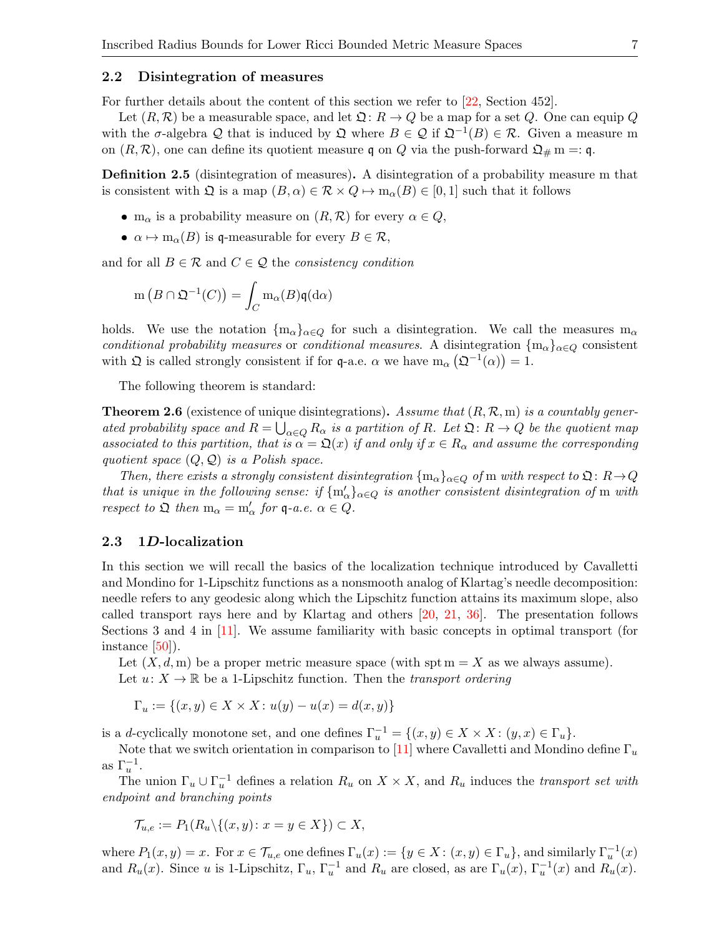## 2.2 Disintegration of measures

For further details about the content of this section we refer to [\[22,](#page-27-17) Section 452].

Let  $(R, R)$  be a measurable space, and let  $\mathfrak{Q} : R \to Q$  be a map for a set Q. One can equip Q with the  $\sigma$ -algebra Q that is induced by  $\mathfrak{Q}$  where  $B \in \mathcal{Q}$  if  $\mathfrak{Q}^{-1}(B) \in \mathcal{R}$ . Given a measure m on  $(R, R)$ , one can define its quotient measure q on Q via the push-forward  $\mathfrak{Q}_{\#}$  m =: q.

<span id="page-6-1"></span>Definition 2.5 (disintegration of measures). A disintegration of a probability measure m that is consistent with  $\mathfrak{Q}$  is a map  $(B, \alpha) \in \mathcal{R} \times Q \mapsto \mathfrak{m}_{\alpha}(B) \in [0, 1]$  such that it follows

- m<sub>α</sub> is a probability measure on  $(R, R)$  for every  $\alpha \in Q$ ,
- $\alpha \mapsto m_{\alpha}(B)$  is q-measurable for every  $B \in \mathcal{R}$ ,

and for all  $B \in \mathcal{R}$  and  $C \in \mathcal{Q}$  the consistency condition

$$
m(B \cap \mathfrak{Q}^{-1}(C)) = \int_C m_{\alpha}(B)\mathfrak{q}(d\alpha)
$$

holds. We use the notation  ${m_\alpha}_{\alpha\in Q}$  for such a disintegration. We call the measures  $m_\alpha$ conditional probability measures or conditional measures. A disintegration  $\{m_\alpha\}_{\alpha\in\mathcal{O}}$  consistent with  $\Omega$  is called strongly consistent if for q-a.e.  $\alpha$  we have  $m_{\alpha}(\Omega^{-1}(\alpha)) = 1$ .

The following theorem is standard:

**Theorem 2.6** (existence of unique disintegrations). Assume that  $(R, \mathcal{R}, m)$  is a countably generated probability space and  $R = \bigcup_{\alpha \in Q} R_{\alpha}$  is a partition of R. Let  $\mathfrak{Q} : R \to Q$  be the quotient map associated to this partition, that is  $\alpha = \mathfrak{Q}(x)$  if and only if  $x \in R_{\alpha}$  and assume the corresponding quotient space  $(Q, Q)$  is a Polish space.

Then, there exists a strongly consistent disintegration  ${m_\alpha}_{\alpha\in Q}$  of m with respect to  $\mathfrak{Q}: R\rightarrow Q$ that is unique in the following sense: if  ${m'_{\alpha}}_{\alpha \in Q}$  is another consistent disintegration of m with respect to  $\mathfrak{Q}$  then  $m_{\alpha} = m'_{\alpha}$  for  $\mathfrak{q}$ -a.e.  $\alpha \in Q$ .

### <span id="page-6-0"></span>2.3 1D-localization

In this section we will recall the basics of the localization technique introduced by Cavalletti and Mondino for 1-Lipschitz functions as a nonsmooth analog of Klartag's needle decomposition: needle refers to any geodesic along which the Lipschitz function attains its maximum slope, also called transport rays here and by Klartag and others [\[20,](#page-26-7) [21,](#page-27-18) [36\]](#page-27-19). The presentation follows Sections 3 and 4 in [\[11\]](#page-26-1). We assume familiarity with basic concepts in optimal transport (for instance [\[50\]](#page-28-3)).

Let  $(X, d, m)$  be a proper metric measure space (with spt  $m = X$  as we always assume). Let  $u: X \to \mathbb{R}$  be a 1-Lipschitz function. Then the transport ordering

 $\Gamma_u := \{(x, y) \in X \times X : u(y) - u(x) = d(x, y)\}\$ 

is a d-cyclically monotone set, and one defines  $\Gamma_u^{-1} = \{(x, y) \in X \times X : (y, x) \in \Gamma_u\}.$ 

Note that we switch orientation in comparison to [\[11\]](#page-26-1) where Cavalletti and Mondino define  $\Gamma_u$ as  $\Gamma_u^{-1}$ .

The union  $\Gamma_u \cup \Gamma_u^{-1}$  defines a relation  $R_u$  on  $X \times X$ , and  $R_u$  induces the *transport set with* endpoint and branching points

$$
\mathcal{T}_{u,e} := P_1(R_u \setminus \{(x,y): x = y \in X\}) \subset X,
$$

where  $P_1(x, y) = x$ . For  $x \in \mathcal{T}_{u,e}$  one defines  $\Gamma_u(x) := \{y \in X : (x, y) \in \Gamma_u\}$ , and similarly  $\Gamma_u^{-1}(x)$ and  $R_u(x)$ . Since u is 1-Lipschitz,  $\Gamma_u$ ,  $\Gamma_u^{-1}$  and  $R_u$  are closed, as are  $\Gamma_u(x)$ ,  $\Gamma_u^{-1}(x)$  and  $R_u(x)$ .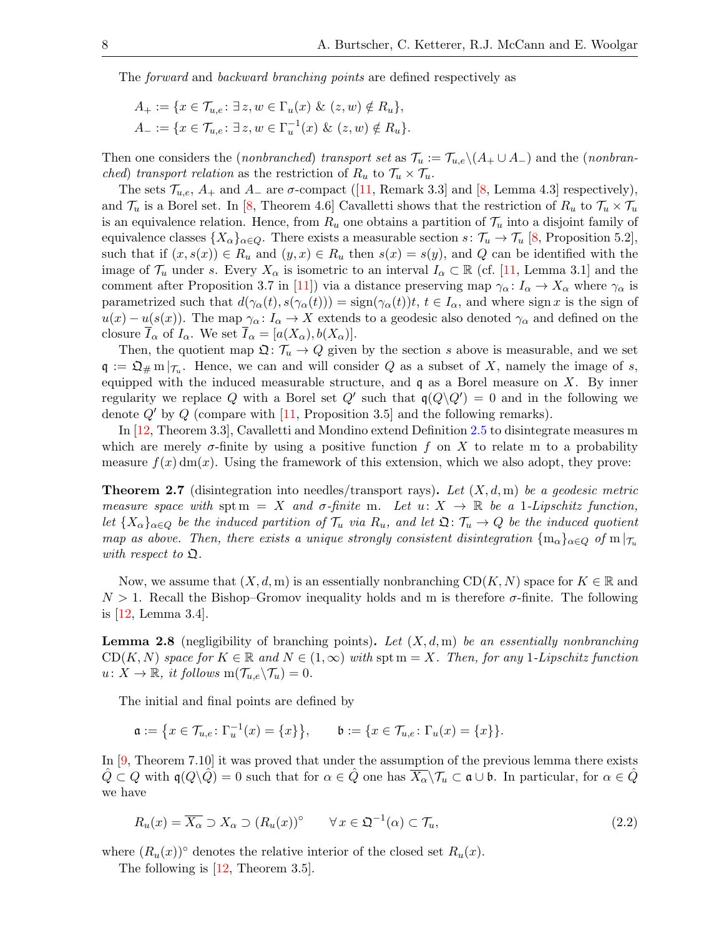The forward and backward branching points are defined respectively as

$$
A_{+} := \{ x \in \mathcal{T}_{u,e} \colon \exists z, w \in \Gamma_u(x) \& (z,w) \notin R_u \},\newline A_{-} := \{ x \in \mathcal{T}_{u,e} \colon \exists z, w \in \Gamma_u^{-1}(x) \& (z,w) \notin R_u \}.
$$

Then one considers the (*nonbranched*) transport set as  $\mathcal{T}_u := \mathcal{T}_{u,e} \setminus (A_+ \cup A_-)$  and the (*nonbranched)* transport relation as the restriction of  $R_u$  to  $\mathcal{T}_u \times \mathcal{T}_u$ .

Thesets  $\mathcal{T}_{u,e}$ ,  $A_+$  and  $A_-$  are  $\sigma$ -compact ([\[11,](#page-26-1) Remark 3.3] and [\[8,](#page-26-8) Lemma 4.3] respectively), and  $\mathcal{T}_u$  is a Borel set. In [\[8,](#page-26-8) Theorem 4.6] Cavalletti shows that the restriction of  $R_u$  to  $\mathcal{T}_u \times \mathcal{T}_u$ is an equivalence relation. Hence, from  $R_u$  one obtains a partition of  $\mathcal{T}_u$  into a disjoint family of equivalence classes  $\{X_{\alpha}\}_{{\alpha}\in Q}$ . There exists a measurable section  $s: \mathcal{T}_u \to \mathcal{T}_u$  [\[8,](#page-26-8) Proposition 5.2], such that if  $(x, s(x)) \in R_u$  and  $(y, x) \in R_u$  then  $s(x) = s(y)$ , and Q can be identified with the image of  $\mathcal{T}_u$  under s. Every  $X_\alpha$  is isometric to an interval  $I_\alpha \subset \mathbb{R}$  (cf. [\[11,](#page-26-1) Lemma 3.1] and the comment after Proposition 3.7 in [\[11\]](#page-26-1)) via a distance preserving map  $\gamma_{\alpha} : I_{\alpha} \to X_{\alpha}$  where  $\gamma_{\alpha}$  is parametrized such that  $d(\gamma_\alpha(t), s(\gamma_\alpha(t))) = \text{sign}(\gamma_\alpha(t))t$ ,  $t \in I_\alpha$ , and where sign x is the sign of  $u(x) - u(s(x))$ . The map  $\gamma_{\alpha} : I_{\alpha} \to X$  extends to a geodesic also denoted  $\gamma_{\alpha}$  and defined on the closure  $\overline{I}_{\alpha}$  of  $I_{\alpha}$ . We set  $\overline{I}_{\alpha} = [a(X_{\alpha}), b(X_{\alpha})]$ .

Then, the quotient map  $\mathfrak{Q} : \mathcal{T}_u \to Q$  given by the section s above is measurable, and we set  $\mathfrak{q} := \mathfrak{Q}_\# \mathrm{m}|_{\mathcal{T}_u}$ . Hence, we can and will consider Q as a subset of X, namely the image of s, equipped with the induced measurable structure, and  $\mathfrak q$  as a Borel measure on X. By inner regularity we replace Q with a Borel set  $Q'$  such that  $\mathfrak{q}(Q \setminus Q') = 0$  and in the following we denote  $Q'$  by  $Q$  (compare with [\[11,](#page-26-1) Proposition 3.5] and the following remarks).

In [\[12,](#page-26-9) Theorem 3.3], Cavalletti and Mondino extend Definition [2.5](#page-6-1) to disintegrate measures m which are merely  $\sigma$ -finite by using a positive function f on X to relate m to a probability measure  $f(x)$  dm(x). Using the framework of this extension, which we also adopt, they prove:

<span id="page-7-0"></span>**Theorem 2.7** (disintegration into needles/transport rays). Let  $(X, d, m)$  be a geodesic metric measure space with spt m = X and  $\sigma$ -finite m. Let  $u: X \to \mathbb{R}$  be a 1-Lipschitz function, let  ${X_{\alpha}}_{\alpha\in Q}$  be the induced partition of  $\mathcal{T}_u$  via  $R_u$ , and let  $\mathfrak{Q}$ :  $\mathcal{T}_u \to Q$  be the induced quotient map as above. Then, there exists a unique strongly consistent disintegration  $\{\mathfrak{m}_{\alpha}\}_{{\alpha}\in Q}$  of  $\mathfrak{m}|_{\mathcal{T}_u}$ with respect to  $\mathfrak{Q}$ .

Now, we assume that  $(X, d, m)$  is an essentially nonbranching  $CD(K, N)$  space for  $K \in \mathbb{R}$  and  $N > 1$ . Recall the Bishop–Gromov inequality holds and m is therefore  $\sigma$ -finite. The following is [\[12,](#page-26-9) Lemma 3.4].

<span id="page-7-1"></span>**Lemma 2.8** (negligibility of branching points). Let  $(X, d, m)$  be an essentially nonbranching  $CD(K, N)$  space for  $K \in \mathbb{R}$  and  $N \in (1, \infty)$  with spt  $m = X$ . Then, for any 1-Lipschitz function  $u: X \to \mathbb{R}, \text{ it follows } m(\mathcal{T}_{u,e} \backslash \mathcal{T}_u) = 0.$ 

The initial and final points are defined by

$$
\mathfrak{a}:=\big\{x\in \mathcal{T}_{u,e}\colon \Gamma_u^{-1}(x)=\{x\}\big\},\qquad \mathfrak{b}:=\{x\in \mathcal{T}_{u,e}\colon \Gamma_u(x)=\{x\}\}.
$$

In [\[9,](#page-26-10) Theorem 7.10] it was proved that under the assumption of the previous lemma there exists  $\hat{Q} \subset Q$  with  $\mathfrak{q}(Q \backslash \hat{Q}) = 0$  such that for  $\alpha \in \hat{Q}$  one has  $\overline{X_{\alpha}} \backslash \mathcal{T}_{u} \subset \mathfrak{a} \cup \mathfrak{b}$ . In particular, for  $\alpha \in \hat{Q}$ we have

<span id="page-7-2"></span>
$$
R_u(x) = \overline{X_{\alpha}} \supset X_{\alpha} \supset (R_u(x))^{\circ} \qquad \forall x \in \mathfrak{Q}^{-1}(\alpha) \subset \mathcal{T}_u,
$$
\n
$$
(2.2)
$$

where  $(R_u(x))$ <sup>°</sup> denotes the relative interior of the closed set  $R_u(x)$ .

The following is [\[12,](#page-26-9) Theorem 3.5].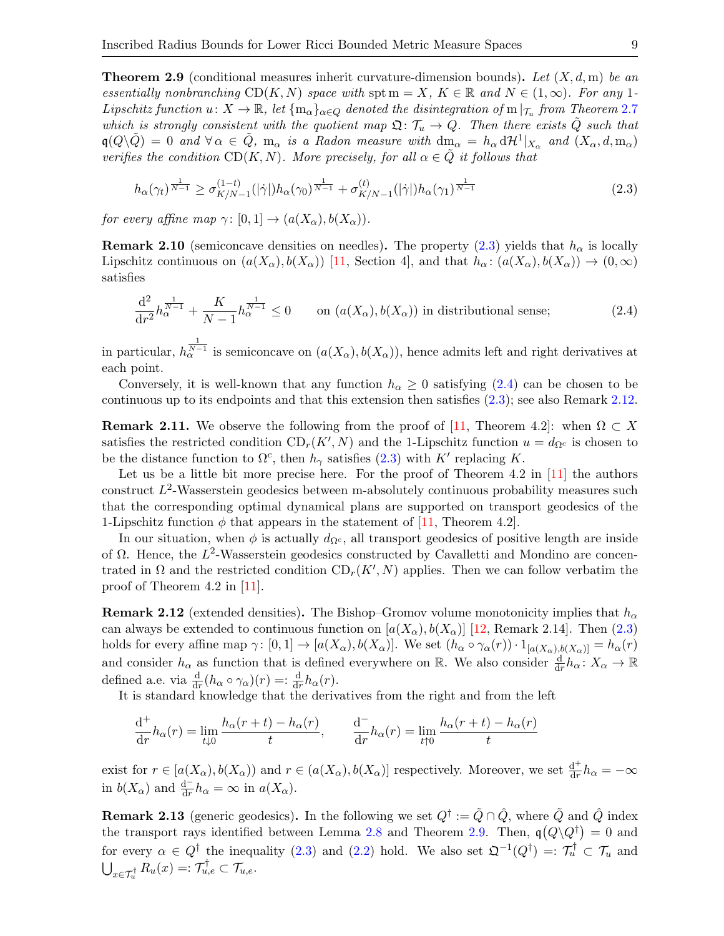<span id="page-8-3"></span>**Theorem 2.9** (conditional measures inherit curvature-dimension bounds). Let  $(X, d, m)$  be an essentially nonbranching  $CD(K, N)$  space with spt  $m = X, K \in \mathbb{R}$  and  $N \in (1, \infty)$ . For any 1-Lipschitz function  $u: X \to \mathbb{R}$ , let  $\{\mathfrak{m}_{\alpha}\}_{{\alpha}\in Q}$  denoted the disintegration of  $\mathfrak{m}|_{\mathcal{T}_u}$  from Theorem [2.7](#page-7-0) which is strongly consistent with the quotient map  $\mathfrak{Q}:\mathcal{T}_u\to Q$ . Then there exists Q such that  $\mathfrak{q}(Q\setminus\tilde{Q}) = 0$  and  $\forall \alpha \in \tilde{Q}$ ,  $m_{\alpha}$  is a Radon measure with  $dm_{\alpha} = h_{\alpha} d\mathcal{H}^{1}|_{X_{\alpha}}$  and  $(X_{\alpha}, d, m_{\alpha})$ verifies the condition  $CD(K, N)$ . More precisely, for all  $\alpha \in Q$  it follows that

<span id="page-8-0"></span>
$$
h_{\alpha}(\gamma_t)^{\frac{1}{N-1}} \ge \sigma_{K/N-1}^{(1-t)}(|\dot{\gamma}|)h_{\alpha}(\gamma_0)^{\frac{1}{N-1}} + \sigma_{K/N-1}^{(t)}(|\dot{\gamma}|)h_{\alpha}(\gamma_1)^{\frac{1}{N-1}}
$$
(2.3)

for every affine map  $\gamma: [0, 1] \to (a(X_{\alpha}), b(X_{\alpha})).$ 

<span id="page-8-6"></span>**Remark 2.10** (semiconcave densities on needles). The property  $(2.3)$  yields that  $h_{\alpha}$  is locally Lipschitz continuous on  $(a(X_{\alpha}), b(X_{\alpha}))$  [\[11,](#page-26-1) Section 4], and that  $h_{\alpha} : (a(X_{\alpha}), b(X_{\alpha})) \to (0, \infty)$ satisfies

<span id="page-8-1"></span>
$$
\frac{\mathrm{d}^2}{\mathrm{d}r^2}h_{\alpha}^{\frac{1}{N-1}} + \frac{K}{N-1}h_{\alpha}^{\frac{1}{N-1}} \le 0 \qquad \text{on } (a(X_{\alpha}), b(X_{\alpha})) \text{ in distributional sense;}
$$
 (2.4)

in particular,  $h_{\alpha}^{\frac{1}{N-1}}$  is semiconcave on  $(a(X_{\alpha}), b(X_{\alpha}))$ , hence admits left and right derivatives at each point.

Conversely, it is well-known that any function  $h_{\alpha} \geq 0$  satisfying [\(2.4\)](#page-8-1) can be chosen to be continuous up to its endpoints and that this extension then satisfies [\(2.3\)](#page-8-0); see also Remark [2.12.](#page-8-2)

<span id="page-8-5"></span>**Remark 2.11.** We observe the following from the proof of [\[11,](#page-26-1) Theorem 4.2]: when  $\Omega \subset X$ satisfies the restricted condition  $CD_r(K', N)$  and the 1-Lipschitz function  $u = d_{\Omega^c}$  is chosen to be the distance function to  $\Omega^c$ , then  $h_{\gamma}$  satisfies [\(2.3\)](#page-8-0) with K' replacing K.

Let us be a little bit more precise here. For the proof of Theorem 4.2 in  $[11]$  the authors construct  $L^2$ -Wasserstein geodesics between m-absolutely continuous probability measures such that the corresponding optimal dynamical plans are supported on transport geodesics of the 1-Lipschitz function  $\phi$  that appears in the statement of [\[11,](#page-26-1) Theorem 4.2].

In our situation, when  $\phi$  is actually  $d_{\Omega^c}$ , all transport geodesics of positive length are inside of  $\Omega$ . Hence, the  $L^2$ -Wasserstein geodesics constructed by Cavalletti and Mondino are concentrated in  $\Omega$  and the restricted condition  $CD_r(K', N)$  applies. Then we can follow verbatim the proof of Theorem 4.2 in [\[11\]](#page-26-1).

<span id="page-8-2"></span>**Remark 2.12** (extended densities). The Bishop–Gromov volume monotonicity implies that  $h_{\alpha}$ can always be extended to continuous function on  $[a(X_{\alpha}), b(X_{\alpha})]$  [\[12,](#page-26-9) Remark 2.14]. Then [\(2.3\)](#page-8-0) holds for every affine map  $\gamma: [0,1] \to [a(X_{\alpha}), b(X_{\alpha})]$ . We set  $(h_{\alpha} \circ \gamma_{\alpha}(r)) \cdot 1_{[a(X_{\alpha}), b(X_{\alpha})]} = h_{\alpha}(r)$ and consider  $h_{\alpha}$  as function that is defined everywhere on R. We also consider  $\frac{d}{dr}h_{\alpha} : X_{\alpha} \to \mathbb{R}$ defined a.e. via  $\frac{d}{dr}(h_{\alpha} \circ \gamma_{\alpha})(r) = \frac{d}{dr}h_{\alpha}(r)$ .

It is standard knowledge that the derivatives from the right and from the left

$$
\frac{d^+}{dr}h_\alpha(r) = \lim_{t \downarrow 0} \frac{h_\alpha(r+t) - h_\alpha(r)}{t}, \qquad \frac{d^-}{dr}h_\alpha(r) = \lim_{t \uparrow 0} \frac{h_\alpha(r+t) - h_\alpha(r)}{t}
$$

exist for  $r \in [a(X_{\alpha}), b(X_{\alpha}))$  and  $r \in (a(X_{\alpha}), b(X_{\alpha})]$  respectively. Moreover, we set  $\frac{d^{+}}{dr}$  $\frac{\mathrm{d}^+}{\mathrm{d}r}h_\alpha = -\infty$ in  $b(X_{\alpha})$  and  $\frac{d^{-}}{dr}h_{\alpha} = \infty$  in  $a(X_{\alpha})$ .

<span id="page-8-4"></span>**Remark 2.13** (generic geodesics). In the following we set  $Q^{\dagger} := \tilde{Q} \cap \hat{Q}$ , where  $\tilde{Q}$  and  $\hat{Q}$  index the transport rays identified between Lemma [2.8](#page-7-1) and Theorem [2.9.](#page-8-3) Then,  $q(Q\backslash Q^{\dagger})=0$  and for every  $\alpha \in Q^{\dagger}$  the inequality [\(2.3\)](#page-8-0) and [\(2.2\)](#page-7-2) hold. We also set  $\mathfrak{Q}^{-1}(Q^{\dagger}) =: \mathcal{T}_u^{\dagger} \subset \mathcal{T}_u$  and  $\bigcup_{x \in \mathcal{T}_u^{\dagger}} R_u(x) =: \mathcal{T}_{u,e}^{\dagger} \subset \mathcal{T}_{u,e}.$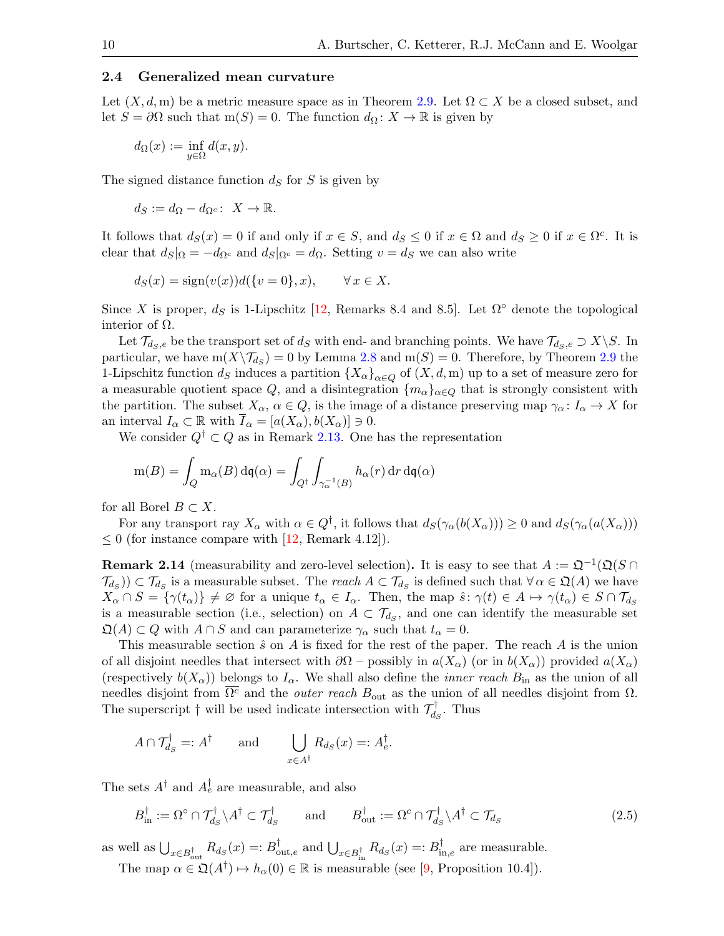## <span id="page-9-0"></span>2.4 Generalized mean curvature

Let  $(X, d, m)$  be a metric measure space as in Theorem [2.9.](#page-8-3) Let  $\Omega \subset X$  be a closed subset, and let  $S = \partial \Omega$  such that m(S) = 0. The function  $d_{\Omega}: X \to \mathbb{R}$  is given by

$$
d_{\Omega}(x) := \inf_{y \in \Omega} d(x, y).
$$

The signed distance function  $d<sub>S</sub>$  for S is given by

 $d_S := d_{\Omega} - d_{\Omega^c}: X \to \mathbb{R}.$ 

It follows that  $d_S(x) = 0$  if and only if  $x \in S$ , and  $d_S \leq 0$  if  $x \in \Omega$  and  $d_S \geq 0$  if  $x \in \Omega^c$ . It is clear that  $d_S|_{\Omega} = -d_{\Omega^c}$  and  $d_S|_{\Omega^c} = d_{\Omega}$ . Setting  $v = d_S$  we can also write

$$
d_S(x) = sign(v(x))d({v = 0}, x), \quad \forall x \in X.
$$

Since X is proper,  $d_S$  is 1-Lipschitz [\[12,](#page-26-9) Remarks 8.4 and 8.5]. Let  $\Omega^{\circ}$  denote the topological interior of  $Ω$ .

Let  $\mathcal{T}_{d_S,e}$  be the transport set of  $d_S$  with end- and branching points. We have  $\mathcal{T}_{d_S,e} \supset X\backslash S$ . In particular, we have  $m(X\setminus \mathcal{T}_{d_S})=0$  by Lemma [2.8](#page-7-1) and  $m(S)=0$ . Therefore, by Theorem [2.9](#page-8-3) the 1-Lipschitz function  $d_S$  induces a partition  $\{X_\alpha\}_{\alpha\in\mathcal{O}}$  of  $(X, d, m)$  up to a set of measure zero for a measurable quotient space Q, and a disintegration  $\{m_{\alpha}\}_{{\alpha}\in Q}$  that is strongly consistent with the partition. The subset  $X_{\alpha}$ ,  $\alpha \in Q$ , is the image of a distance preserving map  $\gamma_{\alpha} : I_{\alpha} \to X$  for an interval  $I_{\alpha} \subset \mathbb{R}$  with  $\overline{I}_{\alpha} = [a(X_{\alpha}), b(X_{\alpha})] \ni 0$ .

We consider  $Q^{\dagger} \subset Q$  as in Remark [2.13.](#page-8-4) One has the representation

$$
m(B) = \int_{Q} m_{\alpha}(B) d\mathfrak{q}(\alpha) = \int_{Q^{\dagger}} \int_{\gamma_{\alpha}^{-1}(B)} h_{\alpha}(r) dr d\mathfrak{q}(\alpha)
$$

for all Borel  $B \subset X$ .

For any transport ray  $X_\alpha$  with  $\alpha \in Q^{\dagger}$ , it follows that  $d_S(\gamma_\alpha(b(X_\alpha))) \geq 0$  and  $d_S(\gamma_\alpha(a(X_\alpha)))$  $\leq 0$  (for instance compare with [\[12,](#page-26-9) Remark 4.12]).

<span id="page-9-1"></span>**Remark 2.14** (measurability and zero-level selection). It is easy to see that  $A := \mathfrak{Q}^{-1}(\mathfrak{Q}(S \cap$  $(\mathcal{T}_{d_S})\subset \mathcal{T}_{d_S}$  is a measurable subset. The *reach*  $A\subset \mathcal{T}_{d_S}$  is defined such that  $\forall \alpha \in \mathfrak{Q}(A)$  we have  $X_{\alpha} \cap S = \{ \gamma(t_{\alpha}) \} \neq \emptyset$  for a unique  $t_{\alpha} \in I_{\alpha}$ . Then, the map  $\hat{s} \colon \gamma(t) \in A \mapsto \gamma(t_{\alpha}) \in S \cap \mathcal{T}_{d_S}$ is a measurable section (i.e., selection) on  $A \subset \mathcal{T}_{d_S}$ , and one can identify the measurable set  $\mathfrak{Q}(A) \subset Q$  with  $A \cap S$  and can parameterize  $\gamma_{\alpha}$  such that  $t_{\alpha} = 0$ .

This measurable section  $\hat{s}$  on A is fixed for the rest of the paper. The reach A is the union of all disjoint needles that intersect with  $\partial\Omega$  – possibly in  $a(X_{\alpha})$  (or in  $b(X_{\alpha})$ ) provided  $a(X_{\alpha})$ (respectively  $b(X_{\alpha})$ ) belongs to  $I_{\alpha}$ . We shall also define the *inner reach*  $B_{\text{in}}$  as the union of all needles disjoint from  $\overline{\Omega^c}$  and the *outer reach*  $B_{\text{out}}$  as the union of all needles disjoint from  $\Omega$ . The superscript  $\dagger$  will be used indicate intersection with  $\mathcal{T}_d^{\dagger}$  $d_S^{\dagger}$ . Thus

$$
A \cap \mathcal{T}_{d_S}^{\dagger} =: A^{\dagger}
$$
 and  $\bigcup_{x \in A^{\dagger}} R_{d_S}(x) =: A_e^{\dagger}.$ 

The sets  $A^{\dagger}$  and  $A^{\dagger}_e$  are measurable, and also

<span id="page-9-2"></span>
$$
B_{\text{in}}^{\dagger} := \Omega^{\circ} \cap \mathcal{T}_{d_{S}}^{\dagger} \setminus A^{\dagger} \subset \mathcal{T}_{d_{S}}^{\dagger} \quad \text{and} \quad B_{\text{out}}^{\dagger} := \Omega^{\circ} \cap \mathcal{T}_{d_{S}}^{\dagger} \setminus A^{\dagger} \subset \mathcal{T}_{d_{S}} \tag{2.5}
$$

as well as  $\bigcup_{x \in B_{\text{out}}^{\dagger}} R_{d_S}(x) =: B_{\text{out},e}^{\dagger}$  and  $\bigcup_{x \in B_{\text{in}}^{\dagger}} R_{d_S}(x) =: B_{\text{in},e}^{\dagger}$  are measurable.

The map  $\alpha \in \mathfrak{Q}(A^{\dagger}) \mapsto h_{\alpha}(0) \in \mathbb{R}$  is measurable (see [\[9,](#page-26-10) Proposition 10.4]).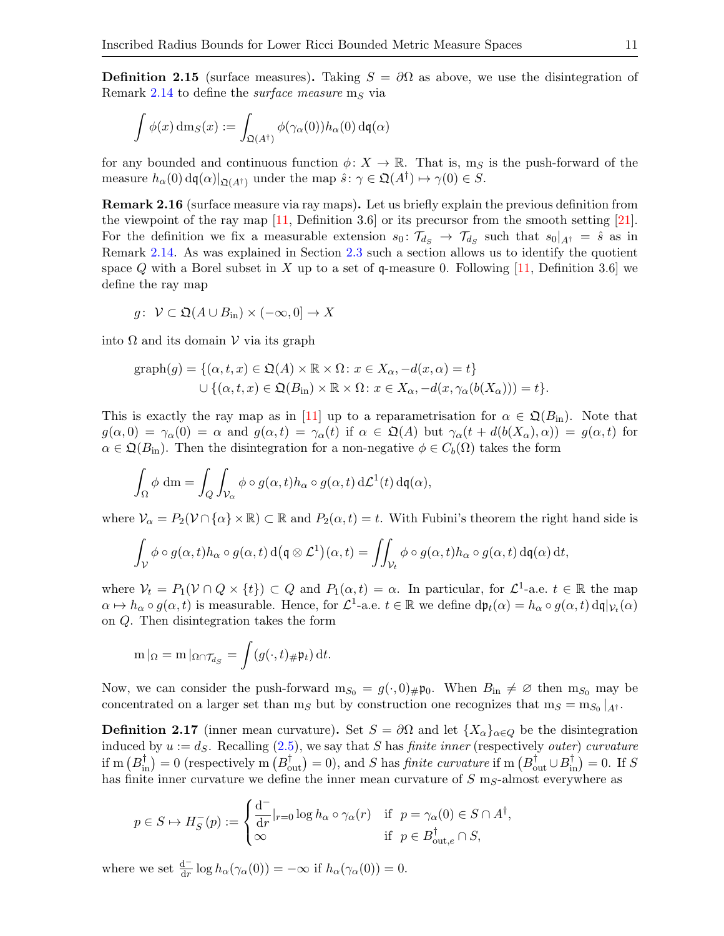<span id="page-10-1"></span>**Definition 2.15** (surface measures). Taking  $S = \partial\Omega$  as above, we use the disintegration of Remark [2.14](#page-9-1) to define the *surface measure* m<sub>S</sub> via

$$
\int \phi(x) \, dm_S(x) := \int_{\mathfrak{Q}(A^\dagger)} \phi(\gamma_\alpha(0)) h_\alpha(0) \, \mathrm{d}\mathfrak{q}(\alpha)
$$

for any bounded and continuous function  $\phi: X \to \mathbb{R}$ . That is, m<sub>S</sub> is the push-forward of the measure  $h_{\alpha}(0) d\mathfrak{q}(\alpha)|_{\mathfrak{Q}(A^{\dagger})}$  under the map  $\hat{s} \colon \gamma \in \mathfrak{Q}(A^{\dagger}) \mapsto \gamma(0) \in S$ .

<span id="page-10-2"></span>Remark 2.16 (surface measure via ray maps). Let us briefly explain the previous definition from the viewpoint of the ray map  $[11,$  Definition 3.6 or its precursor from the smooth setting  $[21]$ . For the definition we fix a measurable extension  $s_0: \mathcal{T}_{d_S} \to \mathcal{T}_{d_S}$  such that  $s_0|_{A^{\dagger}} = \hat{s}$  as in Remark [2.14.](#page-9-1) As was explained in Section [2.3](#page-6-0) such a section allows us to identify the quotient space Q with a Borel subset in X up to a set of q-measure 0. Following  $[11]$ , Definition 3.6 we define the ray map

$$
g\colon\ \mathcal{V}\subset\mathfrak{Q}(A\cup B_{\mathrm{in}})\times(-\infty,0]\to X
$$

into  $\Omega$  and its domain  $\mathcal V$  via its graph

$$
\text{graph}(g) = \{ (\alpha, t, x) \in \mathfrak{Q}(A) \times \mathbb{R} \times \Omega \colon x \in X_{\alpha}, -d(x, \alpha) = t \}
$$
  

$$
\cup \{ (\alpha, t, x) \in \mathfrak{Q}(B_{\text{in}}) \times \mathbb{R} \times \Omega \colon x \in X_{\alpha}, -d(x, \gamma_{\alpha}(b(X_{\alpha}))) = t \}.
$$

This is exactly the ray map as in [\[11\]](#page-26-1) up to a reparametrisation for  $\alpha \in \mathfrak{Q}(B_{\rm in})$ . Note that  $g(\alpha, 0) = \gamma_\alpha(0) = \alpha$  and  $g(\alpha, t) = \gamma_\alpha(t)$  if  $\alpha \in \mathfrak{Q}(A)$  but  $\gamma_\alpha(t + d(b(X_\alpha), \alpha)) = g(\alpha, t)$  for  $\alpha \in \mathfrak{Q}(B_{\rm in})$ . Then the disintegration for a non-negative  $\phi \in C_b(\Omega)$  takes the form

$$
\int_{\Omega} \phi \, dm = \int_{Q} \int_{\mathcal{V}_{\alpha}} \phi \circ g(\alpha, t) h_{\alpha} \circ g(\alpha, t) \, d\mathcal{L}^{1}(t) \, dq(\alpha),
$$

where  $V_{\alpha} = P_2(\mathcal{V} \cap {\alpha} \times \mathbb{R}) \subset \mathbb{R}$  and  $P_2(\alpha, t) = t$ . With Fubini's theorem the right hand side is

$$
\int_{\mathcal{V}} \phi \circ g(\alpha, t) h_{\alpha} \circ g(\alpha, t) d(\mathfrak{q} \otimes \mathcal{L}^{1})(\alpha, t) = \iint_{\mathcal{V}_{t}} \phi \circ g(\alpha, t) h_{\alpha} \circ g(\alpha, t) d\mathfrak{q}(\alpha) dt,
$$

where  $V_t = P_1(\mathcal{V} \cap Q \times \{t\}) \subset Q$  and  $P_1(\alpha, t) = \alpha$ . In particular, for  $\mathcal{L}^1$ -a.e.  $t \in \mathbb{R}$  the map  $\alpha \mapsto h_{\alpha} \circ g(\alpha, t)$  is measurable. Hence, for  $\mathcal{L}^1$ -a.e.  $t \in \mathbb{R}$  we define  $d\mathfrak{p}_t(\alpha) = h_{\alpha} \circ g(\alpha, t) d\mathfrak{q}|_{\mathcal{V}_t}(\alpha)$ on Q. Then disintegration takes the form

$$
\mathrm{m}\left|_{\Omega}=\mathrm{m}\left|_{\Omega\cap\mathcal{T}_{d_S}}\right.\mathrm{=}\int\limits\left(g(\cdot,t)\mathrm{d}t\right)\mathrm{d}t.
$$

Now, we can consider the push-forward  $m_{S_0} = g(\cdot, 0)_{\#}\mathfrak{p}_0$ . When  $B_{\text{in}} \neq \emptyset$  then  $m_{S_0}$  may be concentrated on a larger set than  $m_S$  but by construction one recognizes that  $m_S = m_{S_0}|_{A^{\dagger}}$ .

<span id="page-10-0"></span>**Definition 2.17** (inner mean curvature). Set  $S = \partial\Omega$  and let  $\{X_{\alpha}\}_{{\alpha}\in Q}$  be the disintegration induced by  $u := d_S$ . Recalling  $(2.5)$ , we say that S has finite inner (respectively outer) curvature if  $m(B_{in}^{\dagger}) = 0$  (respectively  $m(B_{out}^{\dagger}) = 0$ ), and S has *finite curvature* if  $m(B_{out}^{\dagger} \cup B_{in}^{\dagger}) = 0$ . If S has finite inner curvature we define the inner mean curvature of  $S$  m<sub>S</sub>-almost everywhere as

$$
p \in S \mapsto H_S^-(p) := \begin{cases} \frac{\mathrm{d}^-}{\mathrm{d}r}|_{r=0} \log h_\alpha \circ \gamma_\alpha(r) & \text{if } p = \gamma_\alpha(0) \in S \cap A^\dagger, \\ \infty & \text{if } p \in B_{\text{out},e}^\dagger \cap S, \end{cases}
$$

where we set  $\frac{d^{-}}{dr} \log h_{\alpha}(\gamma_{\alpha}(0)) = -\infty$  if  $h_{\alpha}(\gamma_{\alpha}(0)) = 0$ .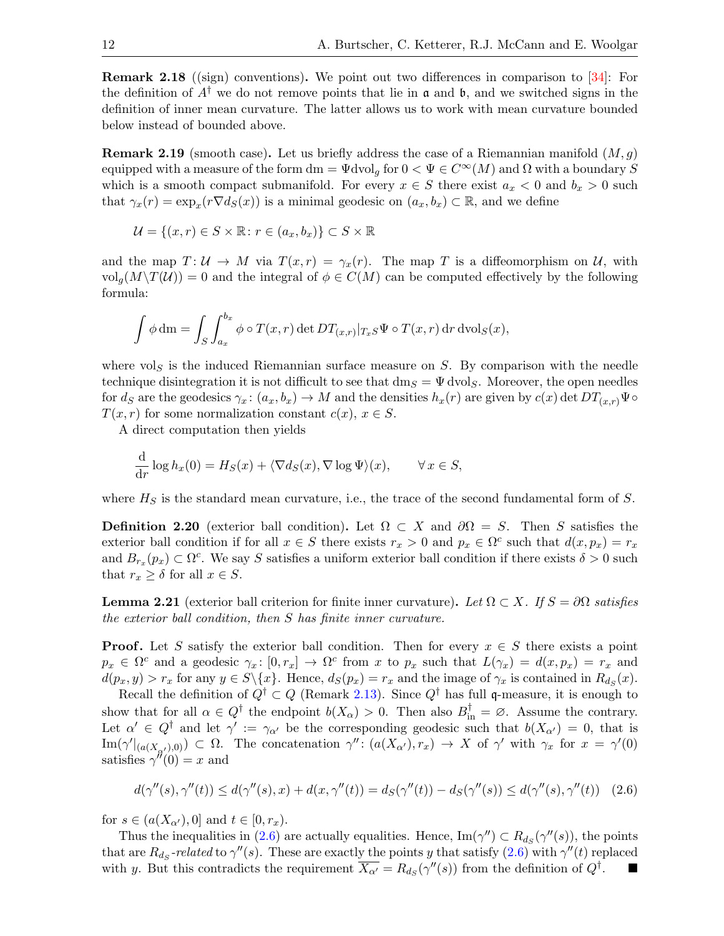Remark 2.18 ((sign) conventions). We point out two differences in comparison to [\[34\]](#page-27-10): For the definition of  $A^{\dagger}$  we do not remove points that lie in  $\frak{a}$  and  $\frak{b}$ , and we switched signs in the definition of inner mean curvature. The latter allows us to work with mean curvature bounded below instead of bounded above.

**Remark 2.19** (smooth case). Let us briefly address the case of a Riemannian manifold  $(M, g)$ equipped with a measure of the form dm =  $\Psi$ dvol<sub>g</sub> for  $0 < \Psi \in C^{\infty}(M)$  and  $\Omega$  with a boundary S which is a smooth compact submanifold. For every  $x \in S$  there exist  $a_x < 0$  and  $b_x > 0$  such that  $\gamma_x(r) = \exp_x(r \nabla d_S(x))$  is a minimal geodesic on  $(a_x, b_x) \subset \mathbb{R}$ , and we define

$$
\mathcal{U} = \{(x, r) \in S \times \mathbb{R} : r \in (a_x, b_x)\} \subset S \times \mathbb{R}
$$

and the map  $T: U \to M$  via  $T(x,r) = \gamma_x(r)$ . The map T is a diffeomorphism on U, with  $vol_q(M\setminus T(\mathcal{U}))=0$  and the integral of  $\phi\in C(M)$  can be computed effectively by the following formula:

$$
\int \phi \, dm = \int_S \int_{a_x}^{b_x} \phi \circ T(x,r) \det DT_{(x,r)}|_{T_xS} \Psi \circ T(x,r) \, dr \, dvol_S(x),
$$

where  $vol_S$  is the induced Riemannian surface measure on S. By comparison with the needle technique disintegration it is not difficult to see that  $dm_S = \Psi \text{dvol}_S$ . Moreover, the open needles for  $d_S$  are the geodesics  $\gamma_x \colon (a_x, b_x) \to M$  and the densities  $h_x(r)$  are given by  $c(x) \det DT_{(x,r)}\Psi \circ$  $T(x, r)$  for some normalization constant  $c(x)$ ,  $x \in S$ .

A direct computation then yields

$$
\frac{\mathrm{d}}{\mathrm{d}r}\log h_x(0) = H_S(x) + \langle \nabla d_S(x), \nabla \log \Psi \rangle(x), \qquad \forall x \in S,
$$

where  $H<sub>S</sub>$  is the standard mean curvature, i.e., the trace of the second fundamental form of S.

**Definition 2.20** (exterior ball condition). Let  $\Omega \subset X$  and  $\partial \Omega = S$ . Then S satisfies the exterior ball condition if for all  $x \in S$  there exists  $r_x > 0$  and  $p_x \in \Omega^c$  such that  $d(x, p_x) = r_x$ and  $B_{r_x}(p_x) \subset \Omega^c$ . We say S satisfies a uniform exterior ball condition if there exists  $\delta > 0$  such that  $r_x \geq \delta$  for all  $x \in S$ .

<span id="page-11-0"></span>**Lemma 2.21** (exterior ball criterion for finite inner curvature). Let  $\Omega \subset X$ . If  $S = \partial \Omega$  satisfies the exterior ball condition, then S has finite inner curvature.

**Proof.** Let S satisfy the exterior ball condition. Then for every  $x \in S$  there exists a point  $p_x \in \Omega^c$  and a geodesic  $\gamma_x: [0, r_x] \to \Omega^c$  from x to  $p_x$  such that  $L(\gamma_x) = d(x, p_x) = r_x$  and  $d(p_x, y) > r_x$  for any  $y \in S \setminus \{x\}$ . Hence,  $d_S(p_x) = r_x$  and the image of  $\gamma_x$  is contained in  $R_{d_S}(x)$ .

Recall the definition of  $Q^{\dagger} \subset Q$  (Remark [2.13\)](#page-8-4). Since  $Q^{\dagger}$  has full q-measure, it is enough to show that for all  $\alpha \in Q^{\dagger}$  the endpoint  $b(X_{\alpha}) > 0$ . Then also  $B_{\text{in}}^{\dagger} = \emptyset$ . Assume the contrary. Let  $\alpha' \in Q^{\dagger}$  and let  $\gamma' := \gamma_{\alpha'}$  be the corresponding geodesic such that  $b(X_{\alpha'}) = 0$ , that is  $\text{Im}(\gamma'_{\vert (a(X_{\alpha'}),0)}) \subset \Omega$ . The concatenation  $\gamma'' : (a(X_{\alpha'}),r_x) \to X$  of  $\gamma'$  with  $\gamma_x$  for  $x = \gamma'(0)$ satisfies  $\gamma''(0) = x$  and

<span id="page-11-1"></span>
$$
d(\gamma''(s), \gamma''(t)) \le d(\gamma''(s), x) + d(x, \gamma''(t)) = d_S(\gamma''(t)) - d_S(\gamma''(s)) \le d(\gamma''(s), \gamma''(t)) \quad (2.6)
$$

for  $s \in (a(X_{\alpha'}), 0]$  and  $t \in [0, r_x)$ .

Thus the inequalities in [\(2.6\)](#page-11-1) are actually equalities. Hence,  $\text{Im}(\gamma'') \subset R_{d_S}(\gamma''(s))$ , the points that are  $R_{ds}$ -related to  $\gamma''(s)$ . These are exactly the points y that satisfy [\(2.6\)](#page-11-1) with  $\gamma''(t)$  replaced with y. But this contradicts the requirement  $\overline{X_{\alpha'}} = R_{d_S}(\gamma''(s))$  from the definition of  $Q^{\dagger}$ .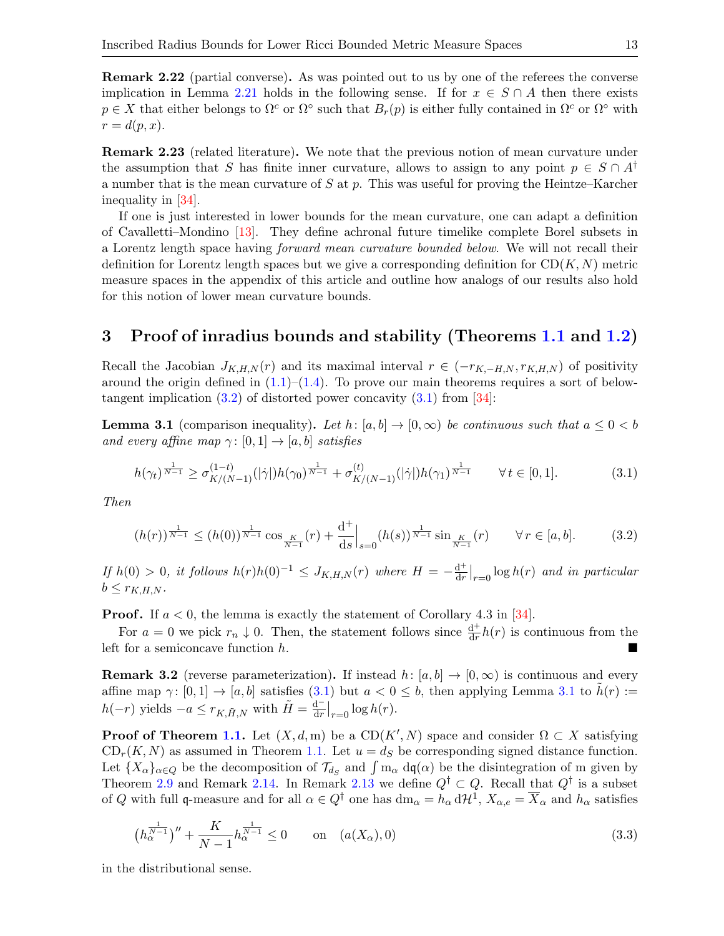Remark 2.22 (partial converse). As was pointed out to us by one of the referees the converse implication in Lemma [2.21](#page-11-0) holds in the following sense. If for  $x \in S \cap A$  then there exists  $p \in X$  that either belongs to  $\Omega^c$  or  $\Omega^{\circ}$  such that  $B_r(p)$  is either fully contained in  $\Omega^c$  or  $\Omega^{\circ}$  with  $r=d(p,x).$ 

Remark 2.23 (related literature). We note that the previous notion of mean curvature under the assumption that S has finite inner curvature, allows to assign to any point  $p \in S \cap A^{\dagger}$ a number that is the mean curvature of S at p. This was useful for proving the Heintze–Karcher inequality in [\[34\]](#page-27-10).

If one is just interested in lower bounds for the mean curvature, one can adapt a definition of Cavalletti–Mondino [\[13\]](#page-26-0). They define achronal future timelike complete Borel subsets in a Lorentz length space having forward mean curvature bounded below. We will not recall their definition for Lorentz length spaces but we give a corresponding definition for  $CD(K, N)$  metric measure spaces in the appendix of this article and outline how analogs of our results also hold for this notion of lower mean curvature bounds.

# 3 Proof of inradius bounds and stability (Theorems [1.1](#page-1-0) and [1.2\)](#page-2-0)

Recall the Jacobian  $J_{K,H,N}(r)$  and its maximal interval  $r \in (-r_{K,-H,N}, r_{K,H,N})$  of positivity around the origin defined in  $(1.1)$ – $(1.4)$ . To prove our main theorems requires a sort of belowtangent implication  $(3.2)$  of distorted power concavity  $(3.1)$  from  $[34]$ :

<span id="page-12-2"></span>**Lemma 3.1** (comparison inequality). Let h:  $[a, b] \rightarrow [0, \infty)$  be continuous such that  $a \leq 0 < b$ and every affine map  $\gamma: [0, 1] \to [a, b]$  satisfies

<span id="page-12-1"></span>
$$
h(\gamma_t)^{\frac{1}{N-1}} \ge \sigma_{K/(N-1)}^{(1-t)}(|\dot{\gamma}|)h(\gamma_0)^{\frac{1}{N-1}} + \sigma_{K/(N-1)}^{(t)}(|\dot{\gamma}|)h(\gamma_1)^{\frac{1}{N-1}} \qquad \forall \, t \in [0,1]. \tag{3.1}
$$

Then

<span id="page-12-0"></span>
$$
(h(r))^{\frac{1}{N-1}} \le (h(0))^{\frac{1}{N-1}} \cos_{\frac{K}{N-1}}(r) + \frac{d^+}{ds} \Big|_{s=0} (h(s))^{\frac{1}{N-1}} \sin_{\frac{K}{N-1}}(r) \qquad \forall r \in [a, b]. \tag{3.2}
$$

If  $h(0) > 0$ , it follows  $h(r)h(0)^{-1} \leq J_{K,H,N}(r)$  where  $H = -\frac{d^+}{dr}$  $\frac{d^+}{dr}\big|_{r=0}$  log  $h(r)$  and in particular  $b \leq r_{K,H,N}$ .

**Proof.** If  $a < 0$ , the lemma is exactly the statement of Corollary 4.3 in [\[34\]](#page-27-10).

For  $a = 0$  we pick  $r_n \downarrow 0$ . Then, the statement follows since  $\frac{d^+}{dr}$  $\frac{d^+}{dr}h(r)$  is continuous from the left for a semiconcave function h.

<span id="page-12-4"></span>**Remark 3.2** (reverse parameterization). If instead  $h: [a, b] \rightarrow [0, \infty)$  is continuous and every affine map  $\gamma: [0,1] \to [a, b]$  satisfies [\(3.1\)](#page-12-1) but  $a < 0 \leq b$ , then applying Lemma [3.1](#page-12-2) to  $h(r) :=$  $h(-r)$  yields  $-a \leq r_{K,\tilde{H},N}$  with  $\tilde{H} = \frac{d}{dr}$  $\frac{d^{-}}{dr}\big|_{r=0} \log h(r).$ 

**Proof of Theorem [1.1.](#page-1-0)** Let  $(X, d, m)$  be a  $CD(K', N)$  space and consider  $\Omega \subset X$  satisfying  $CD_r(K, N)$  as assumed in Theorem [1.1.](#page-1-0) Let  $u = d_S$  be corresponding signed distance function. Let  ${X_\alpha}_{\alpha\in Q}$  be the decomposition of  $\mathcal{T}_{d_S}$  and  $\int m_\alpha d\mathfrak{q}(\alpha)$  be the disintegration of m given by Theorem [2.9](#page-8-3) and Remark [2.14.](#page-9-1) In Remark [2.13](#page-8-4) we define  $Q^{\dagger} \subset Q$ . Recall that  $Q^{\dagger}$  is a subset of Q with full q-measure and for all  $\alpha \in Q^{\dagger}$  one has  $dm_{\alpha} = h_{\alpha} d\mathcal{H}^{1}$ ,  $X_{\alpha,e} = \overline{X}_{\alpha}$  and  $h_{\alpha}$  satisfies

<span id="page-12-3"></span>
$$
\left(h_{\alpha}^{\frac{1}{N-1}}\right)^{\prime\prime} + \frac{K}{N-1}h_{\alpha}^{\frac{1}{N-1}} \le 0 \qquad \text{on} \quad (a(X_{\alpha}),0) \tag{3.3}
$$

in the distributional sense.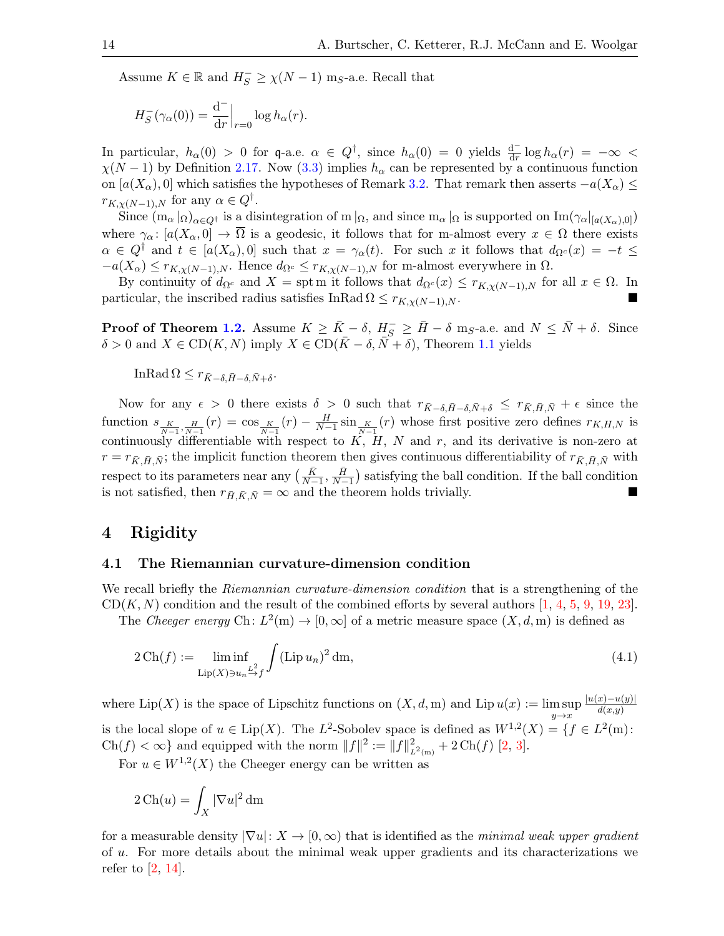Assume  $K \in \mathbb{R}$  and  $H_S^- \ge \chi(N-1)$  m<sub>S</sub>-a.e. Recall that

$$
H_S^-(\gamma_\alpha(0)) = \frac{\mathrm{d}^-}{\mathrm{d} r}\Big|_{r=0} \log h_\alpha(r).
$$

In particular,  $h_{\alpha}(0) > 0$  for q-a.e.  $\alpha \in Q^{\dagger}$ , since  $h_{\alpha}(0) = 0$  yields  $\frac{d^{-}}{dr} \log h_{\alpha}(r) = -\infty$  $\chi(N-1)$  by Definition [2.17.](#page-10-0) Now [\(3.3\)](#page-12-3) implies  $h_{\alpha}$  can be represented by a continuous function on  $[a(X_{\alpha}),0]$  which satisfies the hypotheses of Remark [3.2.](#page-12-4) That remark then asserts  $-a(X_{\alpha}) \leq$  $r_{K,\chi(N-1),N}$  for any  $\alpha \in Q^{\dagger}$ .

Since  $(m_\alpha|_{\Omega})_{\alpha\in Q^{\dagger}}$  is a disintegration of m  $|_{\Omega}$ , and since  $m_\alpha|_{\Omega}$  is supported on  $Im(\gamma_\alpha|_{[a(X_\alpha),0]})$ where  $\gamma_{\alpha} : [a(X_{\alpha}, 0] \to \overline{\Omega}]$  is a geodesic, it follows that for m-almost every  $x \in \Omega$  there exists  $\alpha \in Q^{\dagger}$  and  $t \in [a(X_{\alpha}),0]$  such that  $x = \gamma_{\alpha}(t)$ . For such x it follows that  $d_{\Omega}c(x) = -t \leq$  $-a(X_{\alpha}) \leq r_{K,\chi(N-1),N}$ . Hence  $d_{\Omega^c} \leq r_{K,\chi(N-1),N}$  for m-almost everywhere in  $\Omega$ .

By continuity of  $d_{\Omega^c}$  and  $X = \text{spt m}$  it follows that  $d_{\Omega^c}(x) \leq r_{K,\chi(N-1),N}$  for all  $x \in \Omega$ . In particular, the inscribed radius satisfies InRad  $\Omega \leq r_{K,\gamma(N-1),N}$ .

**Proof of Theorem [1.2.](#page-2-0)** Assume  $K \ge \bar{K} - \delta$ ,  $H_S^- \ge \bar{H} - \delta$  m<sub>S</sub>-a.e. and  $N \le \bar{N} + \delta$ . Since  $\delta > 0$  and  $X \in \text{CD}(K, N)$  imply  $X \in \text{CD}(\overline{K} - \delta, \overline{N} + \delta)$ , Theorem [1.1](#page-1-0) yields

InRad  $\Omega \leq r_{\bar{K}-\delta,\bar{H}-\delta,\bar{N}+\delta}$ .

Now for any  $\epsilon > 0$  there exists  $\delta > 0$  such that  $r_{\bar{K}-\delta,\bar{H}-\delta,\bar{N}+\delta} \leq r_{\bar{K},\bar{H},\bar{N}} + \epsilon$  since the function  $s_{K\over N-1},\frac{H}{N-1}(r) = \cos_{K\over N-1}(r) - \frac{H}{N-1}\sin_{K\over N-1}(r)$  whose first positive zero defines  $r_{K,H,N}$  is continuously differentiable with respect to  $K$ ,  $H$ ,  $N$  and  $r$ , and its derivative is non-zero at  $r = r_{\bar{K}, \bar{H}, \bar{N}}$ ; the implicit function theorem then gives continuous differentiability of  $r_{\bar{K}, \bar{H}, \bar{N}}$  with respect to its parameters near any  $\left(\frac{\bar{K}}{N-1}, \frac{\bar{H}}{N-1}\right)$  $\frac{H}{N-1}$ ) satisfying the ball condition. If the ball condition is not satisfied, then  $r_{\bar{H}, \bar{K}, \bar{N}} = \infty$  and the theorem holds trivially.

## <span id="page-13-1"></span>4 Rigidity

## 4.1 The Riemannian curvature-dimension condition

We recall briefly the *Riemannian curvature-dimension condition* that is a strengthening of the  $CD(K, N)$  condition and the result of the combined efforts by several authors [\[1,](#page-26-11) [4,](#page-26-12) [5,](#page-26-13) [9,](#page-26-10) [19,](#page-26-14) [23\]](#page-27-20).

The Cheeger energy Ch:  $L^2(m) \to [0, \infty]$  of a metric measure space  $(X, d, m)$  is defined as

<span id="page-13-0"></span>
$$
2\operatorname{Ch}(f) := \liminf_{\operatorname{Lip}(X)\ni u_n \stackrel{L^2}{\to} f} \int (\operatorname{Lip} u_n)^2 \operatorname{dm},\tag{4.1}
$$

where  $\text{Lip}(X)$  is the space of Lipschitz functions on  $(X, d, m)$  and  $\text{Lip }u(x) := \limsup$  $y \rightarrow x$  $|u(x)-u(y)|$  $d(x,y)$ is the local slope of  $u \in \text{Lip}(X)$ . The  $L^2$ -Sobolev space is defined as  $W^{1,2}(X) = \{f \in L^2(\text{m})\}$ .  $\text{Ch}(f) < \infty$  and equipped with the norm  $||f||^2 := ||f||^2_{L^2(m)} + 2 \text{Ch}(f)$  [\[2,](#page-26-15) [3\]](#page-26-16).

For  $u \in W^{1,2}(X)$  the Cheeger energy can be written as

$$
2\operatorname{Ch}(u) = \int_X |\nabla u|^2 \,\mathrm{d} \mathbf{m}
$$

for a measurable density  $|\nabla u|: X \to [0,\infty)$  that is identified as the *minimal weak upper gradient* of u. For more details about the minimal weak upper gradients and its characterizations we refer to  $[2, 14]$  $[2, 14]$ .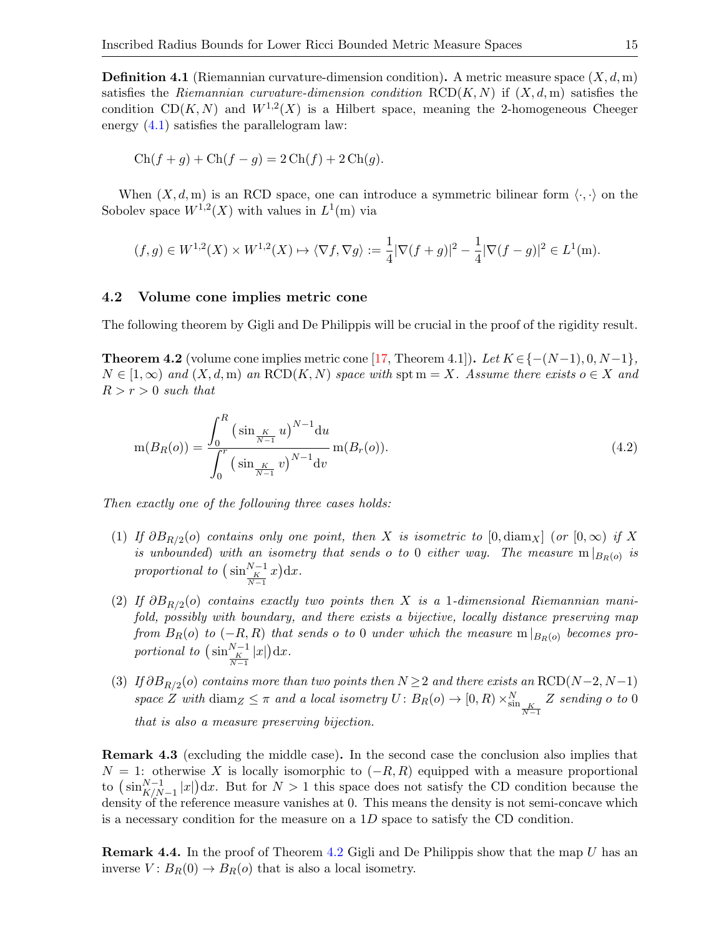<span id="page-14-0"></span>**Definition 4.1** (Riemannian curvature-dimension condition). A metric measure space  $(X, d, m)$ satisfies the Riemannian curvature-dimension condition  $RCD(K, N)$  if  $(X, d, m)$  satisfies the condition CD(K, N) and  $W^{1,2}(X)$  is a Hilbert space, meaning the 2-homogeneous Cheeger energy [\(4.1\)](#page-13-0) satisfies the parallelogram law:

$$
Ch(f + g) + Ch(f - g) = 2 Ch(f) + 2 Ch(g).
$$

When  $(X, d, m)$  is an RCD space, one can introduce a symmetric bilinear form  $\langle \cdot, \cdot \rangle$  on the Sobolev space  $W^{1,2}(X)$  with values in  $L^1(m)$  via

$$
(f,g) \in W^{1,2}(X) \times W^{1,2}(X) \mapsto \langle \nabla f, \nabla g \rangle := \frac{1}{4} |\nabla (f+g)|^2 - \frac{1}{4} |\nabla (f-g)|^2 \in L^1(\mathbf{m}).
$$

#### 4.2 Volume cone implies metric cone

The following theorem by Gigli and De Philippis will be crucial in the proof of the rigidity result.

<span id="page-14-1"></span>**Theorem 4.2** (volume cone implies metric cone [\[17,](#page-26-4) Theorem 4.1]). Let  $K \in \{- (N-1), 0, N-1\}$ ,  $N \in [1,\infty)$  and  $(X,d,m)$  an RCD $(K, N)$  space with spt  $m = X$ . Assume there exists  $o \in X$  and  $R > r > 0$  such that

<span id="page-14-2"></span>
$$
m(B_R(o)) = \frac{\int_0^R \left(\sin{\frac{K}{N-1}}u\right)^{N-1} du}{\int_0^r \left(\sin{\frac{K}{N-1}}v\right)^{N-1} dv} m(B_r(o)).
$$
\n(4.2)

Then exactly one of the following three cases holds:

- (1) If  $\partial B_{R/2}(o)$  contains only one point, then X is isometric to  $[0, \text{diam}_X]$  (or  $[0, \infty)$  if X is unbounded) with an isometry that sends o to 0 either way. The measure  $m|_{B_R(o)}$  is proportional to  $\left(\sin\frac{N-1}{K}x\right)dx$ .
- (2) If  $\partial B_{R/2}(o)$  contains exactly two points then X is a 1-dimensional Riemannian manifold, possibly with boundary, and there exists a bijective, locally distance preserving map from  $B_R(o)$  to  $(-R, R)$  that sends o to 0 under which the measure  $m|_{B_R(o)}$  becomes proportional to  $\left(\sin\frac{N-1}{K}\vert x\vert\right)dx$ .
- (3) If  $\partial B_{R/2}(o)$  contains more than two points then  $N \geq 2$  and there exists an RCD(N-2, N-1) space Z with  $\text{diam}_Z \leq \pi$  and a local isometry  $U: B_R(o) \to [0, R) \times_{\text{sin}}^N \frac{K}{N-1}$ Z sending o to 0 that is also a measure preserving bijection.

<span id="page-14-3"></span>Remark 4.3 (excluding the middle case). In the second case the conclusion also implies that  $N = 1$ : otherwise X is locally isomorphic to  $(-R, R)$  equipped with a measure proportional to  $\left(\sin_{K/N-1}^{N-1}|x|\right)dx$ . But for  $N>1$  this space does not satisfy the CD condition because the density of the reference measure vanishes at 0. This means the density is not semi-concave which is a necessary condition for the measure on a 1D space to satisfy the CD condition.

<span id="page-14-4"></span>**Remark 4.4.** In the proof of Theorem [4.2](#page-14-1) Gigli and De Philippis show that the map  $U$  has an inverse  $V: B_R(0) \to B_R(o)$  that is also a local isometry.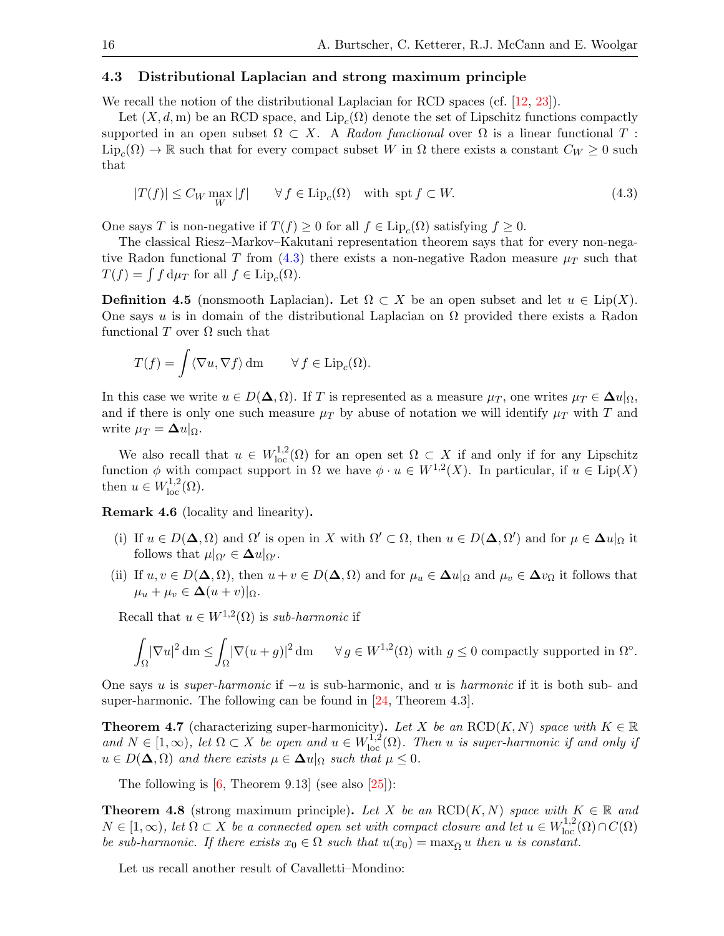## 4.3 Distributional Laplacian and strong maximum principle

We recall the notion of the distributional Laplacian for RCD spaces (cf. [\[12,](#page-26-9) [23\]](#page-27-20)).

Let  $(X, d, m)$  be an RCD space, and  $\text{Lip}_c(\Omega)$  denote the set of Lipschitz functions compactly supported in an open subset  $\Omega \subset X$ . A Radon functional over  $\Omega$  is a linear functional T:  $\text{Lip}_c(\Omega) \to \mathbb{R}$  such that for every compact subset W in  $\Omega$  there exists a constant  $C_W \geq 0$  such that

<span id="page-15-0"></span>
$$
|T(f)| \le C_W \max_W |f| \qquad \forall f \in \text{Lip}_c(\Omega) \quad \text{with spt } f \subset W. \tag{4.3}
$$

One says T is non-negative if  $T(f) \geq 0$  for all  $f \in \text{Lip}_c(\Omega)$  satisfying  $f \geq 0$ .

The classical Riesz–Markov–Kakutani representation theorem says that for every non-nega-tive Radon functional T from [\(4.3\)](#page-15-0) there exists a non-negative Radon measure  $\mu$ <sub>T</sub> such that  $T(f) = \int f d\mu_T$  for all  $f \in \text{Lip}_c(\Omega)$ .

**Definition 4.5** (nonsmooth Laplacian). Let  $\Omega \subset X$  be an open subset and let  $u \in \text{Lip}(X)$ . One says u is in domain of the distributional Laplacian on  $\Omega$  provided there exists a Radon functional  $T$  over  $\Omega$  such that

$$
T(f) = \int \langle \nabla u, \nabla f \rangle \, dm \qquad \forall f \in \text{Lip}_c(\Omega).
$$

In this case we write  $u \in D(\Delta, \Omega)$ . If T is represented as a measure  $\mu_T$ , one writes  $\mu_T \in \Delta u|_{\Omega}$ , and if there is only one such measure  $\mu_T$  by abuse of notation we will identify  $\mu_T$  with T and write  $\mu_T = \Delta u|_{\Omega}$ .

We also recall that  $u \in W^{1,2}_{loc}(\Omega)$  for an open set  $\Omega \subset X$  if and only if for any Lipschitz function  $\phi$  with compact support in  $\Omega$  we have  $\phi \cdot u \in W^{1,2}(X)$ . In particular, if  $u \in \text{Lip}(X)$ then  $u \in W^{1,2}_{loc}(\Omega)$ .

Remark 4.6 (locality and linearity).

- (i) If  $u \in D(\mathbf{\Delta}, \Omega)$  and  $\Omega'$  is open in X with  $\Omega' \subset \Omega$ , then  $u \in D(\mathbf{\Delta}, \Omega')$  and for  $\mu \in \mathbf{\Delta} u|_{\Omega}$  it follows that  $\mu|_{\Omega'} \in \Delta u|_{\Omega'}$ .
- (ii) If  $u, v \in D(\Delta, \Omega)$ , then  $u + v \in D(\Delta, \Omega)$  and for  $\mu_u \in \Delta u|_{\Omega}$  and  $\mu_v \in \Delta v_{\Omega}$  it follows that  $\mu_u + \mu_v \in \Delta(u+v)|_{\Omega}.$

Recall that  $u \in W^{1,2}(\Omega)$  is sub-harmonic if

$$
\int_{\Omega} |\nabla u|^2 \, dm \le \int_{\Omega} |\nabla (u+g)|^2 \, dm \qquad \forall \, g \in W^{1,2}(\Omega) \text{ with } g \le 0 \text{ compactly supported in } \Omega^{\circ}.
$$

One says u is *super-harmonic* if  $-u$  is sub-harmonic, and u is *harmonic* if it is both sub- and super-harmonic. The following can be found in [\[24,](#page-27-21) Theorem 4.3].

**Theorem 4.7** (characterizing super-harmonicity). Let X be an RCD(K, N) space with  $K \in \mathbb{R}$ and  $N \in [1,\infty)$ , let  $\Omega \subset X$  be open and  $u \in W^{1,2}_{loc}(\Omega)$ . Then u is super-harmonic if and only if  $u \in D(\mathbf{\Delta}, \Omega)$  and there exists  $\mu \in \mathbf{\Delta} u|_{\Omega}$  such that  $\mu \leq 0$ .

The following is  $[6,$  Theorem 9.13] (see also  $[25]$ ):

<span id="page-15-1"></span>**Theorem 4.8** (strong maximum principle). Let X be an  $RCD(K, N)$  space with  $K \in \mathbb{R}$  and  $N \in [1,\infty)$ , let  $\Omega \subset X$  be a connected open set with compact closure and let  $u \in W^{1,2}_{loc}(\Omega) \cap C(\Omega)$ be sub-harmonic. If there exists  $x_0 \in \Omega$  such that  $u(x_0) = \max_{\overline{\Omega}} u$  then u is constant.

Let us recall another result of Cavalletti–Mondino: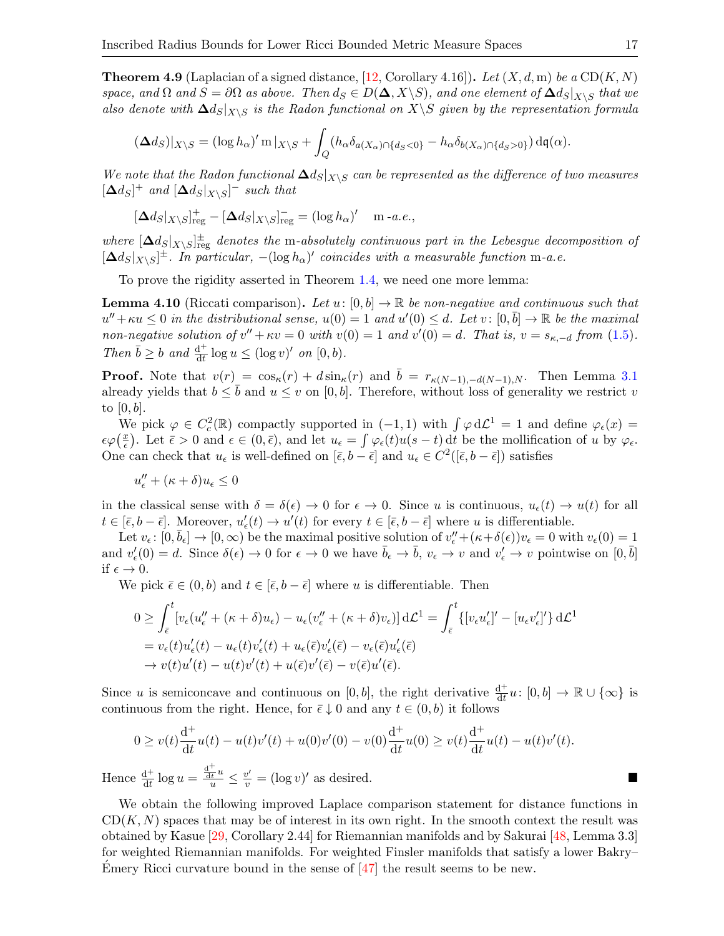<span id="page-16-0"></span>**Theorem 4.9** (Laplacian of a signed distance, [\[12,](#page-26-9) Corollary 4.16]). Let  $(X, d, m)$  be a  $CD(K, N)$ space, and  $\Omega$  and  $S = \partial \Omega$  as above. Then  $d_S \in D(\Delta, X \setminus S)$ , and one element of  $\Delta d_S|_{X \setminus S}$  that we also denote with  $\Delta d_S|_{X\setminus S}$  is the Radon functional on  $X\setminus S$  given by the representation formula

$$
(\Delta d_S)|_{X\setminus S} = (\log h_\alpha)' \operatorname{m}|_{X\setminus S} + \int_Q (h_\alpha \delta_{a(X_\alpha)\cap \{d_S < 0\}} - h_\alpha \delta_{b(X_\alpha)\cap \{d_S > 0\}}) \operatorname{d} \mathfrak{q}(\alpha).
$$

We note that the Radon functional  $\Delta d_S|_{X\setminus S}$  can be represented as the difference of two measures  $[\Delta d_S]^+$  and  $[\Delta d_S|_{X\setminus S}]^-$  such that

$$
[\Delta d_S|_{X\setminus S}]_{\text{reg}}^+ - [\Delta d_S|_{X\setminus S}]_{\text{reg}}^- = (\log h_\alpha)'\ \ \text{m}-a.e.,
$$

where  $[\Delta d_S|_{X\setminus S}]_{\text{reg}}^{\pm}$  denotes the m-absolutely continuous part in the Lebesgue decomposition of  $[\Delta d_S|_{X\setminus S}]^{\pm}$ . In particular,  $-(\log h_{\alpha})'$  coincides with a measurable function m-a.e.

To prove the rigidity asserted in Theorem [1.4,](#page-4-0) we need one more lemma:

<span id="page-16-1"></span>**Lemma 4.10** (Riccati comparison). Let  $u: [0, b] \to \mathbb{R}$  be non-negative and continuous such that  $u'' + \kappa u \leq 0$  in the distributional sense,  $u(0) = 1$  and  $u'(0) \leq d$ . Let  $v : [0, \bar{b}] \to \mathbb{R}$  be the maximal non-negative solution of  $v'' + \kappa v = 0$  with  $v(0) = 1$  and  $v'(0) = d$ . That is,  $v = s_{\kappa, -d}$  from [\(1.5\)](#page-1-3). Then  $\bar{b} \geq b$  and  $\frac{d^+}{dt}$  $\frac{d^+}{dt} \log u \leq (\log v)'$  on  $[0, b)$ .

**Proof.** Note that  $v(r) = \cos_{\kappa}(r) + d \sin_{\kappa}(r)$  and  $\bar{b} = r_{\kappa(N-1),-d(N-1),N}$ . Then Lemma [3.1](#page-12-2) already yields that  $b \leq \bar{b}$  and  $u \leq v$  on [0, b]. Therefore, without loss of generality we restrict v to  $[0, b]$ .

We pick  $\varphi \in C_c^2(\mathbb{R})$  compactly supported in  $(-1,1)$  with  $\int \varphi d\mathcal{L}^1 = 1$  and define  $\varphi_{\epsilon}(x) =$  $\epsilon\varphi\left(\frac{x}{\epsilon}\right)$  $(\frac{x}{\epsilon})$ . Let  $\bar{\epsilon} > 0$  and  $\epsilon \in (0,\bar{\epsilon})$ , and let  $u_{\epsilon} = \int \varphi_{\epsilon}(t)u(s-t) dt$  be the mollification of u by  $\varphi_{\epsilon}$ . One can check that  $u_{\epsilon}$  is well-defined on  $[\bar{\epsilon}, b - \bar{\epsilon}]$  and  $u_{\epsilon} \in C^2([\bar{\epsilon}, b - \bar{\epsilon}])$  satisfies

$$
u_\epsilon''+(\kappa+\delta)u_\epsilon\leq 0
$$

in the classical sense with  $\delta = \delta(\epsilon) \to 0$  for  $\epsilon \to 0$ . Since u is continuous,  $u_{\epsilon}(t) \to u(t)$  for all  $t \in [\bar{\epsilon}, b - \bar{\epsilon}]$ . Moreover,  $u'_{\epsilon}(t) \to u'(t)$  for every  $t \in [\bar{\epsilon}, b - \bar{\epsilon}]$  where u is differentiable.

Let  $v_{\epsilon} \colon [0, \bar{b}_{\epsilon}] \to [0, \infty)$  be the maximal positive solution of  $v''_{\epsilon} + (\kappa + \delta(\epsilon))v_{\epsilon} = 0$  with  $v_{\epsilon}(0) = 1$ and  $v'_{\epsilon}(0) = d$ . Since  $\delta(\epsilon) \to 0$  for  $\epsilon \to 0$  we have  $\bar{b}_{\epsilon} \to \bar{b}$ ,  $v_{\epsilon} \to v$  and  $v'_{\epsilon} \to v$  pointwise on  $[0,\bar{b}]$ if  $\epsilon \to 0$ .

We pick  $\bar{\epsilon} \in (0, b)$  and  $t \in [\bar{\epsilon}, b - \bar{\epsilon}]$  where u is differentiable. Then

$$
0 \geq \int_{\bar{\epsilon}}^{t} \left[ v_{\epsilon}(u''_{\epsilon} + (\kappa + \delta)u_{\epsilon}) - u_{\epsilon}(v''_{\epsilon} + (\kappa + \delta)v_{\epsilon}) \right] d\mathcal{L}^{1} = \int_{\bar{\epsilon}}^{t} \left\{ \left[ v_{\epsilon}u'_{\epsilon} \right]' - \left[ u_{\epsilon}v'_{\epsilon} \right]' \right\} d\mathcal{L}^{1}
$$
  
\n
$$
= v_{\epsilon}(t)u'_{\epsilon}(t) - u_{\epsilon}(t)v'_{\epsilon}(t) + u_{\epsilon}(\bar{\epsilon})v'_{\epsilon}(\bar{\epsilon}) - v_{\epsilon}(\bar{\epsilon})u'_{\epsilon}(\bar{\epsilon})
$$
  
\n
$$
\to v(t)u'(t) - u(t)v'(t) + u(\bar{\epsilon})v'(\bar{\epsilon}) - v(\bar{\epsilon})u'(\bar{\epsilon}).
$$

Since u is semiconcave and continuous on [0, b], the right derivative  $\frac{d^+}{dt}$  $\frac{d^+}{dt}u\colon [0,b]\to\mathbb{R}\cup\{\infty\}$  is continuous from the right. Hence, for  $\bar{\epsilon} \downarrow 0$  and any  $t \in (0, b)$  it follows

$$
0 \ge v(t)\frac{d^+}{dt}u(t) - u(t)v'(t) + u(0)v'(0) - v(0)\frac{d^+}{dt}u(0) \ge v(t)\frac{d^+}{dt}u(t) - u(t)v'(t).
$$

Hence  $\frac{d^+}{dt}$  $\frac{d^+}{dt} \log u =$  $\frac{d^+}{dt^u} \leq \frac{v'}{v} = (\log v)'$  as desired.

We obtain the following improved Laplace comparison statement for distance functions in  $CD(K, N)$  spaces that may be of interest in its own right. In the smooth context the result was obtained by Kasue [\[29,](#page-27-23) Corollary 2.44] for Riemannian manifolds and by Sakurai [\[48,](#page-28-0) Lemma 3.3] for weighted Riemannian manifolds. For weighted Finsler manifolds that satisfy a lower Bakry– Emery Ricci curvature bound in the sense of  $\left[47\right]$  the result seems to be new.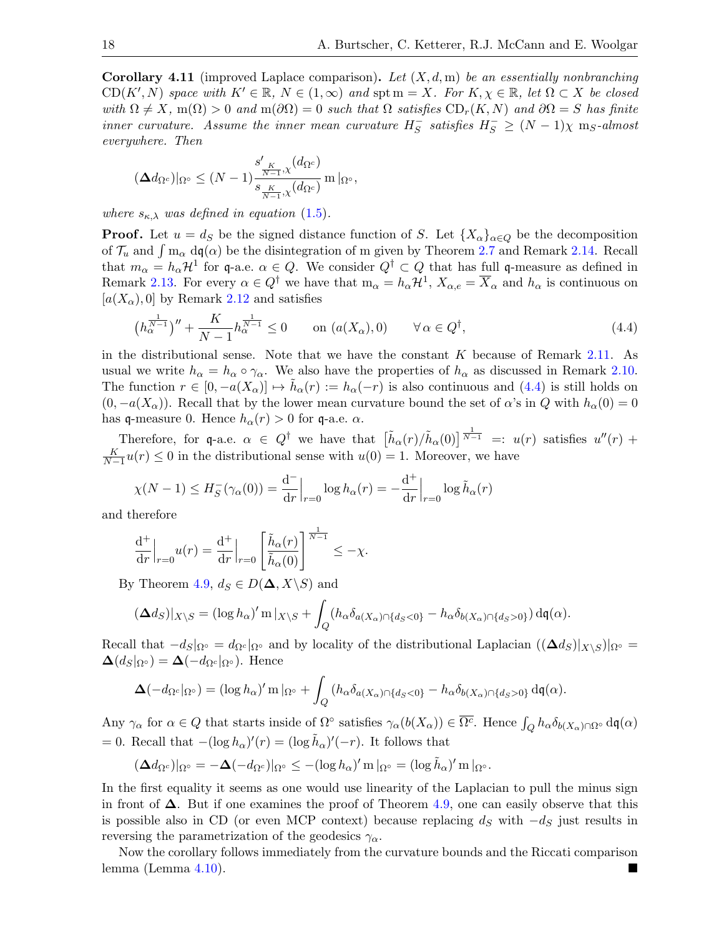<span id="page-17-1"></span>**Corollary 4.11** (improved Laplace comparison). Let  $(X, d, m)$  be an essentially nonbranching  $CD(K', N)$  space with  $K' \in \mathbb{R}$ ,  $N \in (1, \infty)$  and  $\text{spt m} = X$ . For  $K, \chi \in \mathbb{R}$ , let  $\Omega \subset X$  be closed with  $\Omega \neq X$ , m( $\Omega$ ) > 0 and m( $\partial \Omega$ ) = 0 such that  $\Omega$  satisfies  $CD_r(K, N)$  and  $\partial \Omega = S$  has finite inner curvature. Assume the inner mean curvature  $H_S^ \overline{S}$  satisfies  $H_S^- \geq (N-1)\chi$  m<sub>S</sub>-almost everywhere. Then

$$
(\mathbf{\Delta} d_{\Omega^c})|_{\Omega^{\circ}} \leq (N-1) \frac{s'_{\frac{K}{N-1},\chi}(d_{\Omega^c})}{s_{\frac{K}{N-1},\chi}(d_{\Omega^c})} \operatorname{m}|_{\Omega^{\circ}},
$$

where  $s_{\kappa,\lambda}$  was defined in equation [\(1.5\)](#page-1-3).

**Proof.** Let  $u = d_S$  be the signed distance function of S. Let  $\{X_\alpha\}_{\alpha \in Q}$  be the decomposition of  $\mathcal{T}_u$  and  $\int \mathbf{m}_{\alpha} d\mathbf{q}(\alpha)$  be the disintegration of m given by Theorem [2.7](#page-7-0) and Remark [2.14.](#page-9-1) Recall that  $m_{\alpha} = h_{\alpha} \mathcal{H}^1$  for q-a.e.  $\alpha \in Q$ . We consider  $Q^{\dagger} \subset Q$  that has full q-measure as defined in Remark [2.13.](#page-8-4) For every  $\alpha \in Q^{\dagger}$  we have that  $m_{\alpha} = h_{\alpha} \mathcal{H}^{1}$ ,  $X_{\alpha,e} = \overline{X}_{\alpha}$  and  $h_{\alpha}$  is continuous on  $[a(X_{\alpha}), 0]$  by Remark [2.12](#page-8-2) and satisfies

<span id="page-17-0"></span>
$$
\left(h_{\alpha}^{\frac{1}{N-1}}\right)^{\prime\prime} + \frac{K}{N-1}h_{\alpha}^{\frac{1}{N-1}} \le 0 \qquad \text{on } (a(X_{\alpha}), 0) \qquad \forall \alpha \in Q^{\dagger}, \tag{4.4}
$$

in the distributional sense. Note that we have the constant  $K$  because of Remark [2.11.](#page-8-5) As usual we write  $h_{\alpha} = h_{\alpha} \circ \gamma_{\alpha}$ . We also have the properties of  $h_{\alpha}$  as discussed in Remark [2.10.](#page-8-6) The function  $r \in [0, -a(X_{\alpha})] \mapsto \tilde{h}_{\alpha}(r) := h_{\alpha}(-r)$  is also continuous and [\(4.4\)](#page-17-0) is still holds on  $(0, -a(X_{\alpha}))$ . Recall that by the lower mean curvature bound the set of  $\alpha$ 's in Q with  $h_{\alpha}(0) = 0$ has q-measure 0. Hence  $h_{\alpha}(r) > 0$  for q-a.e.  $\alpha$ .

Therefore, for q-a.e.  $\alpha \in Q^{\dagger}$  we have that  $\left[\tilde{h}_{\alpha}(r)/\tilde{h}_{\alpha}(0)\right]^{\frac{1}{N-1}} =: u(r)$  satisfies  $u''(r)$  +  $\frac{K}{N-1}u(r) \leq 0$  in the distributional sense with  $u(0) = 1$ . Moreover, we have

$$
\chi(N-1) \le H_S^{-}(\gamma_\alpha(0)) = \frac{d^-}{dr}\Big|_{r=0} \log h_\alpha(r) = -\frac{d^+}{dr}\Big|_{r=0} \log \tilde{h}_\alpha(r)
$$

and therefore

$$
\frac{\mathrm{d}^+}{\mathrm{d}r}\Big|_{r=0}u(r) = \frac{\mathrm{d}^+}{\mathrm{d}r}\Big|_{r=0} \left[\frac{\tilde{h}_\alpha(r)}{\tilde{h}_\alpha(0)}\right]^{\frac{1}{N-1}} \le -\chi.
$$

By Theorem [4.9,](#page-16-0)  $d_S \in D(\mathbf{\Delta}, X \backslash S)$  and

$$
(\mathbf{\Delta} d_S)|_{X\setminus S} = (\log h_\alpha)' \operatorname{m}|_{X\setminus S} + \int_Q (h_\alpha \delta_{a(X_\alpha)\cap \{d_S < 0\}} - h_\alpha \delta_{b(X_\alpha)\cap \{d_S > 0\}}) \operatorname{d} \mathfrak{q}(\alpha).
$$

Recall that  $-d_S|_{\Omega} \circ d_{\Omega} c|_{\Omega}$ ° and by locality of the distributional Laplacian  $((\Delta d_S)|_{X\setminus S})|_{\Omega} \circ d_{\Omega} c$  $\mathbf{\Delta}(d_S|\Omega\circ) = \mathbf{\Delta}(-d_{\Omega^c}|\Omega\circ).$  Hence

$$
\Delta(-d_{\Omega^c}|_{\Omega^{\circ}})=(\log h_{\alpha})'\,\mathrm{m}\,|_{\Omega^{\circ}}+\int_Q\left(h_{\alpha}\delta_{a(X_{\alpha})\cap\{d_S<0\}}-h_{\alpha}\delta_{b(X_{\alpha})\cap\{d_S>0\}}\,\mathrm{d}\mathfrak{q}(\alpha).
$$

Any  $\gamma_{\alpha}$  for  $\alpha \in Q$  that starts inside of  $\Omega^{\circ}$  satisfies  $\gamma_{\alpha}(b(X_{\alpha})) \in \overline{\Omega^{c}}$ . Hence  $\int_{Q} h_{\alpha} \delta_{b(X_{\alpha}) \cap \Omega^{\circ}} d\mathfrak{q}(\alpha)$ = 0. Recall that  $-(\log h_{\alpha})'(r) = (\log \tilde{h}_{\alpha})'(-r)$ . It follows that

$$
(\mathbf{\Delta} d_{\Omega^c})|_{\Omega^{\circ}} = -\mathbf{\Delta} (-d_{\Omega^c})|_{\Omega^{\circ}} \le -(\log h_{\alpha})' \operatorname{m}|_{\Omega^{\circ}} = (\log \tilde{h}_{\alpha})' \operatorname{m}|_{\Omega^{\circ}}.
$$

In the first equality it seems as one would use linearity of the Laplacian to pull the minus sign in front of  $\Delta$ . But if one examines the proof of Theorem [4.9,](#page-16-0) one can easily observe that this is possible also in CD (or even MCP context) because replacing  $d_S$  with  $-d_S$  just results in reversing the parametrization of the geodesics  $\gamma_{\alpha}$ .

Now the corollary follows immediately from the curvature bounds and the Riccati comparison lemma (Lemma [4.10\)](#page-16-1).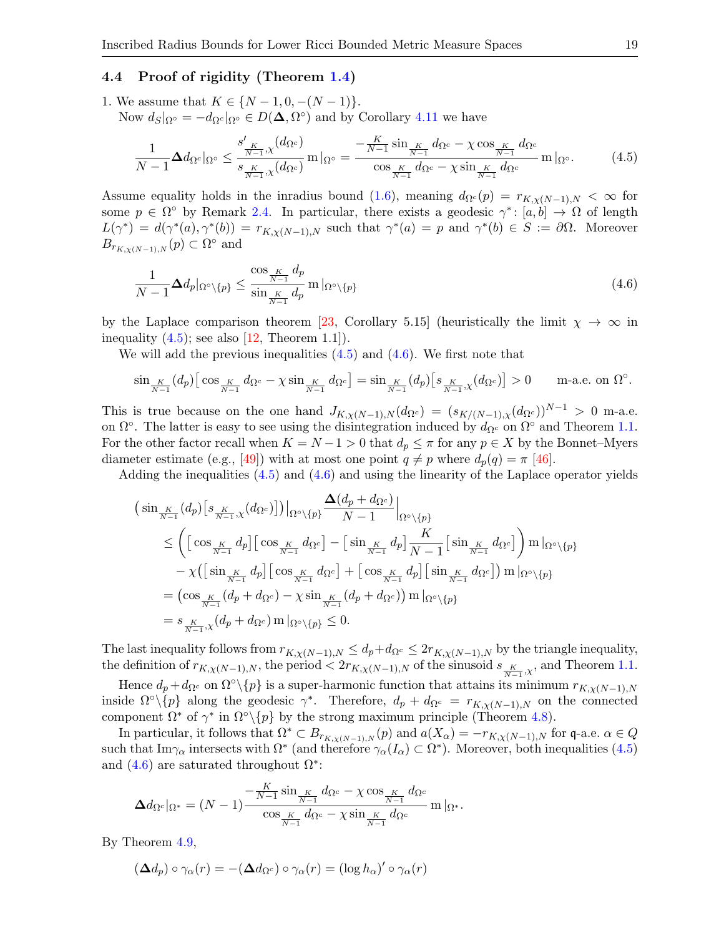## 4.4 Proof of rigidity (Theorem [1.4\)](#page-4-0)

1. We assume that  $K \in \{N-1, 0, -(N-1)\}.$ Now  $d_S|_{\Omega^\circ} = -d_{\Omega^c}|_{\Omega^\circ} \in D(\mathbf{\Delta}, \Omega^\circ)$  and by Corollary [4.11](#page-17-1) we have

<span id="page-18-0"></span>
$$
\frac{1}{N-1}\Delta d_{\Omega^c}|_{\Omega^{\circ}} \leq \frac{s'_{K}}{s_{\frac{K}{N-1},\chi}(d_{\Omega^c})} \ln |\_{\Omega^{\circ}} = \frac{-\frac{K}{N-1}\sin_{\frac{K}{N-1}}d_{\Omega^c} - \chi \cos_{\frac{K}{N-1}}d_{\Omega^c}}{\cos_{\frac{K}{N-1}}d_{\Omega^c} - \chi \sin_{\frac{K}{N-1}}d_{\Omega^c}} \ln |\_{\Omega^{\circ}}.
$$
\n(4.5)

Assume equality holds in the inradius bound [\(1.6\)](#page-2-1), meaning  $d_{\Omega^c}(p) = r_{K,\chi(N-1),N} < \infty$  for some  $p \in \Omega^{\circ}$  by Remark [2.4.](#page-5-2) In particular, there exists a geodesic  $\gamma^* \colon [a, b] \to \Omega$  of length  $L(\gamma^*) = d(\gamma^*(a), \gamma^*(b)) = r_{K,\chi(N-1),N}$  such that  $\gamma^*(a) = p$  and  $\gamma^*(b) \in S := \partial\Omega$ . Moreover  $B_{r_{K,\chi(N-1),N}}(p) \subset \Omega^{\circ}$  and

<span id="page-18-1"></span>
$$
\frac{1}{N-1} \Delta d_p |_{\Omega^{\circ} \setminus \{p\}} \le \frac{\cos \frac{K}{N-1} d_p}{\sin \frac{K}{N-1} d_p} \operatorname{m} |_{\Omega^{\circ} \setminus \{p\}} \tag{4.6}
$$

by the Laplace comparison theorem [\[23,](#page-27-20) Corollary 5.15] (heuristically the limit  $\chi \to \infty$  in inequality  $(4.5)$ ; see also  $[12,$  Theorem 1.1]).

We will add the previous inequalities  $(4.5)$  and  $(4.6)$ . We first note that

$$
\sin_{\frac{K}{N-1}}(d_p)\left[\cos_{\frac{K}{N-1}}d_{\Omega^c}-\chi\sin_{\frac{K}{N-1}}d_{\Omega^c}\right]=\sin_{\frac{K}{N-1}}(d_p)\left[s_{\frac{K}{N-1},\chi}(d_{\Omega^c})\right]>0\quad\text{m-a.e. on }\Omega^\circ.
$$

This is true because on the one hand  $J_{K,\chi(N-1),N}(d_{\Omega^c}) = (s_{K/(N-1),\chi}(d_{\Omega^c}))^{N-1} > 0$  m-a.e. on  $\Omega^{\circ}$ . The latter is easy to see using the disintegration induced by  $d_{\Omega^c}$  on  $\Omega^{\circ}$  and Theorem [1.1.](#page-1-0) For the other factor recall when  $K = N - 1 > 0$  that  $d_p \leq \pi$  for any  $p \in X$  by the Bonnet–Myers diameter estimate (e.g., [\[49\]](#page-28-1)) with at most one point  $q \neq p$  where  $d_p(q) = \pi$  [\[46\]](#page-27-11).

Adding the inequalities  $(4.5)$  and  $(4.6)$  and using the linearity of the Laplace operator yields

$$
\begin{split}\n&\left(\sin\frac{K}{N-1}\left(d_{p}\right)\left[s\frac{K}{N-1},\chi\left(d_{\Omega^{c}}\right)\right]\right)\right|_{\Omega^{o}\setminus\{p\}}\frac{\Delta\left(d_{p}+d_{\Omega^{c}}\right)}{N-1}\right|_{\Omega^{o}\setminus\{p\}} \\
&\leq \left(\left[\cos\frac{K}{N-1}d_{p}\right]\left[\cos\frac{K}{N-1}d_{\Omega^{c}}\right]-\left[\sin\frac{K}{N-1}d_{p}\right]\frac{K}{N-1}\left[\sin\frac{K}{N-1}d_{\Omega^{c}}\right]\right)m\right|_{\Omega^{o}\setminus\{p\}} \\
&- \chi\left(\left[\sin\frac{K}{N-1}d_{p}\right]\left[\cos\frac{K}{N-1}d_{\Omega^{c}}\right]+\left[\cos\frac{K}{N-1}d_{p}\right]\left[\sin\frac{K}{N-1}d_{\Omega^{c}}\right]\right)m\right|_{\Omega^{o}\setminus\{p\}} \\
&=\left(\cos\frac{K}{N-1}\left(d_{p}+d_{\Omega^{c}}\right)-\chi\sin\frac{K}{N-1}\left(d_{p}+d_{\Omega^{c}}\right)\right)m\right|_{\Omega^{o}\setminus\{p\}} \\
&= s\frac{K}{N-1},\chi\left(d_{p}+d_{\Omega^{c}}\right)m\right|_{\Omega^{o}\setminus\{p\}}\leq 0.\n\end{split}
$$

The last inequality follows from  $r_{K,\chi(N-1),N} \leq d_p+d_{\Omega^c} \leq 2r_{K,\chi(N-1),N}$  by the triangle inequality, the definition of  $r_{K,\chi(N-1),N}$ , the period  $\langle 2r_{K,\chi(N-1),N}$  of the sinusoid  $s_{\frac{K}{N-1},\chi}$ , and Theorem [1.1.](#page-1-0)

Hence  $d_p + d_{\Omega^c}$  on  $\Omega^{\circ}\setminus\{p\}$  is a super-harmonic function that attains its minimum  $r_{K,\chi(N-1),N}$ inside  $\Omega^{\circ}\setminus\{p\}$  along the geodesic  $\gamma^*$ . Therefore,  $d_p + d_{\Omega^c} = r_{K,\chi(N-1),N}$  on the connected component  $\Omega^*$  of  $\gamma^*$  in  $\Omega^{\circ}\backslash\{p\}$  by the strong maximum principle (Theorem [4.8\)](#page-15-1).

In particular, it follows that  $\Omega^* \subset B_{r_{K,\chi(N-1),N}}(p)$  and  $a(X_\alpha) = -r_{K,\chi(N-1),N}$  for q-a.e.  $\alpha \in Q$ such that Im $\gamma_{\alpha}$  intersects with  $\Omega^*$  (and therefore  $\gamma_{\alpha}(I_{\alpha}) \subset \Omega^*$ ). Moreover, both inequalities [\(4.5\)](#page-18-0) and  $(4.6)$  are saturated throughout  $\Omega^*$ :

$$
\Delta d_{\Omega^c}|_{\Omega^*} = (N-1)\frac{-\frac{K}{N-1}\sin\frac{K}{N-1}d_{\Omega^c}-\chi\cos\frac{K}{N-1}d_{\Omega^c}}{\cos\frac{K}{N-1}d_{\Omega^c}-\chi\sin\frac{K}{N-1}d_{\Omega^c}}\operatorname{m}|_{\Omega^*}.
$$

By Theorem [4.9,](#page-16-0)

$$
(\mathbf{\Delta} d_p) \circ \gamma_\alpha(r) = -(\mathbf{\Delta} d_{\Omega^c}) \circ \gamma_\alpha(r) = (\log h_\alpha)' \circ \gamma_\alpha(r)
$$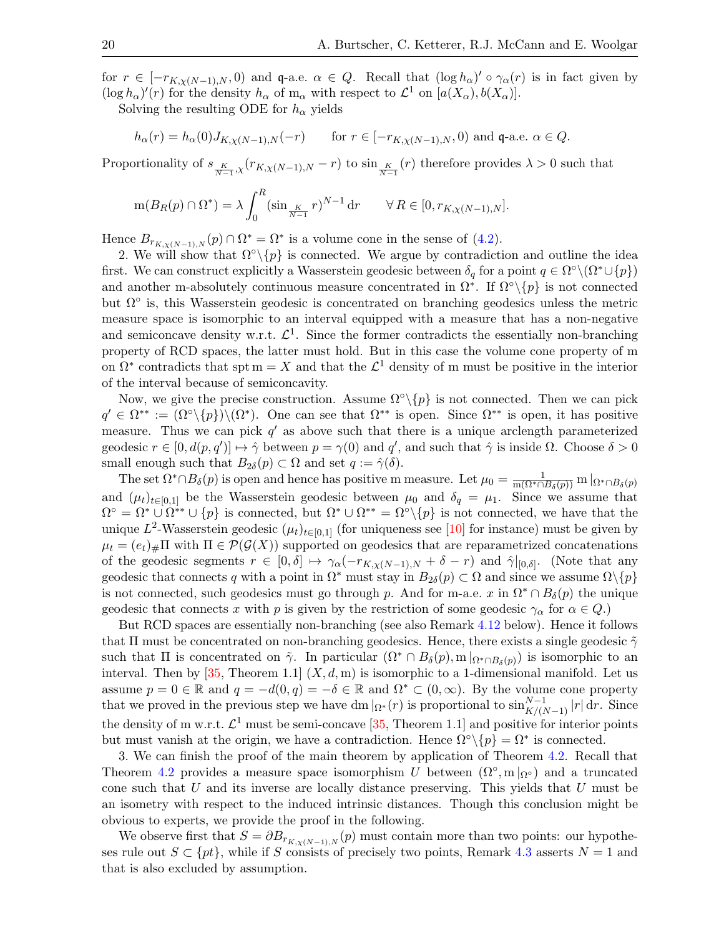for  $r \in [-r_{K,\chi(N-1),N},0)$  and q-a.e.  $\alpha \in Q$ . Recall that  $(\log h_{\alpha})' \circ \gamma_{\alpha}(r)$  is in fact given by  $(\log h_{\alpha})'(r)$  for the density  $h_{\alpha}$  of m<sub>α</sub> with respect to  $\mathcal{L}^1$  on  $[a(X_{\alpha}), b(X_{\alpha})]$ .

Solving the resulting ODE for  $h_{\alpha}$  yields

$$
h_{\alpha}(r) = h_{\alpha}(0)J_{K,\chi(N-1),N}(-r) \quad \text{for } r \in [-r_{K,\chi(N-1),N},0) \text{ and } \mathfrak{q}\text{-a.e. } \alpha \in Q.
$$

Proportionality of  $s_{\frac{K}{N-1},\chi}(r_{K,\chi(N-1),N}-r)$  to  $\sin_{\frac{K}{N-1}}(r)$  therefore provides  $\lambda > 0$  such that

$$
m(B_R(p) \cap \Omega^*) = \lambda \int_0^R (\sin_{\frac{K}{N-1}} r)^{N-1} dr \qquad \forall R \in [0, r_{K,\chi(N-1),N}].
$$

Hence  $B_{r_{K,\chi(N-1),N}}(p) \cap \Omega^* = \Omega^*$  is a volume cone in the sense of [\(4.2\)](#page-14-2).

2. We will show that  $\Omega^{\circ}\{\rho\}$  is connected. We argue by contradiction and outline the idea first. We can construct explicitly a Wasserstein geodesic between  $\delta_q$  for a point  $q \in \Omega^{\circ} \setminus (\Omega^* \cup \{p\})$ and another m-absolutely continuous measure concentrated in  $\Omega^*$ . If  $\Omega^{\circ}\setminus\{p\}$  is not connected but  $\Omega^{\circ}$  is, this Wasserstein geodesic is concentrated on branching geodesics unless the metric measure space is isomorphic to an interval equipped with a measure that has a non-negative and semiconcave density w.r.t.  $\mathcal{L}^1$ . Since the former contradicts the essentially non-branching property of RCD spaces, the latter must hold. But in this case the volume cone property of m on  $\Omega^*$  contradicts that spt m = X and that the  $\mathcal{L}^1$  density of m must be positive in the interior of the interval because of semiconcavity.

Now, we give the precise construction. Assume  $\Omega^{\circ} \setminus \{p\}$  is not connected. Then we can pick  $q' \in \Omega^{**} := (\Omega^{\circ} \setminus \{p\}) \setminus (\Omega^*)$ . One can see that  $\Omega^{**}$  is open. Since  $\Omega^{**}$  is open, it has positive measure. Thus we can pick  $q'$  as above such that there is a unique arclength parameterized geodesic  $r \in [0, d(p, q')] \mapsto \hat{\gamma}$  between  $p = \gamma(0)$  and  $q'$ , and such that  $\hat{\gamma}$  is inside  $\Omega$ . Choose  $\delta > 0$ small enough such that  $B_{2\delta}(p) \subset \Omega$  and set  $q := \hat{\gamma}(\delta)$ .

The set  $\Omega^* \cap B_\delta(p)$  is open and hence has positive m measure. Let  $\mu_0 = \frac{1}{m(\Omega^* \cap B_\delta(p))} m|_{\Omega^* \cap B_\delta(p)}$ and  $(\mu_t)_{t\in[0,1]}$  be the Wasserstein geodesic between  $\mu_0$  and  $\delta_q = \mu_1$ . Since we assume that  $\Omega^{\circ} = \Omega^* \cup \Omega^{**} \cup \{p\}$  is connected, but  $\Omega^* \cup \Omega^{**} = \Omega^{\circ} \setminus \{p\}$  is not connected, we have that the unique  $L^2$ -Wasserstein geodesic  $(\mu_t)_{t\in[0,1]}$  (for uniqueness see [\[10\]](#page-26-3) for instance) must be given by  $\mu_t = (e_t)_\# \Pi$  with  $\Pi \in \mathcal{P}(\mathcal{G}(X))$  supported on geodesics that are reparametrized concatenations of the geodesic segments  $r \in [0,\delta] \mapsto \gamma_\alpha(-r_{K,\chi(N-1),N} + \delta - r)$  and  $\hat{\gamma}|_{[0,\delta]}$ . (Note that any geodesic that connects q with a point in  $\Omega^*$  must stay in  $B_{2\delta}(p) \subset \Omega$  and since we assume  $\Omega \setminus \{p\}$ is not connected, such geodesics must go through p. And for m-a.e. x in  $\Omega^* \cap B_\delta(p)$  the unique geodesic that connects x with p is given by the restriction of some geodesic  $\gamma_{\alpha}$  for  $\alpha \in Q$ .)

But RCD spaces are essentially non-branching (see also Remark [4.12](#page-20-1) below). Hence it follows that  $\Pi$  must be concentrated on non-branching geodesics. Hence, there exists a single geodesic  $\tilde{\gamma}$ such that  $\Pi$  is concentrated on  $\tilde{\gamma}$ . In particular  $(\Omega^* \cap B_\delta(p), m|_{\Omega^* \cap B_\delta(p)})$  is isomorphic to an interval. Then by [\[35,](#page-27-25) Theorem 1.1]  $(X, d, m)$  is isomorphic to a 1-dimensional manifold. Let us assume  $p = 0 \in \mathbb{R}$  and  $q = -d(0, q) = -\delta \in \mathbb{R}$  and  $\Omega^* \subset (0, \infty)$ . By the volume cone property that we proved in the previous step we have dm  $|_{\Omega^*}(r)$  is proportional to  $\sin_{K/(N-1)}^{N-1}|r|$  dr. Since the density of m w.r.t.  $\mathcal{L}^1$  must be semi-concave [\[35,](#page-27-25) Theorem 1.1] and positive for interior points but must vanish at the origin, we have a contradiction. Hence  $\Omega^{\circ}\{\{p\} = \Omega^*$  is connected.

3. We can finish the proof of the main theorem by application of Theorem [4.2.](#page-14-1) Recall that Theorem [4.2](#page-14-1) provides a measure space isomorphism U between  $(\Omega^{\circ}, m |_{\Omega^{\circ}})$  and a truncated cone such that  $U$  and its inverse are locally distance preserving. This yields that  $U$  must be an isometry with respect to the induced intrinsic distances. Though this conclusion might be obvious to experts, we provide the proof in the following.

We observe first that  $S = \partial B_{r_{K,\chi(N-1),N}}(p)$  must contain more than two points: our hypotheses rule out  $S \subset \{pt\}$ , while if S consists of precisely two points, Remark [4.3](#page-14-3) asserts  $N = 1$  and that is also excluded by assumption.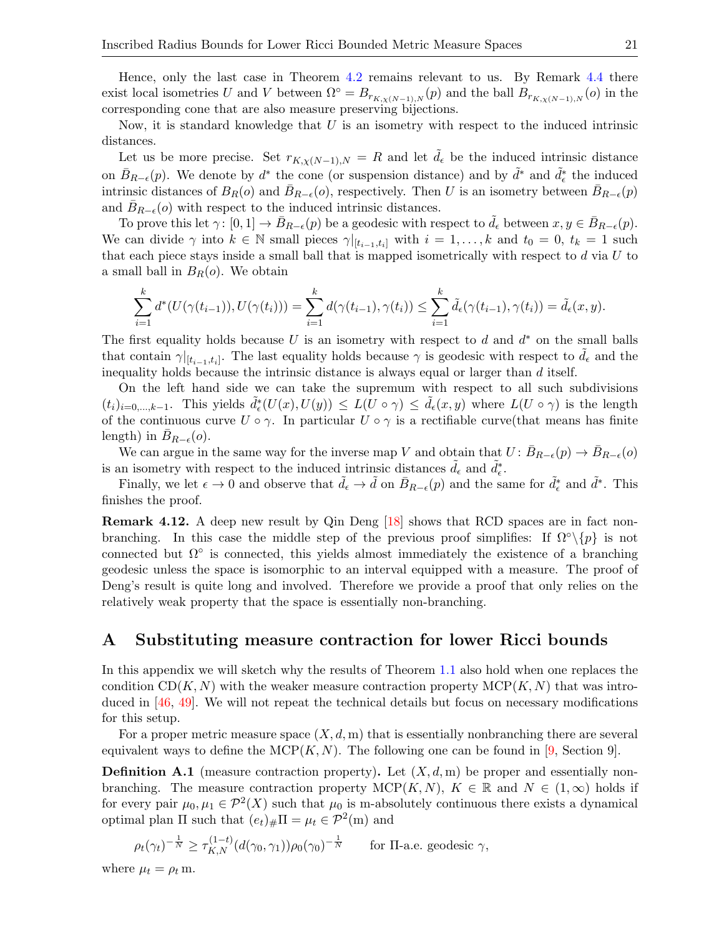Hence, only the last case in Theorem [4.2](#page-14-1) remains relevant to us. By Remark [4.4](#page-14-4) there exist local isometries U and V between  $\Omega^{\circ} = B_{r_{K,\chi(N-1),N}}(p)$  and the ball  $B_{r_{K,\chi(N-1),N}}(o)$  in the corresponding cone that are also measure preserving bijections.

Now, it is standard knowledge that  $U$  is an isometry with respect to the induced intrinsic distances.

Let us be more precise. Set  $r_{K,\chi(N-1),N} = R$  and let  $\tilde{d}_{\epsilon}$  be the induced intrinsic distance on  $\bar{B}_{R-\epsilon}(p)$ . We denote by  $d^*$  the cone (or suspension distance) and by  $\tilde{d}^*$  and  $\tilde{d}^*_{\epsilon}$  the induced intrinsic distances of  $B_R(o)$  and  $\bar{B}_{R-\epsilon}(o)$ , respectively. Then U is an isometry between  $\bar{B}_{R-\epsilon}(p)$ and  $\bar{B}_{R-\epsilon}(o)$  with respect to the induced intrinsic distances.

To prove this let  $\gamma: [0, 1] \to B_{R-\epsilon}(p)$  be a geodesic with respect to  $d_{\epsilon}$  between  $x, y \in B_{R-\epsilon}(p)$ . We can divide  $\gamma$  into  $k \in \mathbb{N}$  small pieces  $\gamma|_{[t_{i-1},t_i]}$  with  $i=1,\ldots,k$  and  $t_0=0, t_k=1$  such that each piece stays inside a small ball that is mapped isometrically with respect to  $d$  via  $U$  to a small ball in  $B_R(o)$ . We obtain

$$
\sum_{i=1}^k d^*(U(\gamma(t_{i-1})), U(\gamma(t_i))) = \sum_{i=1}^k d(\gamma(t_{i-1}), \gamma(t_i)) \leq \sum_{i=1}^k \tilde{d}_{\epsilon}(\gamma(t_{i-1}), \gamma(t_i)) = \tilde{d}_{\epsilon}(x, y).
$$

The first equality holds because  $U$  is an isometry with respect to  $d$  and  $d^*$  on the small balls that contain  $\gamma|_{[t_{i-1},t_i]}$ . The last equality holds because  $\gamma$  is geodesic with respect to  $\tilde{d}_{\epsilon}$  and the inequality holds because the intrinsic distance is always equal or larger than d itself.

On the left hand side we can take the supremum with respect to all such subdivisions  $(t_i)_{i=0,\ldots,k-1}$ . This yields  $\tilde{d}_{\epsilon}(U(x),U(y)) \leq L(U \circ \gamma) \leq \tilde{d}_{\epsilon}(x,y)$  where  $L(U \circ \gamma)$  is the length of the continuous curve  $U \circ \gamma$ . In particular  $U \circ \gamma$  is a rectifiable curve (that means has finite length) in  $B_{R-\epsilon}(o)$ .

We can argue in the same way for the inverse map V and obtain that  $U: \bar{B}_{R-\epsilon}(p) \to \bar{B}_{R-\epsilon}(o)$ is an isometry with respect to the induced intrinsic distances  $\tilde{d}_{\epsilon}$  and  $\tilde{d}_{\epsilon}^*$ .

Finally, we let  $\epsilon \to 0$  and observe that  $\tilde{d}_{\epsilon} \to \tilde{d}$  on  $\bar{B}_{R-\epsilon}(p)$  and the same for  $\tilde{d}_{\epsilon}^*$  and  $\tilde{d}^*$ . This finishes the proof.

<span id="page-20-1"></span>Remark 4.12. A deep new result by Qin Deng [\[18\]](#page-26-19) shows that RCD spaces are in fact nonbranching. In this case the middle step of the previous proof simplifies: If  $\Omega^{\circ}\backslash\{p\}$  is not connected but  $\Omega^{\circ}$  is connected, this yields almost immediately the existence of a branching geodesic unless the space is isomorphic to an interval equipped with a measure. The proof of Deng's result is quite long and involved. Therefore we provide a proof that only relies on the relatively weak property that the space is essentially non-branching.

# <span id="page-20-0"></span>A Substituting measure contraction for lower Ricci bounds

In this appendix we will sketch why the results of Theorem [1.1](#page-1-0) also hold when one replaces the condition  $CD(K, N)$  with the weaker measure contraction property  $MCP(K, N)$  that was introduced in [\[46,](#page-27-11) [49\]](#page-28-1). We will not repeat the technical details but focus on necessary modifications for this setup.

For a proper metric measure space  $(X, d, m)$  that is essentially nonbranching there are several equivalent ways to define the MCP $(K, N)$ . The following one can be found in [\[9,](#page-26-10) Section 9].

**Definition A.1** (measure contraction property). Let  $(X, d, m)$  be proper and essentially nonbranching. The measure contraction property  $MCP(K, N)$ ,  $K \in \mathbb{R}$  and  $N \in (1, \infty)$  holds if for every pair  $\mu_0, \mu_1 \in \mathcal{P}^2(X)$  such that  $\mu_0$  is m-absolutely continuous there exists a dynamical optimal plan  $\Pi$  such that  $(e_t)_\#\Pi = \mu_t \in \mathcal{P}^2(\mathbf{m})$  and

$$
\rho_t(\gamma_t)^{-\frac{1}{N}} \ge \tau_{K,N}^{(1-t)}(d(\gamma_0, \gamma_1))\rho_0(\gamma_0)^{-\frac{1}{N}} \quad \text{for } \Pi\text{-a.e. geodesic } \gamma,
$$

where  $\mu_t = \rho_t$  m.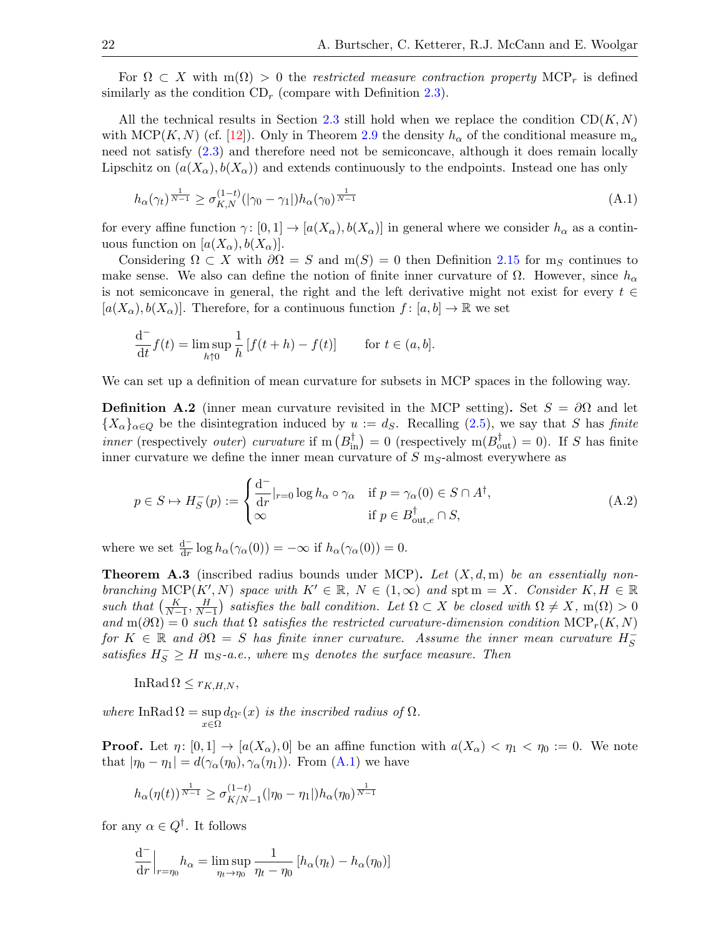For  $\Omega \subset X$  with  $m(\Omega) > 0$  the restricted measure contraction property MCP<sub>r</sub> is defined similarly as the condition  $CD_r$  (compare with Definition [2.3\)](#page-5-0).

All the technical results in Section [2.3](#page-6-0) still hold when we replace the condition  $CD(K, N)$ with MCP(K, N) (cf. [\[12\]](#page-26-9)). Only in Theorem [2.9](#page-8-3) the density  $h_{\alpha}$  of the conditional measure  $m_{\alpha}$ need not satisfy [\(2.3\)](#page-8-0) and therefore need not be semiconcave, although it does remain locally Lipschitz on  $(a(X_{\alpha}), b(X_{\alpha}))$  and extends continuously to the endpoints. Instead one has only

<span id="page-21-0"></span>
$$
h_{\alpha}(\gamma_t)^{\frac{1}{N-1}} \ge \sigma_{K,N}^{(1-t)}(|\gamma_0 - \gamma_1|)h_{\alpha}(\gamma_0)^{\frac{1}{N-1}}
$$
\n(A.1)

for every affine function  $\gamma: [0,1] \to [a(X_{\alpha}), b(X_{\alpha})]$  in general where we consider  $h_{\alpha}$  as a continuous function on  $[a(X_{\alpha}), b(X_{\alpha})]$ .

Considering  $\Omega \subset X$  with  $\partial \Omega = S$  and  $m(S) = 0$  then Definition [2.15](#page-10-1) for m<sub>S</sub> continues to make sense. We also can define the notion of finite inner curvature of  $\Omega$ . However, since  $h_{\alpha}$ is not semiconcave in general, the right and the left derivative might not exist for every  $t \in \mathbb{R}$  $[a(X_{\alpha}), b(X_{\alpha})]$ . Therefore, for a continuous function  $f : [a, b] \to \mathbb{R}$  we set

$$
\frac{\mathrm{d}^{-}}{\mathrm{d}t}f(t) = \limsup_{h \uparrow 0} \frac{1}{h} \left[ f(t+h) - f(t) \right] \qquad \text{for } t \in (a, b].
$$

We can set up a definition of mean curvature for subsets in MCP spaces in the following way.

<span id="page-21-2"></span>**Definition A.2** (inner mean curvature revisited in the MCP setting). Set  $S = \partial\Omega$  and let  ${X_\alpha}_{\alpha\in Q}$  be the disintegration induced by  $u := d_S$ . Recalling [\(2.5\)](#page-9-2), we say that S has finite *inner* (respectively *outer*) *curvature* if  $m(B_{in}^{\dagger}) = 0$  (respectively  $m(B_{out}^{\dagger}) = 0$ ). If S has finite inner curvature we define the inner mean curvature of  $S$  m<sub>S</sub>-almost everywhere as

<span id="page-21-1"></span>
$$
p \in S \mapsto H_S^-(p) := \begin{cases} \frac{\mathrm{d}^-}{\mathrm{d}r}|_{r=0} \log h_\alpha \circ \gamma_\alpha & \text{if } p = \gamma_\alpha(0) \in S \cap A^\dagger, \\ \infty & \text{if } p \in B_{\mathrm{out},e}^\dagger \cap S, \end{cases} \tag{A.2}
$$

where we set  $\frac{d^{-}}{dr} \log h_{\alpha}(\gamma_{\alpha}(0)) = -\infty$  if  $h_{\alpha}(\gamma_{\alpha}(0)) = 0$ .

<span id="page-21-3"></span>**Theorem A.3** (inscribed radius bounds under MCP). Let  $(X, d, m)$  be an essentially nonbranching MCP(K', N) space with  $K' \in \mathbb{R}$ ,  $N \in (1,\infty)$  and spt m = X. Consider  $K, H \in \mathbb{R}$ such that  $\left(\frac{K}{N-1}, \frac{H}{N-1}\right)$  satisfies the ball condition. Let  $\Omega \subset X$  be closed with  $\Omega \neq X$ , m( $\Omega$ ) > 0 and  $m(\partial\Omega) = 0$  such that  $\Omega$  satisfies the restricted curvature-dimension condition  $\text{MCP}_r(K, N)$ for  $K \in \mathbb{R}$  and  $\partial\Omega = S$  has finite inner curvature. Assume the inner mean curvature  $H_S^-$ S satisfies  $H_S^- \geq H$  m<sub>S</sub>-a.e., where m<sub>S</sub> denotes the surface measure. Then

$$
\text{InRad}\,\Omega\leq r_{K,H,N},
$$

where InRad  $\Omega = \sup$  $\sup_{x\in\Omega}d_{\Omega^c}(x)$  is the inscribed radius of  $\Omega$ .

**Proof.** Let  $\eta: [0,1] \to [a(X_{\alpha}),0]$  be an affine function with  $a(X_{\alpha}) < \eta_1 < \eta_0 := 0$ . We note that  $|\eta_0 - \eta_1| = d(\gamma_\alpha(\eta_0), \gamma_\alpha(\eta_1))$ . From  $(A.1)$  we have

$$
h_\alpha(\eta(t))^{\frac{1}{N-1}} \geq \sigma^{(1-t)}_{K/N-1}(|\eta_0-\eta_1|)h_\alpha(\eta_0)^{\frac{1}{N-1}}
$$

for any  $\alpha \in Q^{\dagger}$ . It follows

$$
\frac{\mathrm{d}^{-}}{\mathrm{d}r}\Big|_{r=\eta_0} h_{\alpha} = \limsup_{\eta_t \to \eta_0} \frac{1}{\eta_t - \eta_0} \left[ h_{\alpha}(\eta_t) - h_{\alpha}(\eta_0) \right]
$$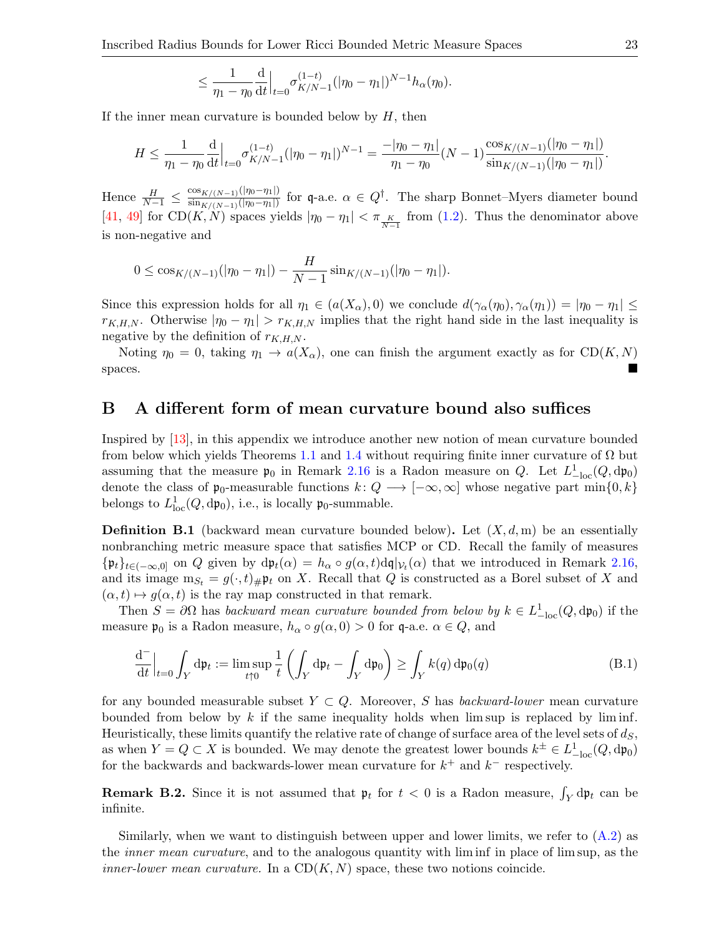$$
\leq \frac{1}{\eta_1-\eta_0} \frac{\mathrm{d}}{\mathrm{d}t} \Big|_{t=0} \sigma_{K/N-1}^{(1-t)}(|\eta_0-\eta_1|)^{N-1} h_\alpha(\eta_0).
$$

If the inner mean curvature is bounded below by  $H$ , then

$$
H \leq \frac{1}{\eta_1 - \eta_0} \frac{d}{dt} \Big|_{t=0} \sigma_{K/N-1}^{(1-t)}(|\eta_0 - \eta_1|)^{N-1} = \frac{-|\eta_0 - \eta_1|}{\eta_1 - \eta_0} (N-1) \frac{\cos_{K/(N-1)}(|\eta_0 - \eta_1|)}{\sin_{K/(N-1)}(|\eta_0 - \eta_1|)}.
$$

Hence  $\frac{H}{N-1} \leq \frac{\cos_{K/(N-1)}(|\eta_0 - \eta_1|)}{\sin_{K/(N-1)}(|\eta_0 - \eta_1|)}$  $\frac{\cos_{K/(N-1)}(\vert \eta_0-\eta_1\vert)}{\sin_{K/(N-1)}(\vert \eta_0-\eta_1\vert)}$  for q-a.e.  $\alpha\in Q^{\dagger}$ . The sharp Bonnet–Myers diameter bound [\[41,](#page-27-16) [49\]](#page-28-1) for CD(K, N) spaces yields  $|\eta_0 - \eta_1| < \pi \frac{K}{N-1}$  from [\(1.2\)](#page-1-4). Thus the denominator above is non-negative and

$$
0 \leq \cos_{K/(N-1)}(|\eta_0 - \eta_1|) - \frac{H}{N-1} \sin_{K/(N-1)}(|\eta_0 - \eta_1|).
$$

Since this expression holds for all  $\eta_1 \in (a(X_\alpha), 0)$  we conclude  $d(\gamma_\alpha(\eta_0), \gamma_\alpha(\eta_1)) = |\eta_0 - \eta_1| \le$  $r_{K,H,N}$ . Otherwise  $|\eta_0 - \eta_1| > r_{K,H,N}$  implies that the right hand side in the last inequality is negative by the definition of  $r_{K,H,N}$ .

Noting  $\eta_0 = 0$ , taking  $\eta_1 \to a(X_\alpha)$ , one can finish the argument exactly as for CD(K, N) spaces.

## <span id="page-22-0"></span>B A different form of mean curvature bound also suffices

Inspired by [\[13\]](#page-26-0), in this appendix we introduce another new notion of mean curvature bounded from below which yields Theorems [1.1](#page-1-0) and [1.4](#page-4-0) without requiring finite inner curvature of  $\Omega$  but assuming that the measure  $\mathfrak{p}_0$  in Remark [2.16](#page-10-2) is a Radon measure on Q. Let  $L_{-\text{loc}}^1(Q, dp_0)$ denote the class of  $\mathfrak{p}_0$ -measurable functions  $k: Q \longrightarrow [-\infty, \infty]$  whose negative part min $\{0, k\}$ belongs to  $L^1_{\text{loc}}(Q, \text{d}\mathfrak{p}_0)$ , i.e., is locally  $\mathfrak{p}_0$ -summable.

**Definition B.1** (backward mean curvature bounded below). Let  $(X, d, m)$  be an essentially nonbranching metric measure space that satisfies MCP or CD. Recall the family of measures  ${\{\mathfrak{p}_t\}}_{t\in(-\infty,0]}$  on Q given by  $d\mathfrak{p}_t(\alpha) = h_\alpha \circ g(\alpha,t) d\mathfrak{q}|_{\mathcal{V}_t}(\alpha)$  that we introduced in Remark [2.16,](#page-10-2) and its image  $m_{S_t} = g(\cdot, t)_{\#} \mathfrak{p}_t$  on X. Recall that Q is constructed as a Borel subset of X and  $(\alpha, t) \mapsto g(\alpha, t)$  is the ray map constructed in that remark.

Then  $S = \partial \Omega$  has backward mean curvature bounded from below by  $k \in L_{-\text{loc}}^1(Q, dp_0)$  if the measure  $\mathfrak{p}_0$  is a Radon measure,  $h_\alpha \circ g(\alpha, 0) > 0$  for q-a.e.  $\alpha \in Q$ , and

<span id="page-22-1"></span>
$$
\frac{\mathrm{d}^{-}}{\mathrm{d}t}\Big|_{t=0}\int_{Y}\mathrm{d}\mathfrak{p}_{t}:=\limsup_{t\uparrow 0}\frac{1}{t}\left(\int_{Y}\mathrm{d}\mathfrak{p}_{t}-\int_{Y}\mathrm{d}\mathfrak{p}_{0}\right)\geq \int_{Y}k(q)\,\mathrm{d}\mathfrak{p}_{0}(q)\tag{B.1}
$$

for any bounded measurable subset  $Y \subset Q$ . Moreover, S has backward-lower mean curvature bounded from below by k if the same inequality holds when  $\limsup$  is replaced by  $\liminf$ . Heuristically, these limits quantify the relative rate of change of surface area of the level sets of  $d<sub>S</sub>$ , as when  $Y = Q \subset X$  is bounded. We may denote the greatest lower bounds  $k^{\pm} \in L_{-\text{loc}}^1(Q, dp_0)$ for the backwards and backwards-lower mean curvature for  $k^+$  and  $k^-$  respectively.

**Remark B.2.** Since it is not assumed that  $\mathfrak{p}_t$  for  $t < 0$  is a Radon measure,  $\int_Y d\mathfrak{p}_t$  can be infinite.

Similarly, when we want to distinguish between upper and lower limits, we refer to  $(A.2)$  as the inner mean curvature, and to the analogous quantity with lim inf in place of lim sup, as the *inner-lower mean curvature.* In a  $CD(K, N)$  space, these two notions coincide.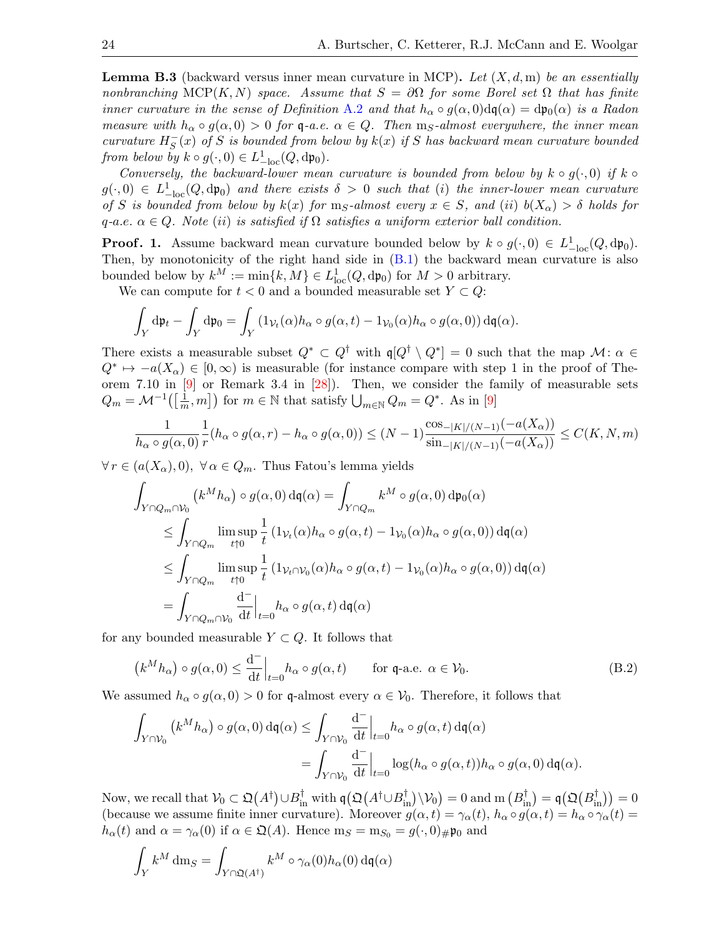<span id="page-23-0"></span>**Lemma B.3** (backward versus inner mean curvature in MCP). Let  $(X, d, m)$  be an essentially nonbranching MCP(K, N) space. Assume that  $S = \partial \Omega$  for some Borel set  $\Omega$  that has finite inner curvature in the sense of Definition [A.2](#page-21-2) and that  $h_{\alpha} \circ g(\alpha, 0) d\mathfrak{q}(\alpha) = d\mathfrak{p}_0(\alpha)$  is a Radon measure with  $h_{\alpha} \circ g(\alpha, 0) > 0$  for q-a.e.  $\alpha \in Q$ . Then m<sub>S</sub>-almost everywhere, the inner mean curvature  $H_S^ \overline{S}(x)$  of S is bounded from below by  $k(x)$  if S has backward mean curvature bounded from below by  $k \circ g(\cdot, 0) \in L_{-\text{loc}}^1(Q, dp_0)$ .

Conversely, the backward-lower mean curvature is bounded from below by  $k \circ g(\cdot, 0)$  if  $k \circ$  $g(\cdot, 0) \in L_{-\text{loc}}^1(Q, d\mathfrak{p}_0)$  and there exists  $\delta > 0$  such that (i) the inner-lower mean curvature of S is bounded from below by  $k(x)$  for  $m<sub>S</sub>$ -almost every  $x \in S$ , and (ii)  $b(X_{\alpha}) > \delta$  holds for q-a.e.  $\alpha \in Q$ . Note (ii) is satisfied if  $\Omega$  satisfies a uniform exterior ball condition.

**Proof. 1.** Assume backward mean curvature bounded below by  $k \circ g(\cdot, 0) \in L^1_{-\text{loc}}(Q, dp_0)$ . Then, by monotonicity of the right hand side in  $(B.1)$  the backward mean curvature is also bounded below by  $k^M := \min\{k, M\} \in L^1_{loc}(Q, dp_0)$  for  $M > 0$  arbitrary.

We can compute for  $t < 0$  and a bounded measurable set  $Y \subset Q$ :

$$
\int_Y d\mathfrak{p}_t - \int_Y d\mathfrak{p}_0 = \int_Y (1_{\mathcal{V}_t}(\alpha) h_\alpha \circ g(\alpha, t) - 1_{\mathcal{V}_0}(\alpha) h_\alpha \circ g(\alpha, 0)) d\mathfrak{q}(\alpha).
$$

There exists a measurable subset  $Q^* \subset Q^{\dagger}$  with  $\mathfrak{q}[Q^{\dagger} \setminus Q^*]=0$  such that the map  $\mathcal{M}$ :  $\alpha \in$  $Q^* \mapsto -a(X_{\alpha}) \in [0, \infty)$  is measurable (for instance compare with step 1 in the proof of Theorem 7.10 in [\[9\]](#page-26-10) or Remark 3.4 in [\[28\]](#page-27-26)). Then, we consider the family of measurable sets  $Q_m = \mathcal{M}^{-1} \big( \big[ \frac{1}{m} \big]$  $(\frac{1}{m}, m])$  for  $m \in \mathbb{N}$  that satisfy  $\bigcup_{m \in \mathbb{N}} Q_m = Q^*$ . As in [\[9\]](#page-26-10)

$$
\frac{1}{h_\alpha \circ g(\alpha,0)} \frac{1}{r}(h_\alpha \circ g(\alpha,r) - h_\alpha \circ g(\alpha,0)) \le (N-1) \frac{\cos_{-|K|/(N-1)}(-a(X_\alpha))}{\sin_{-|K|/(N-1)}(-a(X_\alpha))} \le C(K,N,m)
$$

 $\forall r \in (a(X_{\alpha}), 0), \ \forall \alpha \in Q_m$ . Thus Fatou's lemma yields

$$
\int_{Y \cap Q_m \cap \mathcal{V}_0} (k^M h_\alpha) \circ g(\alpha, 0) d\mathfrak{q}(\alpha) = \int_{Y \cap Q_m} k^M \circ g(\alpha, 0) d\mathfrak{p}_0(\alpha)
$$
\n
$$
\leq \int_{Y \cap Q_m} \limsup_{t \uparrow 0} \frac{1}{t} (1_{\mathcal{V}_t}(\alpha) h_\alpha \circ g(\alpha, t) - 1_{\mathcal{V}_0}(\alpha) h_\alpha \circ g(\alpha, 0)) d\mathfrak{q}(\alpha)
$$
\n
$$
\leq \int_{Y \cap Q_m} \limsup_{t \uparrow 0} \frac{1}{t} (1_{\mathcal{V}_t \cap \mathcal{V}_0}(\alpha) h_\alpha \circ g(\alpha, t) - 1_{\mathcal{V}_0}(\alpha) h_\alpha \circ g(\alpha, 0)) d\mathfrak{q}(\alpha)
$$
\n
$$
= \int_{Y \cap Q_m \cap \mathcal{V}_0} \frac{d^-}{dt} \Big|_{t=0} h_\alpha \circ g(\alpha, t) d\mathfrak{q}(\alpha)
$$

for any bounded measurable  $Y \subset Q$ . It follows that

<span id="page-23-1"></span>
$$
\left(k^M h_\alpha\right) \circ g(\alpha, 0) \le \frac{\mathrm{d}^{-}}{\mathrm{d}t} \Big|_{t=0} h_\alpha \circ g(\alpha, t) \qquad \text{for } \mathfrak{q}\text{-a.e. } \alpha \in \mathcal{V}_0. \tag{B.2}
$$

We assumed  $h_{\alpha} \circ g(\alpha, 0) > 0$  for q-almost every  $\alpha \in V_0$ . Therefore, it follows that

$$
\int_{Y \cap \mathcal{V}_0} (k^M h_\alpha) \circ g(\alpha, 0) d\mathfrak{q}(\alpha) \le \int_{Y \cap \mathcal{V}_0} \frac{d^-}{dt} \Big|_{t=0} h_\alpha \circ g(\alpha, t) d\mathfrak{q}(\alpha)
$$
  
= 
$$
\int_{Y \cap \mathcal{V}_0} \frac{d^-}{dt} \Big|_{t=0} \log(h_\alpha \circ g(\alpha, t)) h_\alpha \circ g(\alpha, 0) d\mathfrak{q}(\alpha).
$$

Now, we recall that  $\mathcal{V}_0 \subset \mathfrak{Q}(A^{\dagger}) \cup B^{\dagger}_{\text{in}}$  with  $\mathfrak{q}(\mathfrak{Q}(A^{\dagger} \cup B^{\dagger}_{\text{in}}) \setminus \mathcal{V}_0) = 0$  and  $\text{m } (B^{\dagger}_{\text{in}}) = \mathfrak{q}(\mathfrak{Q}(B^{\dagger}_{\text{in}})) = 0$ (because we assume finite inner curvature). Moreover  $g(\alpha, t) = \gamma_{\alpha}(t)$ ,  $h_{\alpha} \circ g(\alpha, t) = h_{\alpha} \circ \gamma_{\alpha}(t) =$  $h_{\alpha}(t)$  and  $\alpha = \gamma_{\alpha}(0)$  if  $\alpha \in \mathfrak{Q}(A)$ . Hence  $m_S = m_{S_0} = g(\cdot, 0)_{\#} \mathfrak{p}_0$  and

$$
\int_Y k^M \, dm_S = \int_{Y \cap \mathfrak{Q}(A^\dagger)} k^M \circ \gamma_\alpha(0) h_\alpha(0) \, d\mathfrak{q}(\alpha)
$$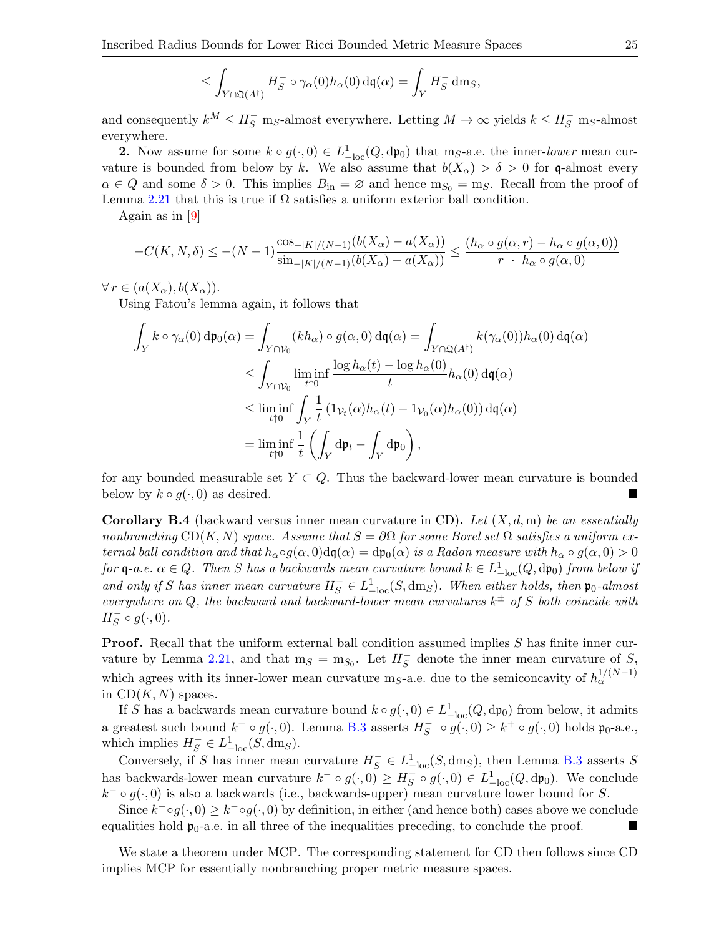$$
\leq \int_{Y\cap \mathfrak{Q}(A^{\dagger})} H_S^- \circ \gamma_\alpha(0) h_\alpha(0) \,d\mathfrak{q}(\alpha) = \int_Y H_S^- \,dm_S,
$$

and consequently  $k^M \leq H_S^-$  m<sub>S</sub>-almost everywhere. Letting  $M \to \infty$  yields  $k \leq H_S^-$  m<sub>S</sub>-almost everywhere.

**2.** Now assume for some  $k \circ g(\cdot, 0) \in L_{-\text{loc}}^1(Q, dp_0)$  that m<sub>S</sub>-a.e. the inner-lower mean curvature is bounded from below by k. We also assume that  $b(X_\alpha) > \delta > 0$  for q-almost every  $\alpha \in Q$  and some  $\delta > 0$ . This implies  $B_{\rm in} = \varnothing$  and hence  $m_{S_0} = m_S$ . Recall from the proof of Lemma [2.21](#page-11-0) that this is true if  $\Omega$  satisfies a uniform exterior ball condition.

Again as in [\[9\]](#page-26-10)

$$
-C(K, N, \delta) \le -(N-1)\frac{\cos_{-|K|/(N-1)}(b(X_{\alpha}) - a(X_{\alpha}))}{\sin_{-|K|/(N-1)}(b(X_{\alpha}) - a(X_{\alpha}))} \le \frac{(h_{\alpha} \circ g(\alpha, r) - h_{\alpha} \circ g(\alpha, 0))}{r \cdot h_{\alpha} \circ g(\alpha, 0)}
$$

 $\forall r \in (a(X_{\alpha}), b(X_{\alpha})).$ 

Using Fatou's lemma again, it follows that

$$
\int_{Y} k \circ \gamma_{\alpha}(0) d\mathfrak{p}_{0}(\alpha) = \int_{Y \cap V_{0}} (kh_{\alpha}) \circ g(\alpha, 0) d\mathfrak{q}(\alpha) = \int_{Y \cap \mathfrak{Q}(A^{\dagger})} k(\gamma_{\alpha}(0)) h_{\alpha}(0) d\mathfrak{q}(\alpha)
$$
\n
$$
\leq \int_{Y \cap V_{0}} \liminf_{t \uparrow 0} \frac{\log h_{\alpha}(t) - \log h_{\alpha}(0)}{t} h_{\alpha}(0) d\mathfrak{q}(\alpha)
$$
\n
$$
\leq \liminf_{t \uparrow 0} \int_{Y} \frac{1}{t} (1_{\mathcal{V}_{t}}(\alpha) h_{\alpha}(t) - 1_{\mathcal{V}_{0}}(\alpha) h_{\alpha}(0)) d\mathfrak{q}(\alpha)
$$
\n
$$
= \liminf_{t \uparrow 0} \frac{1}{t} \left( \int_{Y} d\mathfrak{p}_{t} - \int_{Y} d\mathfrak{p}_{0} \right),
$$

for any bounded measurable set  $Y \subset Q$ . Thus the backward-lower mean curvature is bounded below by  $k \circ g(\cdot, 0)$  as desired.

**Corollary B.4** (backward versus inner mean curvature in CD). Let  $(X, d, m)$  be an essentially nonbranching  $CD(K, N)$  space. Assume that  $S = \partial \Omega$  for some Borel set  $\Omega$  satisfies a uniform external ball condition and that  $h_{\alpha} \circ g(\alpha, 0)$ d $g(\alpha) = dp_0(\alpha)$  is a Radon measure with  $h_{\alpha} \circ g(\alpha, 0) > 0$ for  $\mathfrak{q}$ -a.e.  $\alpha \in Q$ . Then S has a backwards mean curvature bound  $k \in L_{-\text{loc}}^1(Q, d\mathfrak{p}_0)$  from below if and only if S has inner mean curvature  $H_S^- \in L_{-\text{loc}}^1(S, dm_S)$ . When either holds, then  $\mathfrak{p}_0$ -almost everywhere on Q, the backward and backward-lower mean curvatures  $k^{\pm}$  of S both coincide with  $H_S^ \overline{s} \circ g(\cdot, 0)$ .

**Proof.** Recall that the uniform external ball condition assumed implies  $S$  has finite inner cur-vature by Lemma [2.21,](#page-11-0) and that  $m_S = m_{S_0}$ . Let  $H_S^ \overline{S}$  denote the inner mean curvature of  $S$ , which agrees with its inner-lower mean curvature m<sub>S</sub>-a.e. due to the semiconcavity of  $h_{\alpha}^{1/(N-1)}$ in  $CD(K, N)$  spaces.

If S has a backwards mean curvature bound  $k \circ g(\cdot, 0) \in L_{-\text{loc}}^1(Q, dp_0)$  from below, it admits a greatest such bound  $k^+ \circ g(\cdot, 0)$ . Lemma [B.3](#page-23-0) asserts  $H_s^ S \circ g(\cdot, 0) \geq k^+ \circ g(\cdot, 0)$  holds  $\mathfrak{p}_0$ -a.e., which implies  $H_S^- \in L^1_{-\text{loc}}(S, dm_S)$ .

Conversely, if S has inner mean curvature  $H_S^- \in L^1_{-\text{loc}}(S, dm_S)$ , then Lemma [B.3](#page-23-0) asserts S has backwards-lower mean curvature  $k^- \circ g(\cdot, 0) \geq H_s^ S \circ g(\cdot, 0) \in L^1_{-\text{loc}}(Q, d\mathfrak{p}_0)$ . We conclude  $k^{-} \circ g(\cdot, 0)$  is also a backwards (i.e., backwards-upper) mean curvature lower bound for S.

Since  $k^+ \circ g(\cdot, 0) \geq k^- \circ g(\cdot, 0)$  by definition, in either (and hence both) cases above we conclude equalities hold  $\mathfrak{p}_0$ -a.e. in all three of the inequalities preceding, to conclude the proof.

We state a theorem under MCP. The corresponding statement for CD then follows since CD implies MCP for essentially nonbranching proper metric measure spaces.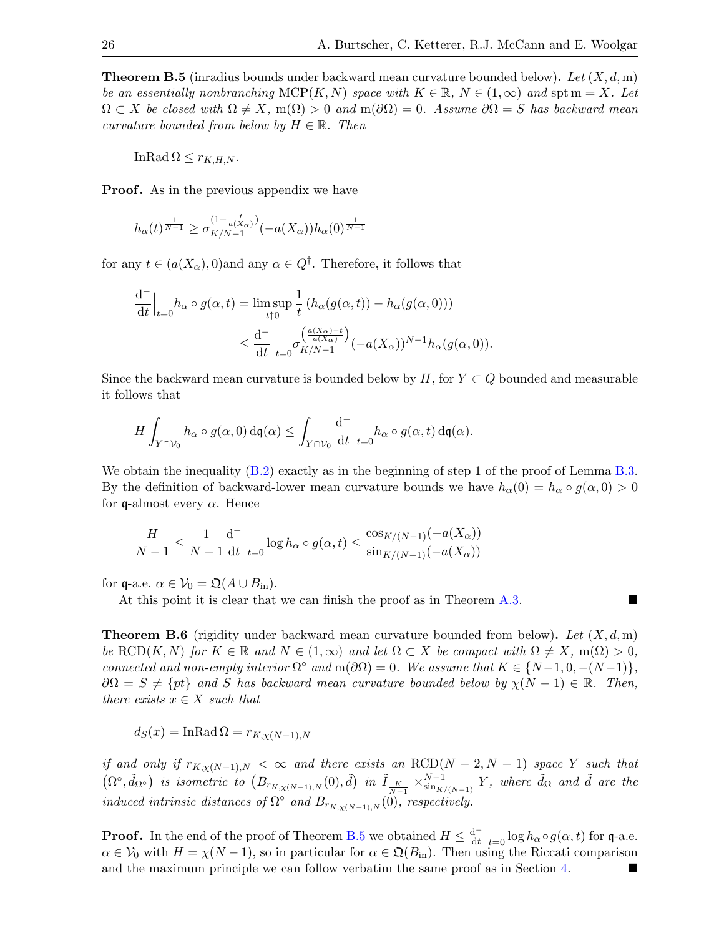<span id="page-25-0"></span>**Theorem B.5** (inradius bounds under backward mean curvature bounded below). Let  $(X, d, m)$ be an essentially nonbranching  $MCP(K, N)$  space with  $K \in \mathbb{R}$ ,  $N \in (1, \infty)$  and spt  $m = X$ . Let  $\Omega \subset X$  be closed with  $\Omega \neq X$ , m( $\Omega$ ) > 0 and m( $\partial \Omega$ ) = 0. Assume  $\partial \Omega = S$  has backward mean curvature bounded from below by  $H \in \mathbb{R}$ . Then

InRad  $\Omega \leq r_{K,H,N}$ .

**Proof.** As in the previous appendix we have

$$
h_{\alpha}(t)^{\frac{1}{N-1}} \ge \sigma_{K/N-1}^{(1-\frac{t}{a(X_{\alpha})})}(-a(X_{\alpha}))h_{\alpha}(0)^{\frac{1}{N-1}}
$$

for any  $t \in (a(X_{\alpha}), 0)$  and any  $\alpha \in Q^{\dagger}$ . Therefore, it follows that

$$
\frac{d^{-}}{dt}\Big|_{t=0}h_{\alpha}\circ g(\alpha,t) = \limsup_{t\uparrow 0} \frac{1}{t} \left( h_{\alpha}(g(\alpha,t)) - h_{\alpha}(g(\alpha,0)) \right)
$$

$$
\leq \frac{d^{-}}{dt}\Big|_{t=0} \sigma_{K/N-1}^{\left( \frac{a(X_{\alpha}) - t}{a(X_{\alpha})} \right)} (-a(X_{\alpha}))^{N-1} h_{\alpha}(g(\alpha,0)).
$$

Since the backward mean curvature is bounded below by H, for  $Y \subset Q$  bounded and measurable it follows that

$$
H\int_{Y\cap \mathcal{V}_0} h_\alpha\circ g(\alpha,0) \,\mathrm{d}\mathfrak{q}(\alpha)\leq \int_{Y\cap \mathcal{V}_0} \frac{\mathrm{d}^-}{\mathrm{d} t}\Big|_{t=0} h_\alpha\circ g(\alpha,t) \,\mathrm{d}\mathfrak{q}(\alpha).
$$

We obtain the inequality  $(B.2)$  exactly as in the beginning of step 1 of the proof of Lemma [B.3.](#page-23-0) By the definition of backward-lower mean curvature bounds we have  $h_{\alpha}(0) = h_{\alpha} \circ g(\alpha, 0) > 0$ for q-almost every  $\alpha$ . Hence

$$
\frac{H}{N-1} \le \frac{1}{N-1} \frac{d^-}{dt} \Big|_{t=0} \log h_{\alpha} \circ g(\alpha, t) \le \frac{\cos_{K/(N-1)}(-a(X_{\alpha}))}{\sin_{K/(N-1)}(-a(X_{\alpha}))}
$$

for q-a.e.  $\alpha \in V_0 = \mathfrak{Q}(A \cup B_{\text{in}})$ .

At this point it is clear that we can finish the proof as in Theorem [A.3.](#page-21-3)

**Theorem B.6** (rigidity under backward mean curvature bounded from below). Let  $(X, d, m)$ be  $\text{RCD}(K, N)$  for  $K \in \mathbb{R}$  and  $N \in (1, \infty)$  and let  $\Omega \subset X$  be compact with  $\Omega \neq X$ ,  $m(\Omega) > 0$ , connected and non-empty interior  $\Omega^{\circ}$  and  $m(\partial \Omega) = 0$ . We assume that  $K \in \{N-1, 0, -(N-1)\},$  $\partial\Omega = S \neq \{pt\}$  and S has backward mean curvature bounded below by  $\chi(N-1) \in \mathbb{R}$ . Then, there exists  $x \in X$  such that

$$
d_S(x) = \text{InRad}\,\Omega = r_{K,\chi(N-1),N}
$$

if and only if  $r_{K,\chi(N-1),N} < \infty$  and there exists an RCD(N – 2, N – 1) space Y such that  $(\Omega^{\circ}, \tilde{d}_{\Omega^{\circ}})$  is isometric to  $(B_{r_{K,\chi(N-1),N}}(0), \tilde{d})$  in  $\tilde{I}_{\frac{K}{N-1}} \times_{\sin_{K/\chi(N-1)}}^{N-1}$  $\sum_{\sin_{K/(N-1)}}^{N-1} Y$ , where  $\tilde{d}_{\Omega}$  and  $\tilde{d}$  are the induced intrinsic distances of  $\Omega^{\circ}$  and  $B_{r_{K,\chi(N-1),N}}(0)$ , respectively.

**Proof.** In the end of the proof of Theorem [B.5](#page-25-0) we obtained  $H \leq \frac{d^{-1}}{dt}$  $\frac{d^+}{dt}\Big|_{t=0} \log h_\alpha \circ g(\alpha, t)$  for q-a.e.  $\alpha \in V_0$  with  $H = \chi(N-1)$ , so in particular for  $\alpha \in \mathfrak{Q}(B_{\rm in})$ . Then using the Riccati comparison and the maximum principle we can follow verbatim the same proof as in Section [4.](#page-13-1)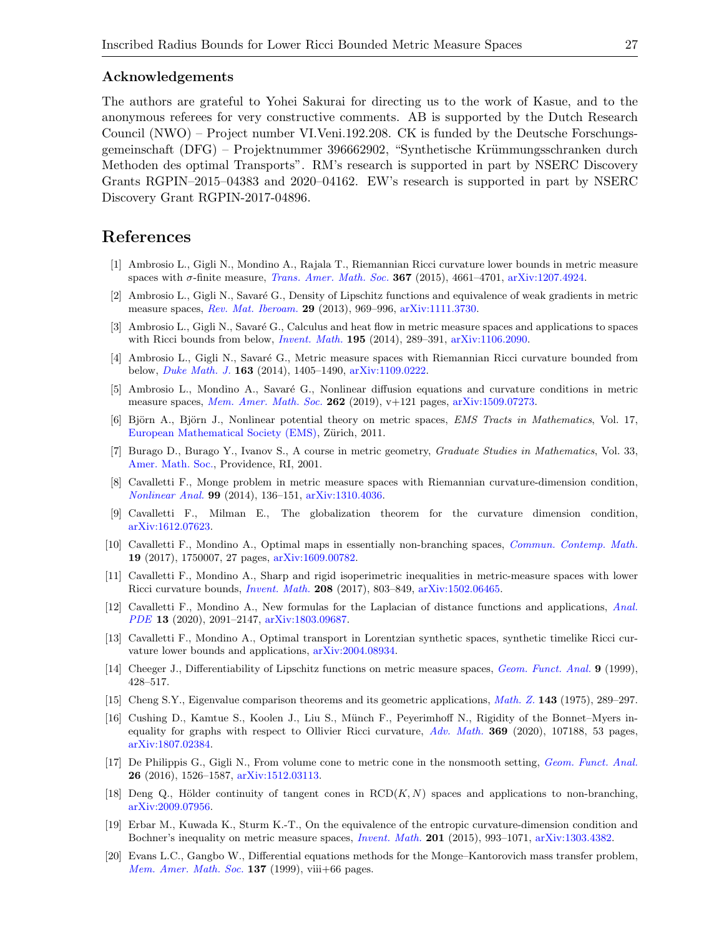#### Acknowledgements

The authors are grateful to Yohei Sakurai for directing us to the work of Kasue, and to the anonymous referees for very constructive comments. AB is supported by the Dutch Research Council (NWO) – Project number VI.Veni.192.208. CK is funded by the Deutsche Forschungsgemeinschaft (DFG) – Projektnummer 396662902, "Synthetische Krümmungsschranken durch Methoden des optimal Transports". RM's research is supported in part by NSERC Discovery Grants RGPIN–2015–04383 and 2020–04162. EW's research is supported in part by NSERC Discovery Grant RGPIN-2017-04896.

# References

- <span id="page-26-11"></span>[1] Ambrosio L., Gigli N., Mondino A., Rajala T., Riemannian Ricci curvature lower bounds in metric measure spaces with  $\sigma$ -finite measure, *[Trans. Amer. Math. Soc.](https://doi.org/10.1090/S0002-9947-2015-06111-X)* **367** (2015), 4661–4701, [arXiv:1207.4924.](https://arxiv.org/abs/1207.4924)
- <span id="page-26-15"></span>[2] Ambrosio L., Gigli N., Savaré G., Density of Lipschitz functions and equivalence of weak gradients in metric measure spaces, [Rev. Mat. Iberoam.](https://doi.org/10.4171/RMI/746) 29 (2013), 969–996, [arXiv:1111.3730.](https://arxiv.org/abs/1111.3730)
- <span id="page-26-16"></span>[3] Ambrosio L., Gigli N., Savaré G., Calculus and heat flow in metric measure spaces and applications to spaces with Ricci bounds from below, *[Invent. Math.](https://doi.org/10.1007/s00222-013-0456-1)* **195** (2014), 289–391, [arXiv:1106.2090.](https://arxiv.org/abs/1106.2090)
- <span id="page-26-12"></span>[4] Ambrosio L., Gigli N., Savaré G., Metric measure spaces with Riemannian Ricci curvature bounded from below, [Duke Math. J.](https://doi.org/10.1215/00127094-2681605) 163 (2014), 1405–1490, [arXiv:1109.0222.](https://arxiv.org/abs/1109.0222)
- <span id="page-26-13"></span>[5] Ambrosio L., Mondino A., Savaré G., Nonlinear diffusion equations and curvature conditions in metric measure spaces, [Mem. Amer. Math. Soc.](https://doi.org/10.1090/memo/1270) 262 (2019),  $v+121$  pages, [arXiv:1509.07273.](https://arxiv.org/abs/1509.07273)
- <span id="page-26-18"></span>[6] Björn A., Björn J., Nonlinear potential theory on metric spaces, *EMS Tracts in Mathematics*, Vol. 17, [European Mathematical Society \(EMS\),](https://doi.org/10.4171/099) Zürich, 2011.
- <span id="page-26-6"></span>[7] Burago D., Burago Y., Ivanov S., A course in metric geometry, Graduate Studies in Mathematics, Vol. 33, [Amer. Math. Soc.,](https://doi.org/10.1090/gsm/033) Providence, RI, 2001.
- <span id="page-26-8"></span>[8] Cavalletti F., Monge problem in metric measure spaces with Riemannian curvature-dimension condition, [Nonlinear Anal.](https://doi.org/10.1016/j.na.2013.12.008) 99 (2014), 136–151, [arXiv:1310.4036.](https://arxiv.org/abs/1310.4036)
- <span id="page-26-10"></span>[9] Cavalletti F., Milman E., The globalization theorem for the curvature dimension condition, [arXiv:1612.07623.](https://arxiv.org/abs/1612.07623)
- <span id="page-26-3"></span>[10] Cavalletti F., Mondino A., Optimal maps in essentially non-branching spaces, [Commun. Contemp. Math.](https://doi.org/10.1142/S0219199717500079) 19 (2017), 1750007, 27 pages, [arXiv:1609.00782.](https://arxiv.org/abs/1609.00782)
- <span id="page-26-1"></span>[11] Cavalletti F., Mondino A., Sharp and rigid isoperimetric inequalities in metric-measure spaces with lower Ricci curvature bounds, [Invent. Math.](https://doi.org/10.1007/s00222-016-0700-6) 208 (2017), 803–849, [arXiv:1502.06465.](https://arxiv.org/abs/1502.06465)
- <span id="page-26-9"></span>[12] Cavalletti F., Mondino A., New formulas for the Laplacian of distance functions and applications, [Anal.](https://doi.org/10.2140/apde.2020.13.2091) [PDE](https://doi.org/10.2140/apde.2020.13.2091) 13 (2020), 2091–2147, [arXiv:1803.09687.](https://arxiv.org/abs/1803.09687)
- <span id="page-26-0"></span>[13] Cavalletti F., Mondino A., Optimal transport in Lorentzian synthetic spaces, synthetic timelike Ricci curvature lower bounds and applications, [arXiv:2004.08934.](https://arxiv.org/abs/2004.08934)
- <span id="page-26-17"></span>[14] Cheeger J., Differentiability of Lipschitz functions on metric measure spaces, *[Geom. Funct. Anal.](https://doi.org/10.1007/s000390050094)* **9** (1999), 428–517.
- <span id="page-26-2"></span>[15] Cheng S.Y., Eigenvalue comparison theorems and its geometric applications, [Math. Z.](https://doi.org/10.1007/BF01214381) 143 (1975), 289–297.
- <span id="page-26-5"></span>[16] Cushing D., Kamtue S., Koolen J., Liu S., M¨unch F., Peyerimhoff N., Rigidity of the Bonnet–Myers inequality for graphs with respect to Ollivier Ricci curvature,  $Adv$ . Math. 369 (2020), 107188, 53 pages, [arXiv:1807.02384.](https://arxiv.org/abs/1807.02384)
- <span id="page-26-4"></span>[17] De Philippis G., Gigli N., From volume cone to metric cone in the nonsmooth setting, [Geom. Funct. Anal.](https://doi.org/10.1007/s00039-016-0391-6) 26 (2016), 1526–1587, [arXiv:1512.03113.](https://arxiv.org/abs/1512.03113)
- <span id="page-26-19"></span>[18] Deng Q., Hölder continuity of tangent cones in  $RCD(K, N)$  spaces and applications to non-branching, [arXiv:2009.07956.](https://arxiv.org/abs/2009.07956)
- <span id="page-26-14"></span>[19] Erbar M., Kuwada K., Sturm K.-T., On the equivalence of the entropic curvature-dimension condition and Bochner's inequality on metric measure spaces, *[Invent. Math.](https://doi.org/10.1007/s00222-014-0563-7)* 201 (2015), 993-1071, [arXiv:1303.4382.](https://arxiv.org/abs/1303.4382)
- <span id="page-26-7"></span>[20] Evans L.C., Gangbo W., Differential equations methods for the Monge–Kantorovich mass transfer problem, *[Mem. Amer. Math. Soc.](https://doi.org/10.1090/memo/0653)* **137** (1999), viii+66 pages.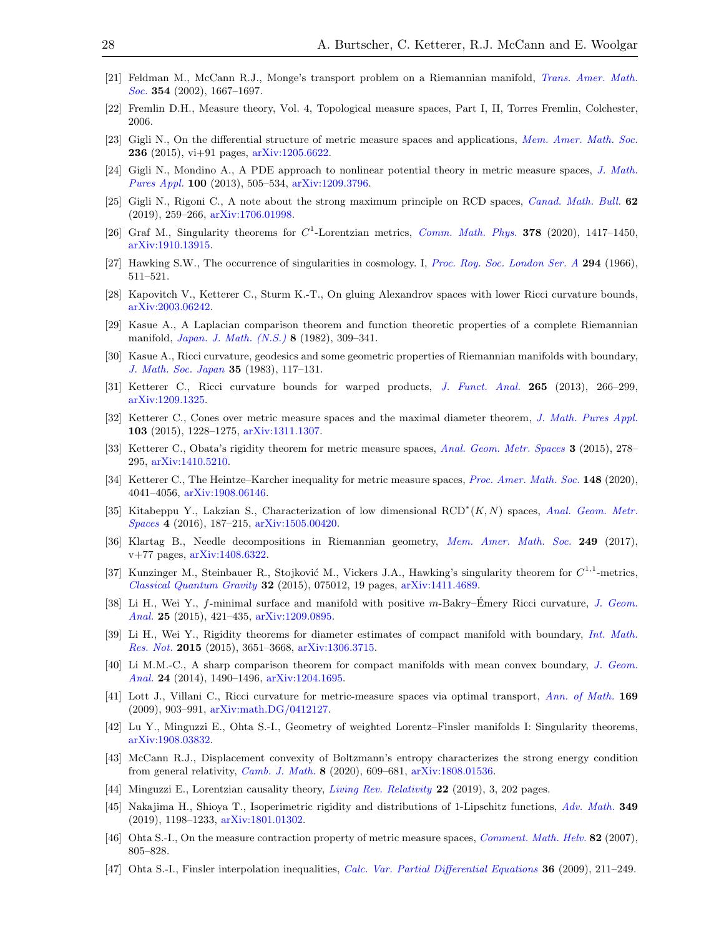- <span id="page-27-18"></span>[21] Feldman M., McCann R.J., Monge's transport problem on a Riemannian manifold, [Trans. Amer. Math.](https://doi.org/10.1090/S0002-9947-01-02930-0) [Soc.](https://doi.org/10.1090/S0002-9947-01-02930-0) 354 (2002), 1667-1697.
- <span id="page-27-17"></span>[22] Fremlin D.H., Measure theory, Vol. 4, Topological measure spaces, Part I, II, Torres Fremlin, Colchester, 2006.
- <span id="page-27-20"></span>[23] Gigli N., On the differential structure of metric measure spaces and applications, [Mem. Amer. Math. Soc.](https://doi.org/10.1090/memo/1113) **236** (2015), vi+91 pages,  $arXiv:1205.6622$ .
- <span id="page-27-21"></span>[24] Gigli N., Mondino A., A PDE approach to nonlinear potential theory in metric measure spaces, [J. Math.](https://doi.org/10.1016/j.matpur.2013.01.011) [Pures Appl.](https://doi.org/10.1016/j.matpur.2013.01.011) 100 (2013), 505–534, [arXiv:1209.3796.](https://arxiv.org/abs/1209.3796)
- <span id="page-27-22"></span>[25] Gigli N., Rigoni C., A note about the strong maximum principle on RCD spaces, [Canad. Math. Bull.](https://doi.org/10.4153/cmb-2018-022-9) 62 (2019), 259–266, [arXiv:1706.01998.](https://arxiv.org/abs/1706.01998)
- <span id="page-27-6"></span>[26] Graf M., Singularity theorems for  $C^1$ -Lorentzian metrics, [Comm. Math. Phys.](https://doi.org/10.1007/s00220-020-03808-y) 378 (2020), 1417–1450, [arXiv:1910.13915.](https://arxiv.org/abs/1910.13915)
- <span id="page-27-4"></span>[27] Hawking S.W., The occurrence of singularities in cosmology. I, [Proc. Roy. Soc. London Ser. A](https://doi.org/10.1098/rspa.1966.0221) 294 (1966), 511–521.
- <span id="page-27-26"></span>[28] Kapovitch V., Ketterer C., Sturm K.-T., On gluing Alexandrov spaces with lower Ricci curvature bounds, [arXiv:2003.06242.](https://arxiv.org/abs/2003.06242)
- <span id="page-27-23"></span>[29] Kasue A., A Laplacian comparison theorem and function theoretic properties of a complete Riemannian manifold, [Japan. J. Math. \(N.S.\)](https://doi.org/10.4099/math1924.8.309) 8 (1982), 309–341.
- <span id="page-27-0"></span>[30] Kasue A., Ricci curvature, geodesics and some geometric properties of Riemannian manifolds with boundary, [J. Math. Soc. Japan](https://doi.org/10.2969/jmsj/03510117) 35 (1983), 117–131.
- <span id="page-27-15"></span>[31] Ketterer C., Ricci curvature bounds for warped products, [J. Funct. Anal.](https://doi.org/10.1016/j.jfa.2013.05.008) 265 (2013), 266–299, [arXiv:1209.1325.](https://arxiv.org/abs/1209.1325)
- <span id="page-27-12"></span>[32] Ketterer C., Cones over metric measure spaces and the maximal diameter theorem, [J. Math. Pures Appl.](https://doi.org/10.1016/j.matpur.2014.10.011) 103 (2015), 1228–1275, [arXiv:1311.1307.](https://arxiv.org/abs/1311.1307)
- <span id="page-27-13"></span>[33] Ketterer C., Obata's rigidity theorem for metric measure spaces, [Anal. Geom. Metr. Spaces](https://doi.org/10.1515/agms-2015-0016) 3 (2015), 278– 295, [arXiv:1410.5210.](https://arxiv.org/abs/1410.5210)
- <span id="page-27-10"></span>[34] Ketterer C., The Heintze–Karcher inequality for metric measure spaces, [Proc. Amer. Math. Soc.](https://doi.org/10.1090/proc/15041) 148 (2020), 4041–4056, [arXiv:1908.06146.](https://arxiv.org/abs/1908.06146)
- <span id="page-27-25"></span>[35] Kitabeppu Y., Lakzian S., Characterization of low dimensional RCD<sup>\*</sup>(K, N) spaces, [Anal. Geom. Metr.](https://doi.org/10.1515/agms-2016-0007) [Spaces](https://doi.org/10.1515/agms-2016-0007) 4 (2016), 187–215, [arXiv:1505.00420.](https://arxiv.org/abs/1505.00420)
- <span id="page-27-19"></span>[36] Klartag B., Needle decompositions in Riemannian geometry, [Mem. Amer. Math. Soc.](https://doi.org/10.1090/memo/1180) 249 (2017), v+77 pages, [arXiv:1408.6322.](https://arxiv.org/abs/1408.6322)
- <span id="page-27-7"></span>[37] Kunzinger M., Steinbauer R., Stojković M., Vickers J.A., Hawking's singularity theorem for  $C^{1,1}$ -metrics, [Classical Quantum Gravity](https://doi.org/10.1088/0264-9381/32/7/075012) 32 (2015), 075012, 19 pages, [arXiv:1411.4689.](https://arxiv.org/abs/1411.4689)
- <span id="page-27-2"></span>[38] Li H., Wei Y., f-minimal surface and manifold with positive m-Bakry–Emery Ricci curvature, [J. Geom.](https://doi.org/10.1007/s12220-013-9434-5) [Anal.](https://doi.org/10.1007/s12220-013-9434-5) 25 (2015), 421–435, [arXiv:1209.0895.](https://arxiv.org/abs/1209.0895)
- <span id="page-27-3"></span>[39] Li H., Wei Y., Rigidity theorems for diameter estimates of compact manifold with boundary, [Int. Math.](https://doi.org/10.1093/imrn/rnu052) [Res. Not.](https://doi.org/10.1093/imrn/rnu052) 2015 (2015), 3651–3668, [arXiv:1306.3715.](https://arxiv.org/abs/1306.3715)
- <span id="page-27-1"></span>[40] Li M.M.-C., A sharp comparison theorem for compact manifolds with mean convex boundary, [J. Geom.](https://doi.org/10.1007/s12220-012-9381-6) [Anal.](https://doi.org/10.1007/s12220-012-9381-6) 24 (2014), 1490–1496, [arXiv:1204.1695.](https://arxiv.org/abs/1204.1695)
- <span id="page-27-16"></span>[41] Lott J., Villani C., Ricci curvature for metric-measure spaces via optimal transport, [Ann. of Math.](https://doi.org/10.4007/annals.2009.169.903) 169 (2009), 903–991, [arXiv:math.DG/0412127.](https://arxiv.org/abs/math.DG/0412127)
- <span id="page-27-8"></span>[42] Lu Y., Minguzzi E., Ohta S.-I., Geometry of weighted Lorentz–Finsler manifolds I: Singularity theorems, [arXiv:1908.03832.](https://arxiv.org/abs/1908.03832)
- <span id="page-27-9"></span>[43] McCann R.J., Displacement convexity of Boltzmann's entropy characterizes the strong energy condition from general relativity, [Camb. J. Math.](https://dx.doi.org/10.4310/CJM.2020.v8.n3.a4) 8 (2020), 609–681, [arXiv:1808.01536.](https://arxiv.org/abs/1808.01536)
- <span id="page-27-5"></span>[44] Minguzzi E., Lorentzian causality theory, [Living Rev. Relativity](https://doi.org/10.1007/s41114-019-0019-x) 22 (2019), 3, 202 pages.
- <span id="page-27-14"></span>[45] Nakajima H., Shioya T., Isoperimetric rigidity and distributions of 1-Lipschitz functions, [Adv. Math.](https://doi.org/10.1016/j.aim.2019.04.043) 349 (2019), 1198–1233, [arXiv:1801.01302.](https://arxiv.org/abs/1801.01302)
- <span id="page-27-11"></span>[46] Ohta S.-I., On the measure contraction property of metric measure spaces, [Comment. Math. Helv.](https://doi.org/10.4171/CMH/110) 82 (2007), 805–828.
- <span id="page-27-24"></span>[47] Ohta S.-I., Finsler interpolation inequalities, [Calc. Var. Partial Differential Equations](https://doi.org/10.1007/s00526-009-0227-4) 36 (2009), 211–249.